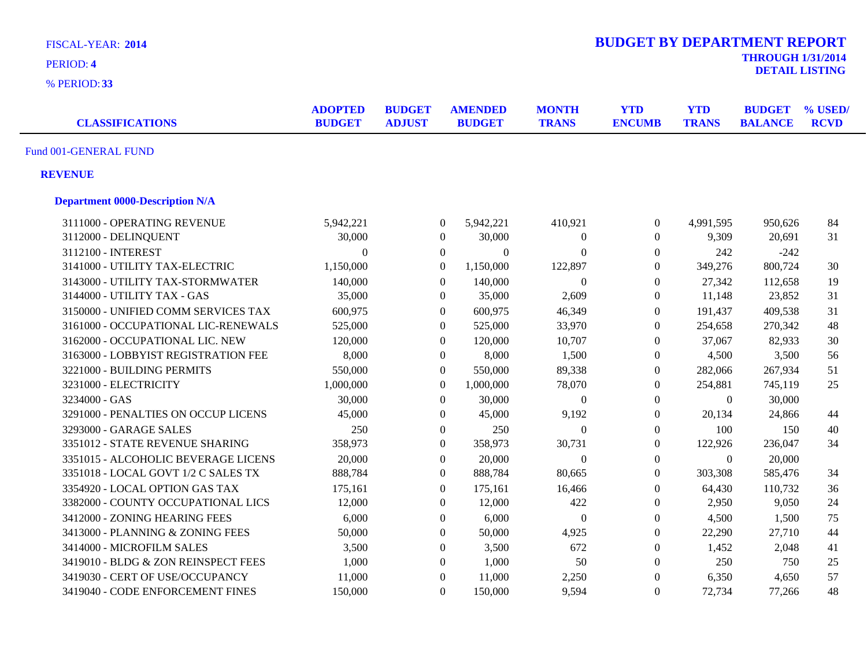| <b>FISCAL-YEAR: 2014</b><br>PERIOD: 4  |                                 |                                |                                 |           |                              | <b>BUDGET BY DEPARTMENT REPORT</b><br><b>THROUGH 1/31/2014</b> |                            |                                 |                        |  |  |
|----------------------------------------|---------------------------------|--------------------------------|---------------------------------|-----------|------------------------------|----------------------------------------------------------------|----------------------------|---------------------------------|------------------------|--|--|
| % PERIOD: 33                           |                                 |                                |                                 |           |                              |                                                                |                            |                                 | <b>DETAIL LISTING</b>  |  |  |
| <b>CLASSIFICATIONS</b>                 | <b>ADOPTED</b><br><b>BUDGET</b> | <b>BUDGET</b><br><b>ADJUST</b> | <b>AMENDED</b><br><b>BUDGET</b> |           | <b>MONTH</b><br><b>TRANS</b> | <b>YTD</b><br><b>ENCUMB</b>                                    | <b>YTD</b><br><b>TRANS</b> | <b>BUDGET</b><br><b>BALANCE</b> | % USED/<br><b>RCVD</b> |  |  |
| Fund 001-GENERAL FUND                  |                                 |                                |                                 |           |                              |                                                                |                            |                                 |                        |  |  |
| <b>REVENUE</b>                         |                                 |                                |                                 |           |                              |                                                                |                            |                                 |                        |  |  |
| <b>Department 0000-Description N/A</b> |                                 |                                |                                 |           |                              |                                                                |                            |                                 |                        |  |  |
| 3111000 - OPERATING REVENUE            | 5,942,221                       |                                | $\boldsymbol{0}$                | 5,942,221 | 410,921                      | $\boldsymbol{0}$                                               | 4,991,595                  | 950,626                         | 84                     |  |  |
| 3112000 - DELINQUENT                   | 30,000                          |                                | $\boldsymbol{0}$                | 30,000    | $\theta$                     | $\boldsymbol{0}$                                               | 9,309                      | 20,691                          | 31                     |  |  |
| 3112100 - INTEREST                     | $\theta$                        |                                | $\overline{0}$                  | $\Omega$  | $\Omega$                     | $\boldsymbol{0}$                                               | 242                        | $-242$                          |                        |  |  |
| 3141000 - UTILITY TAX-ELECTRIC         | 1,150,000                       |                                | $\overline{0}$                  | 1,150,000 | 122,897                      | $\boldsymbol{0}$                                               | 349,276                    | 800,724                         | 30                     |  |  |
| 3143000 - UTILITY TAX-STORMWATER       | 140,000                         |                                | $\mathbf{0}$                    | 140,000   | $\Omega$                     | $\boldsymbol{0}$                                               | 27,342                     | 112,658                         | 19                     |  |  |
| 3144000 - UTILITY TAX - GAS            | 35,000                          |                                | $\boldsymbol{0}$                | 35,000    | 2,609                        | $\boldsymbol{0}$                                               | 11,148                     | 23,852                          | 31                     |  |  |
| 3150000 - UNIFIED COMM SERVICES TAX    | 600,975                         |                                | $\boldsymbol{0}$                | 600,975   | 46,349                       | $\boldsymbol{0}$                                               | 191,437                    | 409,538                         | 31                     |  |  |
| 3161000 - OCCUPATIONAL LIC-RENEWALS    | 525,000                         |                                | $\overline{0}$                  | 525,000   | 33,970                       | $\overline{0}$                                                 | 254,658                    | 270,342                         | 48                     |  |  |
| 3162000 - OCCUPATIONAL LIC. NEW        | 120,000                         |                                | $\overline{0}$                  | 120,000   | 10,707                       | $\boldsymbol{0}$                                               | 37,067                     | 82,933                          | 30                     |  |  |
| 3163000 - LOBBYIST REGISTRATION FEE    | 8,000                           |                                | $\overline{0}$                  | 8,000     | 1,500                        | $\boldsymbol{0}$                                               | 4,500                      | 3,500                           | 56                     |  |  |
| 3221000 - BUILDING PERMITS             | 550,000                         |                                | $\overline{0}$                  | 550,000   | 89,338                       | $\overline{0}$                                                 | 282,066                    | 267,934                         | 51                     |  |  |
| 3231000 - ELECTRICITY                  | 1,000,000                       |                                | $\boldsymbol{0}$                | 1,000,000 | 78,070                       | $\boldsymbol{0}$                                               | 254,881                    | 745,119                         | 25                     |  |  |
| 3234000 - GAS                          | 30,000                          |                                | $\boldsymbol{0}$                | 30,000    | $\Omega$                     | $\boldsymbol{0}$                                               | $\boldsymbol{0}$           | 30,000                          |                        |  |  |
| 3291000 - PENALTIES ON OCCUP LICENS    | 45,000                          |                                | $\overline{0}$                  | 45,000    | 9,192                        | $\boldsymbol{0}$                                               | 20,134                     | 24,866                          | 44                     |  |  |
| 3293000 - GARAGE SALES                 | 250                             |                                | $\overline{0}$                  | 250       | $\Omega$                     | $\Omega$                                                       | 100                        | 150                             | 40                     |  |  |
| 3351012 - STATE REVENUE SHARING        | 358,973                         |                                | $\boldsymbol{0}$                | 358,973   | 30,731                       | $\overline{0}$                                                 | 122,926                    | 236,047                         | 34                     |  |  |
| 3351015 - ALCOHOLIC BEVERAGE LICENS    | 20,000                          |                                | $\overline{0}$                  | 20,000    | $\overline{0}$               | $\boldsymbol{0}$                                               | $\boldsymbol{0}$           | 20,000                          |                        |  |  |
| 3351018 - LOCAL GOVT 1/2 C SALES TX    | 888,784                         |                                | $\overline{0}$                  | 888,784   | 80,665                       | $\overline{0}$                                                 | 303,308                    | 585,476                         | 34                     |  |  |
| 3354920 - LOCAL OPTION GAS TAX         | 175,161                         |                                | $\overline{0}$                  | 175,161   | 16,466                       | $\overline{0}$                                                 | 64,430                     | 110,732                         | 36                     |  |  |
| 3382000 - COUNTY OCCUPATIONAL LICS     | 12,000                          |                                | $\overline{0}$                  | 12,000    | 422                          | $\boldsymbol{0}$                                               | 2,950                      | 9,050                           | 24                     |  |  |
| 3412000 - ZONING HEARING FEES          | 6,000                           |                                | $\overline{0}$                  | 6,000     | $\Omega$                     | $\overline{0}$                                                 | 4,500                      | 1,500                           | 75                     |  |  |
| 3413000 - PLANNING & ZONING FEES       | 50,000                          |                                | $\overline{0}$                  | 50,000    | 4,925                        | $\boldsymbol{0}$                                               | 22,290                     | 27,710                          | 44                     |  |  |
| 3414000 - MICROFILM SALES              | 3,500                           |                                | $\overline{0}$                  | 3,500     | 672                          | $\theta$                                                       | 1,452                      | 2,048                           | 41                     |  |  |
| 3419010 - BLDG & ZON REINSPECT FEES    | 1,000                           |                                | $\overline{0}$                  | 1,000     | 50                           | $\boldsymbol{0}$                                               | 250                        | 750                             | 25                     |  |  |
| 3419030 - CERT OF USE/OCCUPANCY        | 11,000                          |                                | $\boldsymbol{0}$                | 11,000    | 2,250                        | $\boldsymbol{0}$                                               | 6,350                      | 4,650                           | 57                     |  |  |
| 3419040 - CODE ENFORCEMENT FINES       | 150,000                         |                                | $\Omega$                        | 150,000   | 9,594                        | $\Omega$                                                       | 72,734                     | 77,266                          | 48                     |  |  |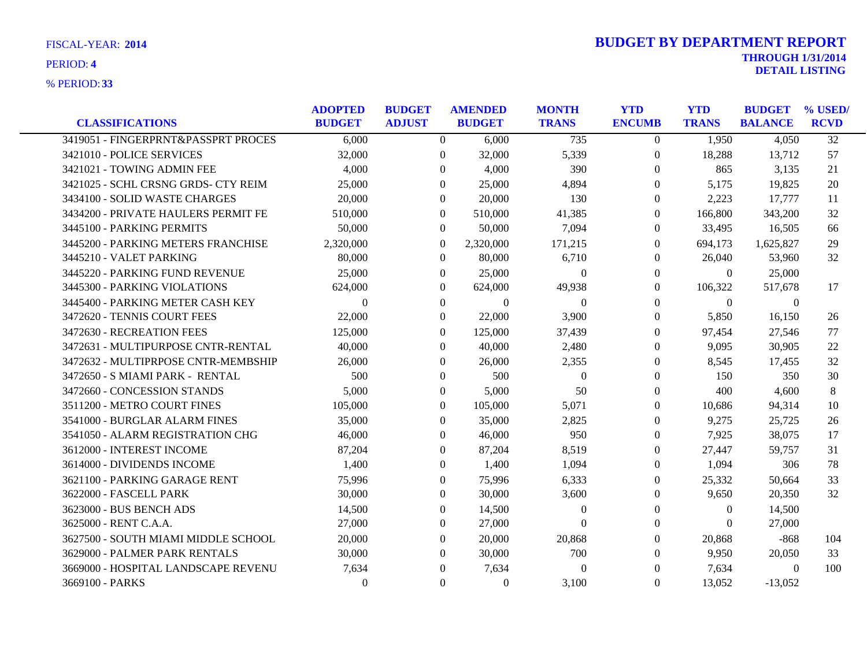**33** % PERIOD:

| <b>CLASSIFICATIONS</b>              | <b>ADOPTED</b><br><b>BUDGET</b> | <b>BUDGET</b><br><b>ADJUST</b> | <b>AMENDED</b><br><b>BUDGET</b> | <b>MONTH</b><br><b>TRANS</b> | <b>YTD</b><br><b>ENCUMB</b> | <b>YTD</b><br><b>TRANS</b> | <b>BUDGET</b><br><b>BALANCE</b> | % USED/<br><b>RCVD</b> |
|-------------------------------------|---------------------------------|--------------------------------|---------------------------------|------------------------------|-----------------------------|----------------------------|---------------------------------|------------------------|
| 3419051 - FINGERPRNT&PASSPRT PROCES | 6,000                           | $\overline{0}$                 | 6,000                           | 735                          | $\overline{0}$              | 1,950                      | 4,050                           | $\overline{32}$        |
| 3421010 - POLICE SERVICES           | 32,000                          | $\theta$                       | 32,000                          | 5,339                        | $\overline{0}$              | 18,288                     | 13,712                          | 57                     |
| 3421021 - TOWING ADMIN FEE          | 4,000                           | $\Omega$                       | 4.000                           | 390                          | $\Omega$                    | 865                        | 3,135                           | 21                     |
| 3421025 - SCHL CRSNG GRDS- CTY REIM | 25,000                          | $\Omega$                       | 25,000                          | 4,894                        | $\Omega$                    | 5,175                      | 19,825                          | 20                     |
| 3434100 - SOLID WASTE CHARGES       | 20,000                          | $\theta$                       | 20,000                          | 130                          | $\overline{0}$              | 2,223                      | 17,777                          | 11                     |
| 3434200 - PRIVATE HAULERS PERMIT FE | 510,000                         | $\Omega$                       | 510,000                         | 41,385                       | $\Omega$                    | 166,800                    | 343,200                         | 32                     |
| 3445100 - PARKING PERMITS           | 50,000                          | $\theta$                       | 50,000                          | 7,094                        | $\Omega$                    | 33,495                     | 16,505                          | 66                     |
| 3445200 - PARKING METERS FRANCHISE  | 2,320,000                       | $\overline{0}$                 | 2,320,000                       | 171,215                      | $\Omega$                    | 694,173                    | 1.625.827                       | 29                     |
| 3445210 - VALET PARKING             | 80,000                          | $\overline{0}$                 | 80,000                          | 6,710                        | $\overline{0}$              | 26,040                     | 53,960                          | 32                     |
| 3445220 - PARKING FUND REVENUE      | 25,000                          | $\Omega$                       | 25,000                          | $\Omega$                     | $\Omega$                    | $\Omega$                   | 25,000                          |                        |
| 3445300 - PARKING VIOLATIONS        | 624,000                         | $\Omega$                       | 624,000                         | 49,938                       | $\Omega$                    | 106,322                    | 517,678                         | 17                     |
| 3445400 - PARKING METER CASH KEY    | $\theta$                        | $\boldsymbol{0}$               | $\overline{0}$                  | $\boldsymbol{0}$             | $\overline{0}$              | $\overline{0}$             | $\overline{0}$                  |                        |
| 3472620 - TENNIS COURT FEES         | 22,000                          | $\Omega$                       | 22,000                          | 3,900                        | $\Omega$                    | 5,850                      | 16,150                          | 26                     |
| 3472630 - RECREATION FEES           | 125,000                         | $\Omega$                       | 125,000                         | 37,439                       | $\Omega$                    | 97,454                     | 27,546                          | 77                     |
| 3472631 - MULTIPURPOSE CNTR-RENTAL  | 40,000                          | $\Omega$                       | 40,000                          | 2,480                        | $\Omega$                    | 9,095                      | 30,905                          | 22                     |
| 3472632 - MULTIPRPOSE CNTR-MEMBSHIP | 26,000                          | $\theta$                       | 26,000                          | 2,355                        | $\overline{0}$              | 8,545                      | 17,455                          | 32                     |
| 3472650 - S MIAMI PARK - RENTAL     | 500                             | $\theta$                       | 500                             | $\boldsymbol{0}$             | $\overline{0}$              | 150                        | 350                             | 30                     |
| 3472660 - CONCESSION STANDS         | 5,000                           | $\Omega$                       | 5,000                           | 50                           | $\Omega$                    | 400                        | 4,600                           | 8                      |
| 3511200 - METRO COURT FINES         | 105,000                         | $\Omega$                       | 105,000                         | 5,071                        | $\Omega$                    | 10,686                     | 94,314                          | 10                     |
| 3541000 - BURGLAR ALARM FINES       | 35,000                          | $\mathbf{0}$                   | 35,000                          | 2,825                        | $\overline{0}$              | 9,275                      | 25,725                          | 26                     |
| 3541050 - ALARM REGISTRATION CHG    | 46,000                          | $\theta$                       | 46,000                          | 950                          | $\overline{0}$              | 7,925                      | 38,075                          | 17                     |
| 3612000 - INTEREST INCOME           | 87,204                          | $\Omega$                       | 87,204                          | 8,519                        | $\Omega$                    | 27,447                     | 59.757                          | 31                     |
| 3614000 - DIVIDENDS INCOME          | 1,400                           | $\Omega$                       | 1,400                           | 1,094                        | $\Omega$                    | 1,094                      | 306                             | 78                     |
| 3621100 - PARKING GARAGE RENT       | 75,996                          | $\theta$                       | 75,996                          | 6,333                        | $\overline{0}$              | 25,332                     | 50,664                          | 33                     |
| 3622000 - FASCELL PARK              | 30,000                          | $\theta$                       | 30,000                          | 3,600                        | $\overline{0}$              | 9,650                      | 20,350                          | 32                     |
| 3623000 - BUS BENCH ADS             | 14,500                          | $\Omega$                       | 14,500                          | $\overline{0}$               | $\overline{0}$              | $\theta$                   | 14,500                          |                        |
| 3625000 - RENT C.A.A.               | 27,000                          | $\Omega$                       | 27,000                          | $\Omega$                     | $\Omega$                    | $\Omega$                   | 27,000                          |                        |
| 3627500 - SOUTH MIAMI MIDDLE SCHOOL | 20,000                          | $\Omega$                       | 20,000                          | 20,868                       | 0                           | 20,868                     | $-868$                          | 104                    |
| 3629000 - PALMER PARK RENTALS       | 30,000                          | $\Omega$                       | 30,000                          | 700                          | $\overline{0}$              | 9,950                      | 20,050                          | 33                     |
| 3669000 - HOSPITAL LANDSCAPE REVENU | 7,634                           | $\Omega$                       | 7,634                           | $\Omega$                     | $\Omega$                    | 7,634                      | $\overline{0}$                  | 100                    |
| 3669100 - PARKS                     | $\Omega$                        | $\Omega$                       | $\overline{0}$                  | 3,100                        | $\Omega$                    | 13,052                     | $-13,052$                       |                        |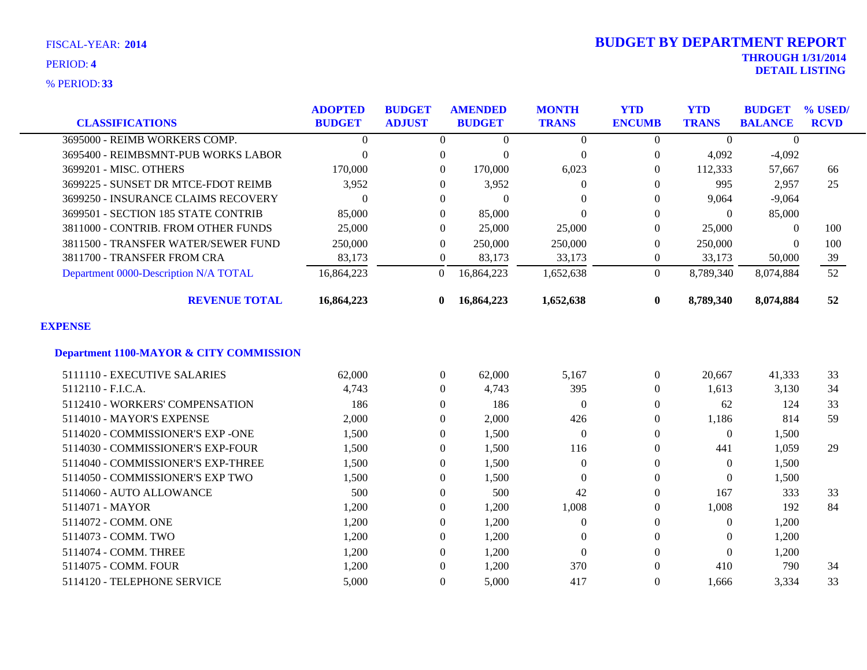**33** % PERIOD:

| <b>CLASSIFICATIONS</b>                             | <b>ADOPTED</b><br><b>BUDGET</b> | <b>BUDGET</b><br><b>ADJUST</b> | <b>AMENDED</b><br><b>BUDGET</b> | <b>MONTH</b><br><b>TRANS</b> | <b>YTD</b><br><b>ENCUMB</b> | <b>YTD</b><br><b>TRANS</b> | <b>BUDGET</b><br><b>BALANCE</b> | % USED/<br><b>RCVD</b> |
|----------------------------------------------------|---------------------------------|--------------------------------|---------------------------------|------------------------------|-----------------------------|----------------------------|---------------------------------|------------------------|
| 3695000 - REIMB WORKERS COMP.                      | $\Omega$                        | $\Omega$                       | $\Omega$                        | $\boldsymbol{0}$             | $\Omega$                    | $\theta$                   | $\Omega$                        |                        |
| 3695400 - REIMBSMNT-PUB WORKS LABOR                | $\theta$                        | $\boldsymbol{0}$               | $\theta$                        | $\boldsymbol{0}$             | $\boldsymbol{0}$            | 4,092                      | $-4,092$                        |                        |
| 3699201 - MISC. OTHERS                             | 170,000                         | $\theta$                       | 170,000                         | 6,023                        | $\Omega$                    | 112,333                    | 57,667                          | 66                     |
| 3699225 - SUNSET DR MTCE-FDOT REIMB                | 3,952                           | $\overline{0}$                 | 3,952                           | $\mathbf{0}$                 | $\Omega$                    | 995                        | 2,957                           | 25                     |
| 3699250 - INSURANCE CLAIMS RECOVERY                | $\Omega$                        | $\Omega$                       | $\Omega$                        | $\Omega$                     | $\Omega$                    | 9,064                      | $-9,064$                        |                        |
| 3699501 - SECTION 185 STATE CONTRIB                | 85,000                          | $\overline{0}$                 | 85,000                          | $\Omega$                     | $\Omega$                    | $\theta$                   | 85,000                          |                        |
| 3811000 - CONTRIB. FROM OTHER FUNDS                | 25,000                          | $\theta$                       | 25,000                          | 25,000                       | $\Omega$                    | 25,000                     | $\Omega$                        | 100                    |
| 3811500 - TRANSFER WATER/SEWER FUND                | 250,000                         | $\overline{0}$                 | 250,000                         | 250,000                      | $\Omega$                    | 250,000                    | $\Omega$                        | 100                    |
| 3811700 - TRANSFER FROM CRA                        | 83,173                          | $\overline{0}$                 | 83,173                          | 33,173                       | $\overline{0}$              | 33,173                     | 50,000                          | 39                     |
| Department 0000-Description N/A TOTAL              | 16,864,223                      | $\overline{0}$                 | 16,864,223                      | 1,652,638                    | $\Omega$                    | 8,789,340                  | 8,074,884                       | 52                     |
| <b>REVENUE TOTAL</b>                               | 16,864,223                      | 0                              | 16,864,223                      | 1,652,638                    | $\bf{0}$                    | 8,789,340                  | 8,074,884                       | 52                     |
| <b>EXPENSE</b>                                     |                                 |                                |                                 |                              |                             |                            |                                 |                        |
| <b>Department 1100-MAYOR &amp; CITY COMMISSION</b> |                                 |                                |                                 |                              |                             |                            |                                 |                        |
| 5111110 - EXECUTIVE SALARIES                       | 62,000                          | $\overline{0}$                 | 62,000                          | 5,167                        | $\overline{0}$              | 20,667                     | 41,333                          | 33                     |
| 5112110 - F.I.C.A.                                 | 4,743                           | $\overline{0}$                 | 4,743                           | 395                          | $\Omega$                    | 1,613                      | 3,130                           | 34                     |
| 5112410 - WORKERS' COMPENSATION                    | 186                             | $\theta$                       | 186                             | $\Omega$                     | $\Omega$                    | 62                         | 124                             | 33                     |
| 5114010 - MAYOR'S EXPENSE                          | 2,000                           | $\mathbf{0}$                   | 2,000                           | 426                          | $\Omega$                    | 1,186                      | 814                             | 59                     |
| 5114020 - COMMISSIONER'S EXP -ONE                  | 1,500                           | $\theta$                       | 1,500                           | $\Omega$                     | $\Omega$                    | $\Omega$                   | 1,500                           |                        |
| 5114030 - COMMISSIONER'S EXP-FOUR                  | 1,500                           | $\theta$                       | 1,500                           | 116                          | $\Omega$                    | 441                        | 1,059                           | 29                     |
| 5114040 - COMMISSIONER'S EXP-THREE                 | 1,500                           | $\Omega$                       | 1,500                           | $\Omega$                     | $\Omega$                    | $\theta$                   | 1,500                           |                        |
| 5114050 - COMMISSIONER'S EXP TWO                   | 1,500                           | $\mathbf{0}$                   | 1,500                           | $\overline{0}$               | $\Omega$                    | $\mathbf{0}$               | 1,500                           |                        |
| 5114060 - AUTO ALLOWANCE                           | 500                             | $\overline{0}$                 | 500                             | 42                           | $\Omega$                    | 167                        | 333                             | 33                     |
| 5114071 - MAYOR                                    | 1,200                           | $\theta$                       | 1,200                           | 1,008                        | $\Omega$                    | 1,008                      | 192                             | 84                     |
| 5114072 - COMM. ONE                                | 1,200                           | $\boldsymbol{0}$               | 1,200                           | $\boldsymbol{0}$             | $\Omega$                    | $\boldsymbol{0}$           | 1,200                           |                        |
| 5114073 - COMM. TWO                                | 1,200                           | $\overline{0}$                 | 1,200                           | $\mathbf{0}$                 | $\theta$                    | $\Omega$                   | 1,200                           |                        |
| 5114074 - COMM. THREE                              | 1,200                           | $\theta$                       | 1,200                           | $\mathbf{0}$                 | $\Omega$                    | $\theta$                   | 1,200                           |                        |
| 5114075 - COMM. FOUR                               | 1,200                           | $\Omega$                       | 1,200                           | 370                          |                             | 410                        | 790                             | 34                     |
| 5114120 - TELEPHONE SERVICE                        | 5,000                           | $\Omega$                       | 5,000                           | 417                          | $\Omega$                    | 1,666                      | 3,334                           | 33                     |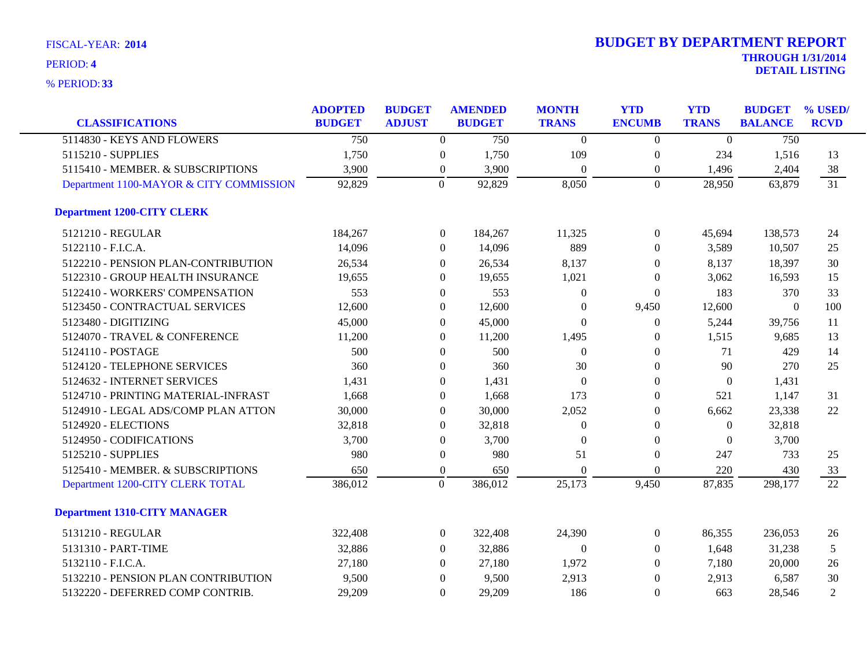| <b>CLASSIFICATIONS</b>                  | <b>ADOPTED</b><br><b>BUDGET</b> | <b>BUDGET</b><br><b>ADJUST</b> |                  | <b>AMENDED</b><br><b>BUDGET</b> | <b>MONTH</b><br><b>TRANS</b> | <b>YTD</b><br><b>ENCUMB</b> | <b>YTD</b><br><b>TRANS</b> | <b>BUDGET</b><br><b>BALANCE</b> | % USED/<br><b>RCVD</b> |
|-----------------------------------------|---------------------------------|--------------------------------|------------------|---------------------------------|------------------------------|-----------------------------|----------------------------|---------------------------------|------------------------|
| 5114830 - KEYS AND FLOWERS              | 750                             |                                | $\mathbf{0}$     | 750                             | $\Omega$                     | $\theta$                    | $\Omega$                   | 750                             |                        |
| 5115210 - SUPPLIES                      | 1,750                           |                                | $\boldsymbol{0}$ | 1,750                           | 109                          | $\boldsymbol{0}$            | 234                        | 1,516                           | 13                     |
| 5115410 - MEMBER. & SUBSCRIPTIONS       | 3,900                           |                                | $\boldsymbol{0}$ | 3,900                           | $\mathbf{0}$                 | $\boldsymbol{0}$            | 1,496                      | 2,404                           | 38                     |
| Department 1100-MAYOR & CITY COMMISSION | 92,829                          |                                | $\overline{0}$   | 92,829                          | 8,050                        | $\overline{0}$              | 28,950                     | 63,879                          | 31                     |
| <b>Department 1200-CITY CLERK</b>       |                                 |                                |                  |                                 |                              |                             |                            |                                 |                        |
| 5121210 - REGULAR                       | 184,267                         |                                | $\boldsymbol{0}$ | 184,267                         | 11,325                       | $\boldsymbol{0}$            | 45,694                     | 138,573                         | 24                     |
| 5122110 - F.I.C.A.                      | 14,096                          |                                | $\boldsymbol{0}$ | 14,096                          | 889                          | $\overline{0}$              | 3,589                      | 10,507                          | 25                     |
| 5122210 - PENSION PLAN-CONTRIBUTION     | 26,534                          |                                | $\Omega$         | 26,534                          | 8,137                        | $\theta$                    | 8,137                      | 18,397                          | 30                     |
| 5122310 - GROUP HEALTH INSURANCE        | 19,655                          |                                | $\Omega$         | 19,655                          | 1,021                        | $\Omega$                    | 3,062                      | 16,593                          | 15                     |
| 5122410 - WORKERS' COMPENSATION         | 553                             |                                | $\boldsymbol{0}$ | 553                             | $\theta$                     | $\boldsymbol{0}$            | 183                        | 370                             | 33                     |
| 5123450 - CONTRACTUAL SERVICES          | 12,600                          |                                | $\boldsymbol{0}$ | 12,600                          | $\theta$                     | 9,450                       | 12,600                     | $\theta$                        | 100                    |
| 5123480 - DIGITIZING                    | 45,000                          |                                | $\theta$         | 45,000                          | $\Omega$                     | $\overline{0}$              | 5,244                      | 39,756                          | 11                     |
| 5124070 - TRAVEL & CONFERENCE           | 11,200                          |                                | $\theta$         | 11,200                          | 1,495                        | $\overline{0}$              | 1,515                      | 9,685                           | 13                     |
| 5124110 - POSTAGE                       | 500                             |                                | $\theta$         | 500                             | $\theta$                     | $\overline{0}$              | 71                         | 429                             | 14                     |
| 5124120 - TELEPHONE SERVICES            | 360                             |                                | $\theta$         | 360                             | 30                           | $\theta$                    | 90                         | 270                             | 25                     |
| 5124632 - INTERNET SERVICES             | 1,431                           |                                | $\boldsymbol{0}$ | 1,431                           | $\theta$                     | $\theta$                    | $\theta$                   | 1,431                           |                        |
| 5124710 - PRINTING MATERIAL-INFRAST     | 1,668                           |                                | $\theta$         | 1,668                           | 173                          | $\Omega$                    | 521                        | 1,147                           | 31                     |
| 5124910 - LEGAL ADS/COMP PLAN ATTON     | 30,000                          |                                | $\theta$         | 30,000                          | 2,052                        | $\overline{0}$              | 6,662                      | 23,338                          | 22                     |
| 5124920 - ELECTIONS                     | 32,818                          |                                | $\boldsymbol{0}$ | 32,818                          | $\Omega$                     | $\overline{0}$              | $\overline{0}$             | 32,818                          |                        |
| 5124950 - CODIFICATIONS                 | 3,700                           |                                | $\boldsymbol{0}$ | 3,700                           | $\Omega$                     | $\overline{0}$              | $\theta$                   | 3,700                           |                        |
| 5125210 - SUPPLIES                      | 980                             |                                | $\theta$         | 980                             | 51                           | $\Omega$                    | 247                        | 733                             | 25                     |
| 5125410 - MEMBER. & SUBSCRIPTIONS       | 650                             |                                | $\boldsymbol{0}$ | 650                             | $\Omega$                     | $\overline{0}$              | 220                        | 430                             | 33                     |
| Department 1200-CITY CLERK TOTAL        | 386,012                         |                                | $\mathbf{0}$     | 386,012                         | 25,173                       | 9,450                       | 87,835                     | 298,177                         | 22                     |
| <b>Department 1310-CITY MANAGER</b>     |                                 |                                |                  |                                 |                              |                             |                            |                                 |                        |
| 5131210 - REGULAR                       | 322,408                         |                                | $\overline{0}$   | 322,408                         | 24,390                       | $\boldsymbol{0}$            | 86,355                     | 236,053                         | 26                     |
| 5131310 - PART-TIME                     | 32,886                          |                                | $\Omega$         | 32,886                          | $\Omega$                     | $\theta$                    | 1,648                      | 31,238                          | 5                      |
| 5132110 - F.I.C.A.                      | 27,180                          |                                | $\theta$         | 27,180                          | 1,972                        | $\overline{0}$              | 7,180                      | 20,000                          | 26                     |
| 5132210 - PENSION PLAN CONTRIBUTION     | 9,500                           |                                | $\theta$         | 9,500                           | 2,913                        | $\theta$                    | 2,913                      | 6,587                           | 30                     |
| 5132220 - DEFERRED COMP CONTRIB.        | 29,209                          |                                | $\Omega$         | 29,209                          | 186                          | $\Omega$                    | 663                        | 28,546                          | 2                      |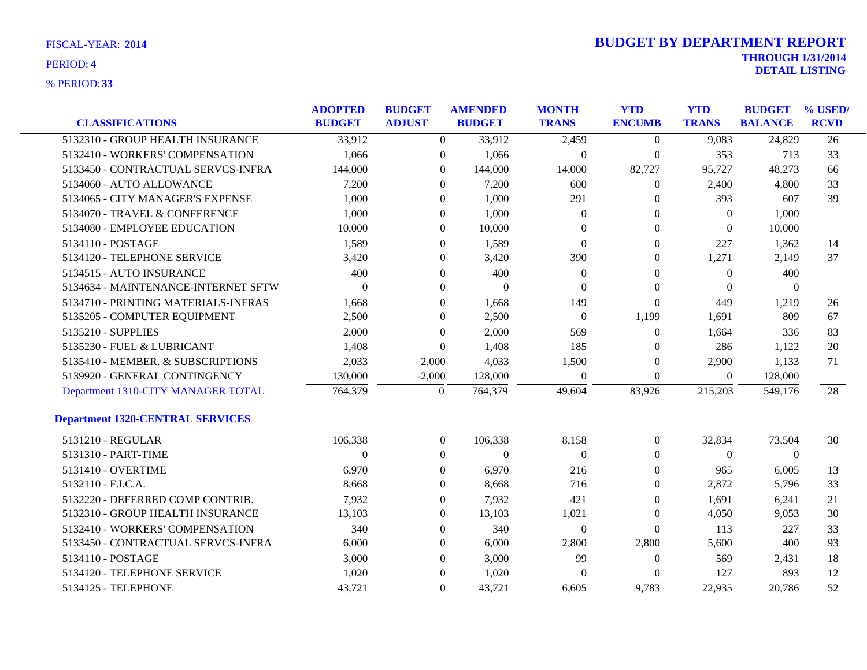| <b>CLASSIFICATIONS</b>                  | <b>ADOPTED</b><br><b>BUDGET</b> | <b>BUDGET</b><br><b>ADJUST</b> | <b>AMENDED</b><br><b>BUDGET</b> | <b>MONTH</b><br><b>TRANS</b> | <b>YTD</b><br><b>ENCUMB</b> | <b>YTD</b><br><b>TRANS</b> | <b>BUDGET</b><br><b>BALANCE</b> | % USED/<br><b>RCVD</b> |
|-----------------------------------------|---------------------------------|--------------------------------|---------------------------------|------------------------------|-----------------------------|----------------------------|---------------------------------|------------------------|
| 5132310 - GROUP HEALTH INSURANCE        | 33,912                          | $\overline{0}$                 | 33,912                          | 2,459                        | $\overline{0}$              | 9,083                      | 24,829                          | 26                     |
|                                         |                                 |                                |                                 |                              |                             |                            |                                 |                        |
| 5132410 - WORKERS' COMPENSATION         | 1,066                           | $\overline{0}$                 | 1,066                           | $\boldsymbol{0}$             | $\boldsymbol{0}$            | 353                        | 713                             | 33                     |
| 5133450 - CONTRACTUAL SERVCS-INFRA      | 144,000                         | $\boldsymbol{0}$               | 144,000                         | 14,000                       | 82,727                      | 95,727                     | 48,273                          | 66                     |
| 5134060 - AUTO ALLOWANCE                | 7,200                           | $\overline{0}$                 | 7,200                           | 600                          | 0                           | 2,400                      | 4,800                           | 33                     |
| 5134065 - CITY MANAGER'S EXPENSE        | 1,000                           | $\overline{0}$                 | 1,000                           | 291                          | 0                           | 393                        | 607                             | 39                     |
| 5134070 - TRAVEL & CONFERENCE           | 1,000                           | $\boldsymbol{0}$               | 1,000                           | $\boldsymbol{0}$             | 0                           | $\boldsymbol{0}$           | 1,000                           |                        |
| 5134080 - EMPLOYEE EDUCATION            | 10,000                          | $\boldsymbol{0}$               | 10,000                          | $\theta$                     | 0                           | $\theta$                   | 10,000                          |                        |
| 5134110 - POSTAGE                       | 1,589                           | $\overline{0}$                 | 1,589                           | $\Omega$                     | 0                           | 227                        | 1,362                           | 14                     |
| 5134120 - TELEPHONE SERVICE             | 3,420                           | $\overline{0}$                 | 3,420                           | 390                          | 0                           | 1,271                      | 2,149                           | 37                     |
| 5134515 - AUTO INSURANCE                | 400                             | $\overline{0}$                 | 400                             | $\boldsymbol{0}$             | 0                           | $\boldsymbol{0}$           | 400                             |                        |
| 5134634 - MAINTENANCE-INTERNET SFTW     | $\overline{0}$                  | $\overline{0}$                 | $\overline{0}$                  | $\theta$                     | 0                           | $\theta$                   | $\theta$                        |                        |
| 5134710 - PRINTING MATERIALS-INFRAS     | 1,668                           | $\overline{0}$                 | 1,668                           | 149                          | $\mathbf{0}$                | 449                        | 1,219                           | 26                     |
| 5135205 - COMPUTER EQUIPMENT            | 2,500                           | $\overline{0}$                 | 2,500                           | $\theta$                     | 1,199                       | 1,691                      | 809                             | 67                     |
| 5135210 - SUPPLIES                      | 2,000                           | $\overline{0}$                 | 2,000                           | 569                          | $\mathbf{0}$                | 1,664                      | 336                             | 83                     |
| 5135230 - FUEL & LUBRICANT              | 1,408                           | $\overline{0}$                 | 1,408                           | 185                          | 0                           | 286                        | 1,122                           | 20                     |
| 5135410 - MEMBER. & SUBSCRIPTIONS       | 2,033                           | 2,000                          | 4,033                           | 1,500                        | 0                           | 2,900                      | 1,133                           | 71                     |
| 5139920 - GENERAL CONTINGENCY           | 130,000                         | $-2,000$                       | 128,000                         | $\theta$                     | $\overline{0}$              | $\overline{0}$             | 128,000                         |                        |
| Department 1310-CITY MANAGER TOTAL      | 764,379                         | $\boldsymbol{0}$               | 764,379                         | 49,604                       | 83,926                      | 215,203                    | 549,176                         | 28                     |
| <b>Department 1320-CENTRAL SERVICES</b> |                                 |                                |                                 |                              |                             |                            |                                 |                        |
| 5131210 - REGULAR                       | 106,338                         | $\overline{0}$                 | 106,338                         | 8,158                        | $\overline{0}$              | 32,834                     | 73,504                          | 30                     |
| 5131310 - PART-TIME                     | $\Omega$                        | $\boldsymbol{0}$               | $\boldsymbol{0}$                | $\theta$                     | 0                           | $\overline{0}$             | $\boldsymbol{0}$                |                        |
| 5131410 - OVERTIME                      | 6,970                           | $\boldsymbol{0}$               | 6,970                           | 216                          | 0                           | 965                        | 6,005                           | 13                     |
| 5132110 - F.I.C.A.                      | 8,668                           | $\overline{0}$                 | 8,668                           | 716                          | 0                           | 2,872                      | 5,796                           | 33                     |
| 5132220 - DEFERRED COMP CONTRIB.        | 7,932                           | $\overline{0}$                 | 7,932                           | 421                          | 0                           | 1,691                      | 6,241                           | 21                     |
| 5132310 - GROUP HEALTH INSURANCE        | 13,103                          | $\boldsymbol{0}$               | 13,103                          | 1,021                        | 0                           | 4,050                      | 9,053                           | 30                     |
| 5132410 - WORKERS' COMPENSATION         | 340                             | $\overline{0}$                 | 340                             | $\boldsymbol{0}$             | $\overline{0}$              | 113                        | 227                             | 33                     |
| 5133450 - CONTRACTUAL SERVCS-INFRA      | 6,000                           | $\boldsymbol{0}$               | 6,000                           | 2,800                        | 2,800                       | 5,600                      | 400                             | 93                     |
| 5134110 - POSTAGE                       | 3,000                           | $\overline{0}$                 | 3,000                           | 99                           | 0                           | 569                        | 2,431                           | 18                     |
| 5134120 - TELEPHONE SERVICE             | 1,020                           | $\overline{0}$                 | 1,020                           | $\Omega$                     | 0                           | 127                        | 893                             | 12                     |
| 5134125 - TELEPHONE                     | 43,721                          | $\Omega$                       | 43,721                          | 6,605                        | 9,783                       | 22.935                     | 20,786                          | 52                     |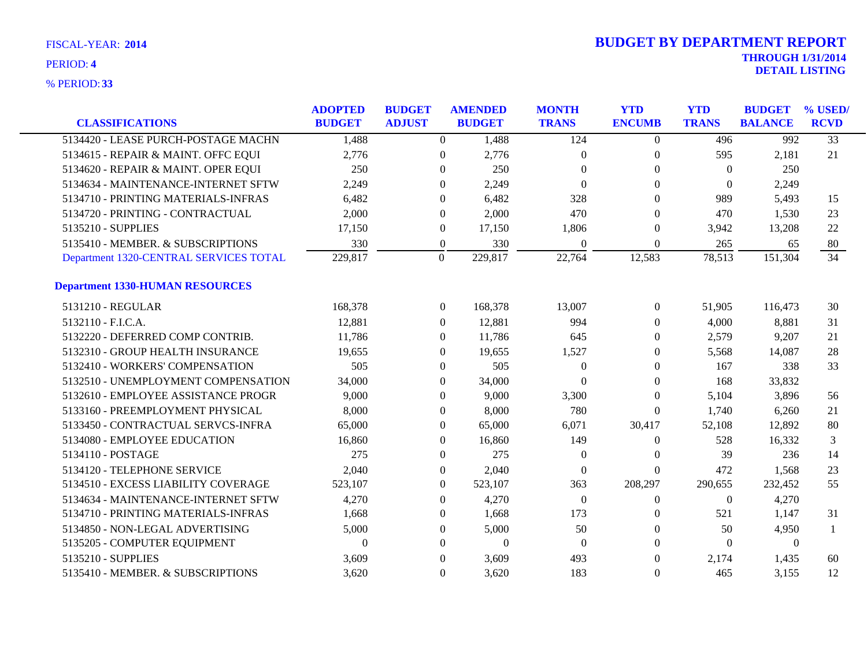| <b>CLASSIFICATIONS</b>                 | <b>ADOPTED</b><br><b>BUDGET</b> | <b>BUDGET</b><br><b>ADJUST</b> |                  | <b>AMENDED</b><br><b>BUDGET</b> | <b>MONTH</b><br><b>TRANS</b> | <b>YTD</b><br><b>ENCUMB</b> | <b>YTD</b><br><b>TRANS</b> | <b>BUDGET</b><br><b>BALANCE</b> | % USED/<br><b>RCVD</b> |
|----------------------------------------|---------------------------------|--------------------------------|------------------|---------------------------------|------------------------------|-----------------------------|----------------------------|---------------------------------|------------------------|
| 5134420 - LEASE PURCH-POSTAGE MACHN    | 1,488                           |                                | $\overline{0}$   | 1,488                           | 124                          | $\overline{0}$              | 496                        | 992                             | $\overline{33}$        |
| 5134615 - REPAIR & MAINT. OFFC EQUI    | 2,776                           |                                | $\overline{0}$   | 2,776                           | $\theta$                     | $\overline{0}$              | 595                        | 2,181                           | 21                     |
| 5134620 - REPAIR & MAINT. OPER EQUI    | 250                             |                                | $\overline{0}$   | 250                             | $\Omega$                     | $\Omega$                    | $\theta$                   | 250                             |                        |
| 5134634 - MAINTENANCE-INTERNET SFTW    | 2,249                           |                                | $\overline{0}$   | 2,249                           | $\theta$                     | $\boldsymbol{0}$            | $\overline{0}$             | 2,249                           |                        |
| 5134710 - PRINTING MATERIALS-INFRAS    | 6,482                           |                                | $\theta$         | 6,482                           | 328                          | $\theta$                    | 989                        | 5,493                           | 15                     |
| 5134720 - PRINTING - CONTRACTUAL       | 2,000                           |                                | $\Omega$         | 2,000                           | 470                          | $\Omega$                    | 470                        | 1,530                           | 23                     |
| 5135210 - SUPPLIES                     | 17,150                          |                                | $\boldsymbol{0}$ | 17,150                          | 1,806                        | $\overline{0}$              | 3,942                      | 13,208                          | 22                     |
| 5135410 - MEMBER. & SUBSCRIPTIONS      | 330                             |                                | $\boldsymbol{0}$ | 330                             | $\overline{0}$               | $\mathbf{0}$                | 265                        | 65                              | 80                     |
| Department 1320-CENTRAL SERVICES TOTAL | 229,817                         |                                | $\Omega$         | 229,817                         | 22,764                       | 12,583                      | 78,513                     | 151,304                         | 34                     |
| <b>Department 1330-HUMAN RESOURCES</b> |                                 |                                |                  |                                 |                              |                             |                            |                                 |                        |
| 5131210 - REGULAR                      | 168,378                         |                                | $\overline{0}$   | 168,378                         | 13,007                       | $\overline{0}$              | 51,905                     | 116,473                         | 30                     |
| 5132110 - F.I.C.A.                     | 12,881                          |                                | $\Omega$         | 12,881                          | 994                          | $\left($                    | 4,000                      | 8,881                           | 31                     |
| 5132220 - DEFERRED COMP CONTRIB.       | 11,786                          |                                | $\Omega$         | 11,786                          | 645                          | $\Omega$                    | 2,579                      | 9,207                           | 21                     |
| 5132310 - GROUP HEALTH INSURANCE       | 19,655                          |                                | $\overline{0}$   | 19,655                          | 1,527                        | $\Omega$                    | 5,568                      | 14,087                          | 28                     |
| 5132410 - WORKERS' COMPENSATION        | 505                             |                                | $\overline{0}$   | 505                             | $\Omega$                     | $\overline{0}$              | 167                        | 338                             | 33                     |
| 5132510 - UNEMPLOYMENT COMPENSATION    | 34,000                          |                                | $\overline{0}$   | 34,000                          | $\overline{0}$               | $\theta$                    | 168                        | 33,832                          |                        |
| 5132610 - EMPLOYEE ASSISTANCE PROGR    | 9,000                           |                                | $\Omega$         | 9,000                           | 3,300                        | $\Omega$                    | 5,104                      | 3,896                           | 56                     |
| 5133160 - PREEMPLOYMENT PHYSICAL       | 8,000                           |                                | $\Omega$         | 8,000                           | 780                          | $\Omega$                    | 1,740                      | 6,260                           | 21                     |
| 5133450 - CONTRACTUAL SERVCS-INFRA     | 65,000                          |                                | $\theta$         | 65,000                          | 6,071                        | 30,417                      | 52,108                     | 12,892                          | 80                     |
| 5134080 - EMPLOYEE EDUCATION           | 16,860                          |                                | $\overline{0}$   | 16,860                          | 149                          | $\overline{0}$              | 528                        | 16,332                          | 3                      |
| 5134110 - POSTAGE                      | 275                             |                                | $\overline{0}$   | 275                             | $\mathbf{0}$                 | $\overline{0}$              | 39                         | 236                             | 14                     |
| 5134120 - TELEPHONE SERVICE            | 2,040                           |                                | $\boldsymbol{0}$ | 2,040                           | $\boldsymbol{0}$             | $\mathbf{0}$                | 472                        | 1,568                           | 23                     |
| 5134510 - EXCESS LIABILITY COVERAGE    | 523,107                         |                                | 0                | 523,107                         | 363                          | 208,297                     | 290,655                    | 232,452                         | 55                     |
| 5134634 - MAINTENANCE-INTERNET SFTW    | 4,270                           |                                | $\theta$         | 4,270                           | $\theta$                     | $\overline{0}$              | $\theta$                   | 4,270                           |                        |
| 5134710 - PRINTING MATERIALS-INFRAS    | 1,668                           |                                | $\theta$         | 1,668                           | 173                          | $\Omega$                    | 521                        | 1,147                           | 31                     |
| 5134850 - NON-LEGAL ADVERTISING        | 5,000                           |                                | $\theta$         | 5,000                           | 50                           | $\theta$                    | 50                         | 4,950                           |                        |
| 5135205 - COMPUTER EQUIPMENT           | $\Omega$                        |                                | $\theta$         | $\mathbf{0}$                    | $\theta$                     | $\Omega$                    | $\theta$                   | $\theta$                        |                        |
| 5135210 - SUPPLIES                     | 3,609                           |                                | $\Omega$         | 3,609                           | 493                          | $\Omega$                    | 2,174                      | 1,435                           | 60                     |
| 5135410 - MEMBER. & SUBSCRIPTIONS      | 3,620                           |                                | $\Omega$         | 3,620                           | 183                          | $\boldsymbol{0}$            | 465                        | 3,155                           | 12                     |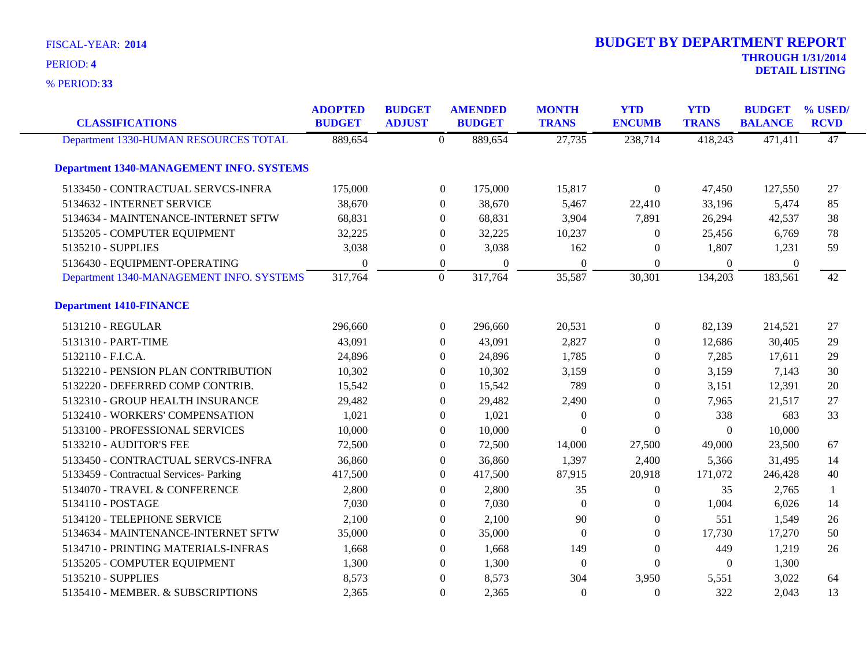**33** % PERIOD:

| <b>CLASSIFICATIONS</b>                          | <b>ADOPTED</b><br><b>BUDGET</b> | <b>BUDGET</b><br><b>ADJUST</b> | <b>AMENDED</b><br><b>BUDGET</b> | <b>MONTH</b><br><b>TRANS</b> | <b>YTD</b><br><b>ENCUMB</b> | <b>YTD</b><br><b>TRANS</b> | <b>BUDGET</b><br><b>BALANCE</b> | % USED/<br><b>RCVD</b> |
|-------------------------------------------------|---------------------------------|--------------------------------|---------------------------------|------------------------------|-----------------------------|----------------------------|---------------------------------|------------------------|
| Department 1330-HUMAN RESOURCES TOTAL           | 889,654                         | $\theta$                       | 889,654                         | 27,735                       | 238,714                     | 418,243                    | 471,411                         | 47                     |
| <b>Department 1340-MANAGEMENT INFO. SYSTEMS</b> |                                 |                                |                                 |                              |                             |                            |                                 |                        |
| 5133450 - CONTRACTUAL SERVCS-INFRA              | 175,000                         |                                | $\boldsymbol{0}$<br>175,000     | 15,817                       | $\overline{0}$              | 47,450                     | 127,550                         | 27                     |
| 5134632 - INTERNET SERVICE                      | 38,670                          |                                | 38,670<br>$\Omega$              | 5,467                        | 22,410                      | 33,196                     | 5,474                           | 85                     |
| 5134634 - MAINTENANCE-INTERNET SFTW             | 68,831                          |                                | 68,831<br>$\Omega$              | 3,904                        | 7,891                       | 26,294                     | 42,537                          | 38                     |
| 5135205 - COMPUTER EQUIPMENT                    | 32,225                          | $\theta$                       | 32,225                          | 10,237                       | $\overline{0}$              | 25,456                     | 6,769                           | 78                     |
| 5135210 - SUPPLIES                              | 3,038                           |                                | 3,038<br>$\boldsymbol{0}$       | 162                          | $\theta$                    | 1,807                      | 1,231                           | 59                     |
| 5136430 - EQUIPMENT-OPERATING                   | $\theta$                        |                                | $\boldsymbol{0}$<br>$\theta$    | $\theta$                     | $\Omega$                    | $\mathbf{0}$               | $\overline{0}$                  |                        |
| Department 1340-MANAGEMENT INFO. SYSTEMS        | 317,764                         | $\mathbf{0}$                   | 317,764                         | 35,587                       | 30,301                      | 134,203                    | 183,561                         | 42                     |
| <b>Department 1410-FINANCE</b>                  |                                 |                                |                                 |                              |                             |                            |                                 |                        |
| 5131210 - REGULAR                               | 296,660                         |                                | $\overline{0}$<br>296,660       | 20,531                       | $\overline{0}$              | 82,139                     | 214,521                         | 27                     |
| 5131310 - PART-TIME                             | 43,091                          |                                | 43,091<br>$\overline{0}$        | 2,827                        | $\overline{0}$              | 12,686                     | 30,405                          | 29                     |
| 5132110 - F.I.C.A.                              | 24,896                          |                                | 24,896<br>$\theta$              | 1,785                        | $\overline{0}$              | 7,285                      | 17,611                          | 29                     |
| 5132210 - PENSION PLAN CONTRIBUTION             | 10,302                          |                                | 10,302<br>$\Omega$              | 3,159                        | $\Omega$                    | 3,159                      | 7,143                           | 30                     |
| 5132220 - DEFERRED COMP CONTRIB.                | 15,542                          | $\Omega$                       | 15,542                          | 789                          | $\Omega$                    | 3,151                      | 12,391                          | 20                     |
| 5132310 - GROUP HEALTH INSURANCE                | 29,482                          | $\theta$                       | 29,482                          | 2,490                        | $\overline{0}$              | 7,965                      | 21,517                          | 27                     |
| 5132410 - WORKERS' COMPENSATION                 | 1,021                           |                                | 1,021<br>$\theta$               | $\theta$                     | $\Omega$                    | 338                        | 683                             | 33                     |
| 5133100 - PROFESSIONAL SERVICES                 | 10,000                          |                                | 10,000<br>$\theta$              | $\Omega$                     | $\Omega$                    | $\Omega$                   | 10,000                          |                        |
| 5133210 - AUDITOR'S FEE                         | 72,500                          | $\theta$                       | 72,500                          | 14,000                       | 27,500                      | 49,000                     | 23,500                          | 67                     |
| 5133450 - CONTRACTUAL SERVCS-INFRA              | 36,860                          | $\boldsymbol{0}$               | 36,860                          | 1,397                        | 2,400                       | 5,366                      | 31,495                          | 14                     |
| 5133459 - Contractual Services- Parking         | 417,500                         |                                | 417,500<br>$\boldsymbol{0}$     | 87,915                       | 20,918                      | 171,072                    | 246,428                         | 40                     |
| 5134070 - TRAVEL & CONFERENCE                   | 2,800                           | $\Omega$                       | 2,800                           | 35                           | $\overline{0}$              | 35                         | 2,765                           | 1                      |
| 5134110 - POSTAGE                               | 7,030                           | $\Omega$                       | 7,030                           | $\Omega$                     | $\Omega$                    | 1,004                      | 6,026                           | 14                     |
| 5134120 - TELEPHONE SERVICE                     | 2,100                           | $\boldsymbol{0}$               | 2,100                           | 90                           | $\boldsymbol{0}$            | 551                        | 1,549                           | 26                     |
| 5134634 - MAINTENANCE-INTERNET SFTW             | 35,000                          | $\overline{0}$                 | 35,000                          | $\Omega$                     | $\overline{0}$              | 17,730                     | 17,270                          | 50                     |
| 5134710 - PRINTING MATERIALS-INFRAS             | 1,668                           | $\Omega$                       | 1,668                           | 149                          | $\Omega$                    | 449                        | 1,219                           | 26                     |
| 5135205 - COMPUTER EQUIPMENT                    | 1,300                           | $\Omega$                       | 1,300                           | $\Omega$                     | $\Omega$                    | $\theta$                   | 1,300                           |                        |
| 5135210 - SUPPLIES                              | 8,573                           | $\Omega$                       | 8,573                           | 304                          | 3,950                       | 5,551                      | 3,022                           | 64                     |
| 5135410 - MEMBER. & SUBSCRIPTIONS               | 2,365                           | $\theta$                       | 2,365                           | $\Omega$                     | $\Omega$                    | 322                        | 2,043                           | 13                     |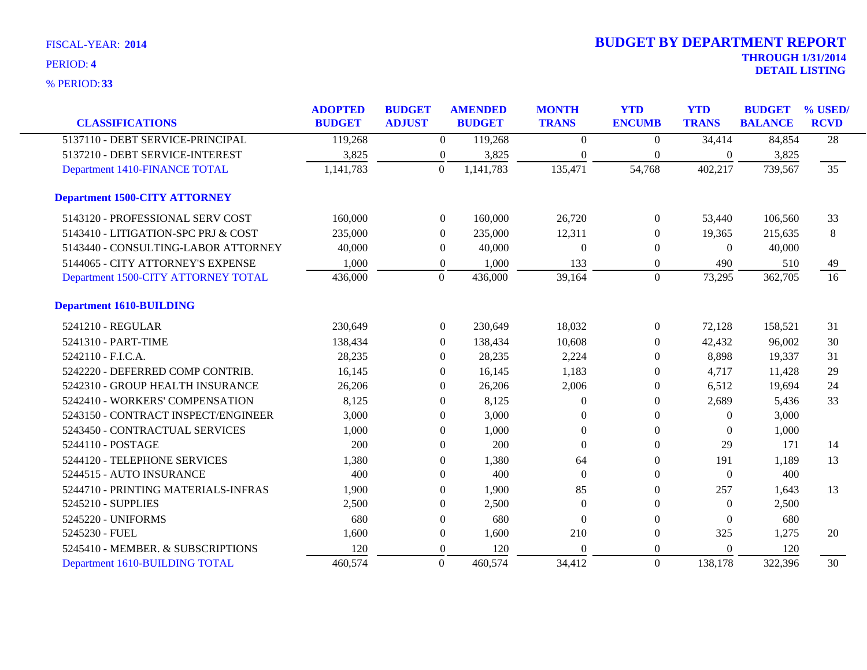| <b>CLASSIFICATIONS</b>               | <b>ADOPTED</b><br><b>BUDGET</b> | <b>BUDGET</b><br><b>ADJUST</b> |                  | <b>AMENDED</b><br><b>BUDGET</b> | <b>MONTH</b><br><b>TRANS</b> | <b>YTD</b><br><b>ENCUMB</b> | <b>YTD</b><br><b>TRANS</b> | <b>BUDGET</b><br><b>BALANCE</b> | % USED/<br><b>RCVD</b> |
|--------------------------------------|---------------------------------|--------------------------------|------------------|---------------------------------|------------------------------|-----------------------------|----------------------------|---------------------------------|------------------------|
|                                      |                                 |                                |                  |                                 |                              |                             |                            |                                 |                        |
| 5137110 - DEBT SERVICE-PRINCIPAL     | 119,268                         |                                | $\boldsymbol{0}$ | 119,268                         | $\overline{0}$               | $\mathbf{0}$                | 34,414                     | 84,854                          | $\overline{28}$        |
| 5137210 - DEBT SERVICE-INTEREST      | 3,825                           |                                | $\overline{0}$   | 3,825                           | $\Omega$                     | 0                           | $\overline{0}$             | 3,825                           |                        |
| Department 1410-FINANCE TOTAL        | 1,141,783                       |                                | $\overline{0}$   | 1,141,783                       | 135,471                      | 54,768                      | 402,217                    | 739,567                         | $\overline{35}$        |
| <b>Department 1500-CITY ATTORNEY</b> |                                 |                                |                  |                                 |                              |                             |                            |                                 |                        |
| 5143120 - PROFESSIONAL SERV COST     | 160,000                         |                                | $\overline{0}$   | 160,000                         | 26,720                       | $\Omega$                    | 53,440                     | 106,560                         | 33                     |
| 5143410 - LITIGATION-SPC PRJ & COST  | 235,000                         |                                | $\Omega$         | 235,000                         | 12,311                       | 0                           | 19,365                     | 215,635                         | 8                      |
| 5143440 - CONSULTING-LABOR ATTORNEY  | 40,000                          |                                | $\overline{0}$   | 40,000                          | $\Omega$                     | 0                           | $\Omega$                   | 40,000                          |                        |
| 5144065 - CITY ATTORNEY'S EXPENSE    | 1,000                           |                                | $\overline{0}$   | 1,000                           | 133                          | 0                           | 490                        | 510                             | 49                     |
| Department 1500-CITY ATTORNEY TOTAL  | 436,000                         |                                | $\overline{0}$   | 436,000                         | 39,164                       | $\overline{0}$              | 73,295                     | 362,705                         | $\overline{16}$        |
| <b>Department 1610-BUILDING</b>      |                                 |                                |                  |                                 |                              |                             |                            |                                 |                        |
| 5241210 - REGULAR                    | 230,649                         |                                | $\boldsymbol{0}$ | 230,649                         | 18,032                       | $\boldsymbol{0}$            | 72,128                     | 158,521                         | 31                     |
| 5241310 - PART-TIME                  | 138,434                         |                                | $\overline{0}$   | 138,434                         | 10,608                       | 0                           | 42,432                     | 96,002                          | 30                     |
| 5242110 - F.I.C.A.                   | 28,235                          |                                | $\Omega$         | 28,235                          | 2,224                        | $\Omega$                    | 8,898                      | 19,337                          | 31                     |
| 5242220 - DEFERRED COMP CONTRIB.     | 16,145                          |                                | $\Omega$         | 16,145                          | 1,183                        | $\Omega$                    | 4,717                      | 11,428                          | 29                     |
| 5242310 - GROUP HEALTH INSURANCE     | 26,206                          |                                | $\left($         | 26,206                          | 2,006                        | 0                           | 6,512                      | 19,694                          | 24                     |
| 5242410 - WORKERS' COMPENSATION      | 8,125                           |                                | $\theta$         | 8,125                           | $\Omega$                     | 0                           | 2,689                      | 5,436                           | 33                     |
| 5243150 - CONTRACT INSPECT/ENGINEER  | 3,000                           |                                | $\Omega$         | 3,000                           | $\Omega$                     | $\theta$                    | $\theta$                   | 3,000                           |                        |
| 5243450 - CONTRACTUAL SERVICES       | 1,000                           |                                | $\Omega$         | 1,000                           | $\Omega$                     | $\Omega$                    | $\Omega$                   | 1,000                           |                        |
| 5244110 - POSTAGE                    | 200                             |                                | $\Omega$         | 200                             | $\Omega$                     | $\theta$                    | 29                         | 171                             | 14                     |
| 5244120 - TELEPHONE SERVICES         | 1,380                           |                                | $\Omega$         | 1,380                           | 64                           | $\Omega$                    | 191                        | 1,189                           | 13                     |
| 5244515 - AUTO INSURANCE             | 400                             |                                | $\Omega$         | 400                             | $\Omega$                     | $\Omega$                    | $\Omega$                   | 400                             |                        |
| 5244710 - PRINTING MATERIALS-INFRAS  | 1,900                           |                                | $\theta$         | 1,900                           | 85                           | $\theta$                    | 257                        | 1,643                           | 13                     |
| 5245210 - SUPPLIES                   | 2,500                           |                                | $\overline{0}$   | 2,500                           | $\Omega$                     | 0                           | $\Omega$                   | 2,500                           |                        |
| 5245220 - UNIFORMS                   | 680                             |                                | $\theta$         | 680                             | $\Omega$                     | $\Omega$                    | $\mathbf{0}$               | 680                             |                        |
| 5245230 - FUEL                       | 1,600                           |                                | $\boldsymbol{0}$ | 1,600                           | 210                          | $\theta$                    | 325                        | 1,275                           | 20                     |
| 5245410 - MEMBER. & SUBSCRIPTIONS    | 120                             |                                | $\theta$         | 120                             | $\Omega$                     | $\theta$                    | $\Omega$                   | 120                             |                        |
| Department 1610-BUILDING TOTAL       | 460,574                         |                                | $\theta$         | 460,574                         | 34,412                       | $\overline{0}$              | 138,178                    | 322,396                         | 30                     |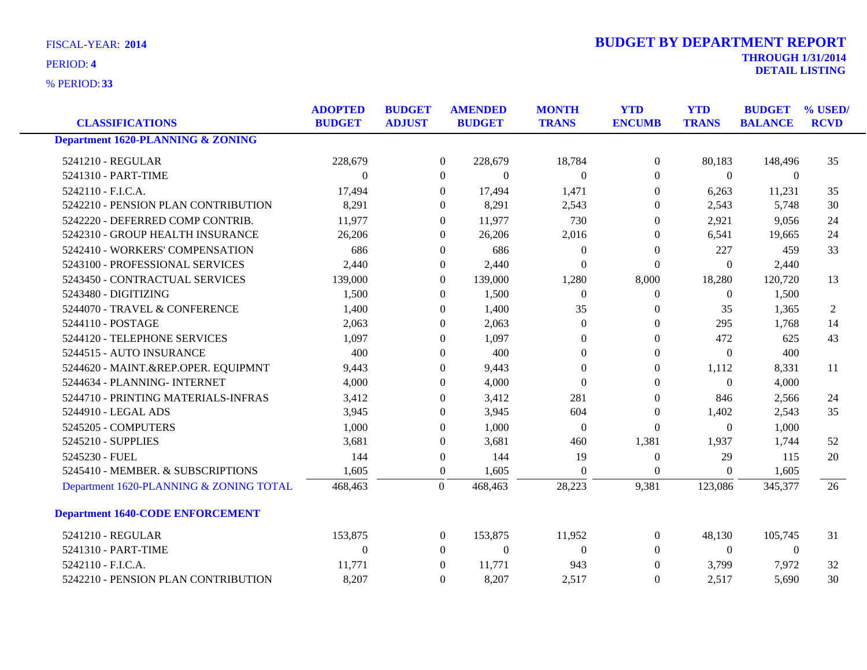**33** % PERIOD:

| <b>CLASSIFICATIONS</b>                  | <b>ADOPTED</b><br><b>BUDGET</b> | <b>BUDGET</b><br><b>ADJUST</b> | <b>AMENDED</b><br><b>BUDGET</b> | <b>MONTH</b><br><b>TRANS</b> | <b>YTD</b><br><b>ENCUMB</b> | <b>YTD</b><br><b>TRANS</b> | <b>BUDGET</b><br><b>BALANCE</b> | % USED/<br><b>RCVD</b> |
|-----------------------------------------|---------------------------------|--------------------------------|---------------------------------|------------------------------|-----------------------------|----------------------------|---------------------------------|------------------------|
| Department 1620-PLANNING & ZONING       |                                 |                                |                                 |                              |                             |                            |                                 |                        |
| 5241210 - REGULAR                       | 228,679                         |                                | $\overline{0}$<br>228,679       | 18,784                       | $\theta$                    | 80,183                     | 148,496                         | 35                     |
| 5241310 - PART-TIME                     | $\Omega$                        |                                | $\Omega$<br>$\Omega$            | $\Omega$                     | $\Omega$                    | $\Omega$                   | $\theta$                        |                        |
| 5242110 - F.I.C.A.                      | 17,494                          |                                | 17,494<br>$\Omega$              | 1,471                        | $\Omega$                    | 6,263                      | 11,231                          | 35                     |
| 5242210 - PENSION PLAN CONTRIBUTION     | 8,291                           |                                | $\overline{0}$<br>8,291         | 2,543                        | $\overline{0}$              | 2,543                      | 5,748                           | 30                     |
| 5242220 - DEFERRED COMP CONTRIB.        | 11,977                          |                                | 11,977<br>$\Omega$              | 730                          | $\Omega$                    | 2,921                      | 9,056                           | 24                     |
| 5242310 - GROUP HEALTH INSURANCE        | 26,206                          |                                | 26,206<br>$\Omega$              | 2,016                        | $\Omega$                    | 6,541                      | 19,665                          | 24                     |
| 5242410 - WORKERS' COMPENSATION         | 686                             |                                | 686<br>$\mathbf{0}$             | $\overline{0}$               | $\Omega$                    | 227                        | 459                             | 33                     |
| 5243100 - PROFESSIONAL SERVICES         | 2,440                           |                                | 2,440<br>$\overline{0}$         | $\Omega$                     | $\Omega$                    | $\overline{0}$             | 2,440                           |                        |
| 5243450 - CONTRACTUAL SERVICES          | 139,000                         |                                | 139,000<br>$\Omega$             | 1,280                        | 8,000                       | 18,280                     | 120,720                         | 13                     |
| 5243480 - DIGITIZING                    | 1,500                           |                                | 1,500<br>$\mathbf{0}$           | $\Omega$                     | $\Omega$                    | $\overline{0}$             | 1,500                           |                        |
| 5244070 - TRAVEL & CONFERENCE           | 1,400                           |                                | 1,400<br>$\mathbf{0}$           | 35                           | $\mathbf{0}$                | 35                         | 1,365                           | 2                      |
| 5244110 - POSTAGE                       | 2,063                           |                                | 2,063<br>$\Omega$               | $\overline{0}$               | $\Omega$                    | 295                        | 1,768                           | 14                     |
| 5244120 - TELEPHONE SERVICES            | 1,097                           |                                | 1,097<br>$\Omega$               | $\theta$                     | $\Omega$                    | 472                        | 625                             | 43                     |
| 5244515 - AUTO INSURANCE                | 400                             |                                | 400<br>$\Omega$                 | $\theta$                     | $\Omega$                    | $\theta$                   | 400                             |                        |
| 5244620 - MAINT.&REP.OPER. EQUIPMNT     | 9,443                           |                                | 9,443<br>$\Omega$               | $\Omega$                     | $\Omega$                    | 1,112                      | 8,331                           | 11                     |
| 5244634 - PLANNING- INTERNET            | 4,000                           |                                | 4,000<br>$\Omega$               | $\Omega$                     | $\Omega$                    | $\theta$                   | 4,000                           |                        |
| 5244710 - PRINTING MATERIALS-INFRAS     | 3,412                           |                                | 3,412<br>$\Omega$               | 281                          | $\Omega$                    | 846                        | 2,566                           | 24                     |
| 5244910 - LEGAL ADS                     | 3,945                           |                                | $\mathbf{0}$<br>3,945           | 604                          | $\Omega$                    | 1,402                      | 2,543                           | 35                     |
| 5245205 - COMPUTERS                     | 1,000                           |                                | 1,000<br>$\Omega$               | $\Omega$                     | $\Omega$                    | $\Omega$                   | 1,000                           |                        |
| 5245210 - SUPPLIES                      | 3,681                           |                                | 3,681<br>$\Omega$               | 460                          | 1,381                       | 1,937                      | 1,744                           | 52                     |
| 5245230 - FUEL                          | 144                             |                                | 144<br>$\boldsymbol{0}$         | 19                           | $\mathbf{0}$                | 29                         | 115                             | 20                     |
| 5245410 - MEMBER. & SUBSCRIPTIONS       | 1,605                           |                                | $\overline{0}$<br>1,605         | $\Omega$                     | $\Omega$                    | $\theta$                   | 1,605                           |                        |
| Department 1620-PLANNING & ZONING TOTAL | 468,463                         | $\mathbf{0}$                   | 468,463                         | 28,223                       | 9,381                       | 123,086                    | 345,377                         | 26                     |
| <b>Department 1640-CODE ENFORCEMENT</b> |                                 |                                |                                 |                              |                             |                            |                                 |                        |
| 5241210 - REGULAR                       | 153,875                         |                                | 153,875<br>$\overline{0}$       | 11,952                       | $\overline{0}$              | 48,130                     | 105,745                         | 31                     |
| 5241310 - PART-TIME                     | $\Omega$                        |                                | $\theta$<br>$\theta$            | $\Omega$                     | $\Omega$                    | $\overline{0}$             | $\theta$                        |                        |
| 5242110 - F.I.C.A.                      | 11,771                          |                                | 11,771<br>$\Omega$              | 943                          | $\Omega$                    | 3,799                      | 7,972                           | 32                     |
| 5242210 - PENSION PLAN CONTRIBUTION     | 8,207                           |                                | 8,207<br>$\mathbf{0}$           | 2,517                        | $\Omega$                    | 2,517                      | 5,690                           | 30                     |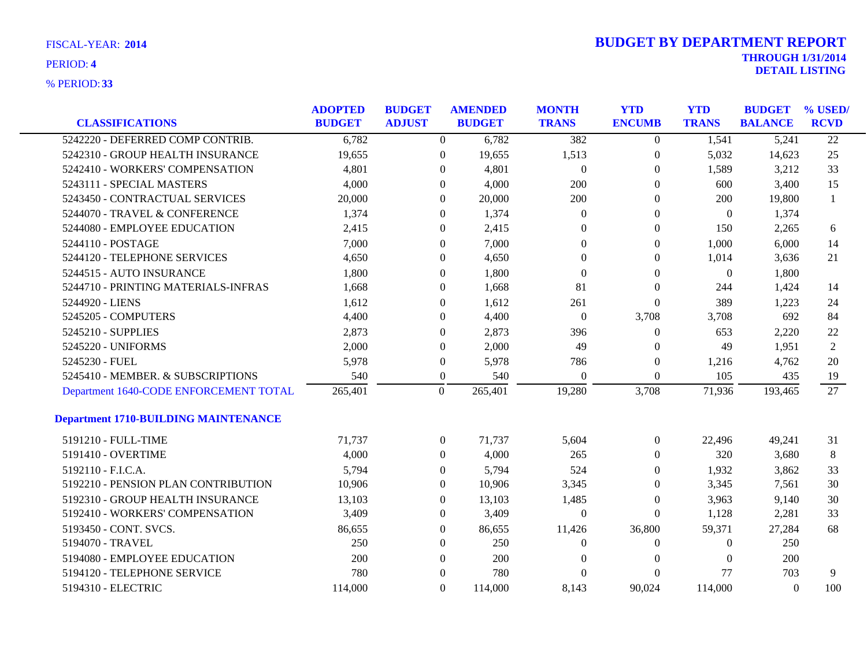| <b>FISCAL-YEAR: 2014</b> |  |
|--------------------------|--|
|                          |  |

| <b>CLASSIFICATIONS</b>                      | <b>ADOPTED</b><br><b>BUDGET</b> | <b>BUDGET</b><br><b>ADJUST</b> | <b>AMENDED</b><br><b>BUDGET</b> | <b>MONTH</b><br><b>TRANS</b> | <b>YTD</b><br><b>ENCUMB</b> | <b>YTD</b><br><b>TRANS</b> | <b>BUDGET</b><br><b>BALANCE</b> | % USED/<br><b>RCVD</b> |
|---------------------------------------------|---------------------------------|--------------------------------|---------------------------------|------------------------------|-----------------------------|----------------------------|---------------------------------|------------------------|
| 5242220 - DEFERRED COMP CONTRIB.            | 6,782                           | $\overline{0}$                 | 6,782                           | 382                          | $\overline{0}$              | 1,541                      | 5,241                           | $\overline{22}$        |
| 5242310 - GROUP HEALTH INSURANCE            | 19,655                          | $\mathbf{0}$                   | 19,655                          | 1,513                        | $\overline{0}$              | 5,032                      | 14,623                          | 25                     |
| 5242410 - WORKERS' COMPENSATION             | 4,801                           | $\theta$                       | 4,801                           | $\overline{0}$               | $\overline{0}$              | 1,589                      | 3,212                           | 33                     |
| 5243111 - SPECIAL MASTERS                   | 4,000                           | $\Omega$                       | 4,000                           | 200                          | 0                           | 600                        | 3,400                           | 15                     |
| 5243450 - CONTRACTUAL SERVICES              | 20,000                          | $\Omega$                       | 20,000                          | 200                          | $\theta$                    | 200                        | 19,800                          | $\mathbf{1}$           |
| 5244070 - TRAVEL & CONFERENCE               | 1,374                           | $\overline{0}$                 | 1,374                           | $\overline{0}$               | $\boldsymbol{0}$            | $\overline{0}$             | 1,374                           |                        |
| 5244080 - EMPLOYEE EDUCATION                | 2,415                           | $\theta$                       | 2,415                           | $\Omega$                     | $\overline{0}$              | 150                        | 2,265                           | 6                      |
| 5244110 - POSTAGE                           | 7,000                           | $\Omega$                       | 7,000                           | $\Omega$                     | $\overline{0}$              | 1,000                      | 6,000                           | 14                     |
| 5244120 - TELEPHONE SERVICES                | 4,650                           | $\Omega$                       | 4,650                           | $\Omega$                     | $\mathbf{0}$                | 1,014                      | 3,636                           | 21                     |
| 5244515 - AUTO INSURANCE                    | 1,800                           | $\overline{0}$                 | 1,800                           | $\boldsymbol{0}$             | $\mathbf{0}$                | $\boldsymbol{0}$           | 1,800                           |                        |
| 5244710 - PRINTING MATERIALS-INFRAS         | 1,668                           | $\Omega$                       | 1,668                           | 81                           | $\overline{0}$              | 244                        | 1,424                           | 14                     |
| 5244920 - LIENS                             | 1,612                           | $\Omega$                       | 1,612                           | 261                          | $\Omega$                    | 389                        | 1,223                           | 24                     |
| 5245205 - COMPUTERS                         | 4,400                           | $\Omega$                       | 4,400                           | $\overline{0}$               | 3,708                       | 3,708                      | 692                             | 84                     |
| 5245210 - SUPPLIES                          | 2,873                           | $\mathbf{0}$                   | 2,873                           | 396                          | $\overline{0}$              | 653                        | 2,220                           | 22                     |
| 5245220 - UNIFORMS                          | 2,000                           | $\theta$                       | 2,000                           | 49                           | 0                           | 49                         | 1,951                           | $\overline{2}$         |
| 5245230 - FUEL                              | 5,978                           | $\boldsymbol{0}$               | 5,978                           | 786                          | $\overline{0}$              | 1,216                      | 4,762                           | 20                     |
| 5245410 - MEMBER. & SUBSCRIPTIONS           | 540                             | $\overline{0}$                 | 540                             | $\overline{0}$               | $\boldsymbol{0}$            | 105                        | 435                             | 19                     |
| Department 1640-CODE ENFORCEMENT TOTAL      | 265,401                         | $\overline{0}$                 | 265,401                         | 19,280                       | 3,708                       | 71,936                     | 193,465                         | 27                     |
| <b>Department 1710-BUILDING MAINTENANCE</b> |                                 |                                |                                 |                              |                             |                            |                                 |                        |
| 5191210 - FULL-TIME                         | 71,737                          | $\overline{0}$                 | 71,737                          | 5,604                        | $\overline{0}$              | 22,496                     | 49,241                          | 31                     |
| 5191410 - OVERTIME                          | 4,000                           | $\overline{0}$                 | 4,000                           | 265                          | $\overline{0}$              | 320                        | 3,680                           | 8                      |
| 5192110 - F.I.C.A.                          | 5,794                           | $\overline{0}$                 | 5,794                           | 524                          | 0                           | 1,932                      | 3,862                           | 33                     |
| 5192210 - PENSION PLAN CONTRIBUTION         | 10,906                          | $\overline{0}$                 | 10,906                          | 3,345                        | $\theta$                    | 3,345                      | 7,561                           | 30                     |
| 5192310 - GROUP HEALTH INSURANCE            | 13,103                          | $\Omega$                       | 13,103                          | 1,485                        | $\overline{0}$              | 3,963                      | 9,140                           | 30                     |
| 5192410 - WORKERS' COMPENSATION             | 3,409                           | $\overline{0}$                 | 3,409                           | $\mathbf{0}$                 | $\Omega$                    | 1,128                      | 2,281                           | 33                     |
| 5193450 - CONT. SVCS.                       | 86,655                          | $\overline{0}$                 | 86,655                          | 11,426                       | 36,800                      | 59,371                     | 27,284                          | 68                     |
| 5194070 - TRAVEL                            | 250                             | $\overline{0}$                 | 250                             | $\theta$                     | $\overline{0}$              | $\Omega$                   | 250                             |                        |
| 5194080 - EMPLOYEE EDUCATION                | 200                             | $\Omega$                       | 200                             | $\theta$                     | $\Omega$                    | $\Omega$                   | 200                             |                        |
| 5194120 - TELEPHONE SERVICE                 | 780                             | $\Omega$                       | 780                             | $\Omega$                     | $\Omega$                    | 77                         | 703                             | 9                      |
| 5194310 - ELECTRIC                          | 114,000                         | $\Omega$                       | 114,000                         | 8,143                        | 90.024                      | 114,000                    | $\Omega$                        | 100                    |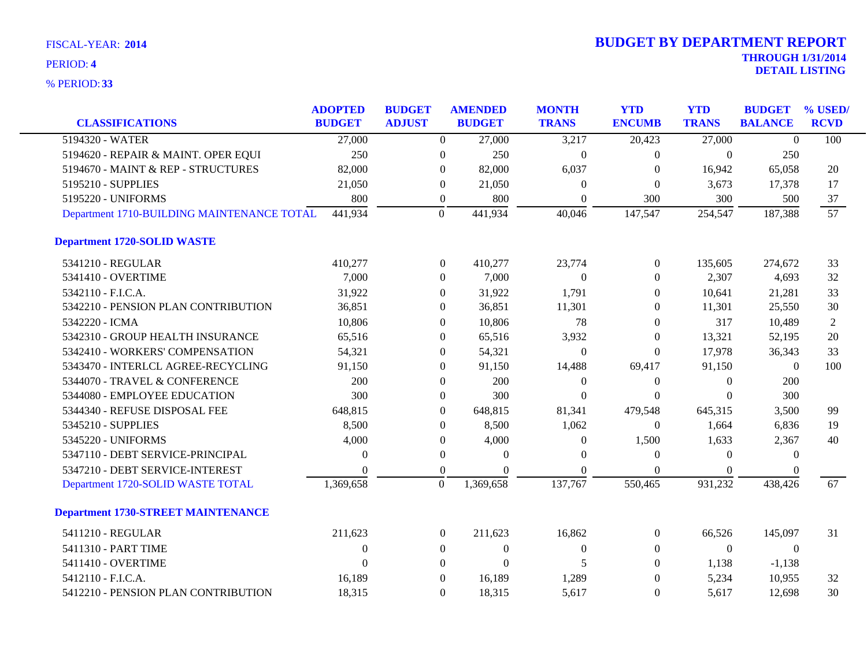| <b>CLASSIFICATIONS</b>                     | <b>ADOPTED</b><br><b>BUDGET</b> | <b>BUDGET</b><br><b>ADJUST</b> |                  | <b>AMENDED</b><br><b>BUDGET</b> | <b>MONTH</b><br><b>TRANS</b> | <b>YTD</b><br><b>ENCUMB</b> | <b>YTD</b><br><b>TRANS</b> | <b>BUDGET</b><br><b>BALANCE</b> | % USED/<br><b>RCVD</b> |
|--------------------------------------------|---------------------------------|--------------------------------|------------------|---------------------------------|------------------------------|-----------------------------|----------------------------|---------------------------------|------------------------|
| 5194320 - WATER                            |                                 |                                |                  |                                 |                              |                             |                            |                                 |                        |
|                                            | 27,000                          |                                | $\overline{0}$   | 27,000                          | 3,217                        | 20,423                      | 27,000                     | $\theta$                        | 100                    |
| 5194620 - REPAIR & MAINT. OPER EQUI        | 250                             |                                | $\boldsymbol{0}$ | 250                             | $\Omega$                     | $\overline{0}$              | $\theta$                   | 250                             |                        |
| 5194670 - MAINT & REP - STRUCTURES         | 82,000                          |                                | $\Omega$         | 82,000                          | 6,037                        | $\Omega$                    | 16,942                     | 65,058                          | 20                     |
| 5195210 - SUPPLIES                         | 21,050                          |                                | $\theta$         | 21,050                          | $\theta$                     | $\mathbf{0}$                | 3,673                      | 17,378                          | 17                     |
| 5195220 - UNIFORMS                         | 800                             |                                | $\boldsymbol{0}$ | 800                             | $\boldsymbol{0}$             | 300                         | 300                        | 500                             | 37                     |
| Department 1710-BUILDING MAINTENANCE TOTAL | 441,934                         |                                | $\overline{0}$   | 441,934                         | 40,046                       | 147,547                     | 254,547                    | 187,388                         | 57                     |
| <b>Department 1720-SOLID WASTE</b>         |                                 |                                |                  |                                 |                              |                             |                            |                                 |                        |
| 5341210 - REGULAR                          | 410,277                         |                                | $\boldsymbol{0}$ | 410,277                         | 23,774                       | $\boldsymbol{0}$            | 135,605                    | 274,672                         | 33                     |
| 5341410 - OVERTIME                         | 7,000                           |                                | $\overline{0}$   | 7,000                           | $\theta$                     | $\overline{0}$              | 2,307                      | 4,693                           | 32                     |
| 5342110 - F.I.C.A.                         | 31,922                          |                                | $\mathbf{0}$     | 31,922                          | 1,791                        | $\Omega$                    | 10,641                     | 21,281                          | 33                     |
| 5342210 - PENSION PLAN CONTRIBUTION        | 36,851                          |                                | $\theta$         | 36,851                          | 11,301                       | $\overline{0}$              | 11,301                     | 25,550                          | 30                     |
| 5342220 - ICMA                             | 10,806                          |                                | $\Omega$         | 10,806                          | 78                           | $\Omega$                    | 317                        | 10,489                          | 2                      |
| 5342310 - GROUP HEALTH INSURANCE           | 65,516                          |                                | $\theta$         | 65,516                          | 3,932                        | $\overline{0}$              | 13,321                     | 52,195                          | 20                     |
| 5342410 - WORKERS' COMPENSATION            | 54,321                          |                                | $\overline{0}$   | 54,321                          | $\theta$                     | $\Omega$                    | 17,978                     | 36,343                          | 33                     |
| 5343470 - INTERLCL AGREE-RECYCLING         | 91,150                          |                                | $\boldsymbol{0}$ | 91,150                          | 14,488                       | 69,417                      | 91,150                     | $\boldsymbol{0}$                | 100                    |
| 5344070 - TRAVEL & CONFERENCE              | 200                             |                                | $\theta$         | 200                             | $\Omega$                     | $\overline{0}$              | $\overline{0}$             | 200                             |                        |
| 5344080 - EMPLOYEE EDUCATION               | 300                             |                                | $\overline{0}$   | 300                             | $\Omega$                     | $\mathbf{0}$                | $\overline{0}$             | 300                             |                        |
| 5344340 - REFUSE DISPOSAL FEE              | 648,815                         |                                | $\boldsymbol{0}$ | 648,815                         | 81,341                       | 479,548                     | 645,315                    | 3,500                           | 99                     |
| 5345210 - SUPPLIES                         | 8,500                           |                                | $\mathbf{0}$     | 8,500                           | 1,062                        | $\mathbf{0}$                | 1,664                      | 6,836                           | 19                     |
| 5345220 - UNIFORMS                         | 4,000                           |                                | $\boldsymbol{0}$ | 4,000                           | $\theta$                     | 1,500                       | 1,633                      | 2,367                           | 40                     |
| 5347110 - DEBT SERVICE-PRINCIPAL           | $\Omega$                        |                                | $\mathbf{0}$     | $\Omega$                        | $\Omega$                     | $\Omega$                    | $\theta$                   | $\theta$                        |                        |
| 5347210 - DEBT SERVICE-INTEREST            | $\Omega$                        |                                | $\boldsymbol{0}$ | $\Omega$                        | $\Omega$                     | $\mathbf{0}$                | $\Omega$                   | $\theta$                        |                        |
| Department 1720-SOLID WASTE TOTAL          | 1,369,658                       |                                | $\overline{0}$   | 1,369,658                       | 137,767                      | 550,465                     | 931,232                    | 438,426                         | 67                     |
| <b>Department 1730-STREET MAINTENANCE</b>  |                                 |                                |                  |                                 |                              |                             |                            |                                 |                        |
| 5411210 - REGULAR                          | 211,623                         |                                | $\boldsymbol{0}$ | 211,623                         | 16,862                       | $\boldsymbol{0}$            | 66,526                     | 145,097                         | 31                     |
| 5411310 - PART TIME                        | $\Omega$                        |                                | $\overline{0}$   | $\overline{0}$                  | $\Omega$                     | $\Omega$                    | $\theta$                   | $\theta$                        |                        |
| 5411410 - OVERTIME                         | $\overline{0}$                  |                                | $\mathbf{0}$     | $\boldsymbol{0}$                | 5                            | $\Omega$                    | 1,138                      | $-1,138$                        |                        |
| 5412110 - F.I.C.A.                         | 16,189                          |                                | $\boldsymbol{0}$ | 16,189                          | 1,289                        | $\mathbf{0}$                | 5,234                      | 10,955                          | 32                     |
| 5412210 - PENSION PLAN CONTRIBUTION        | 18,315                          |                                | $\Omega$         | 18,315                          | 5,617                        | $\Omega$                    | 5,617                      | 12,698                          | 30                     |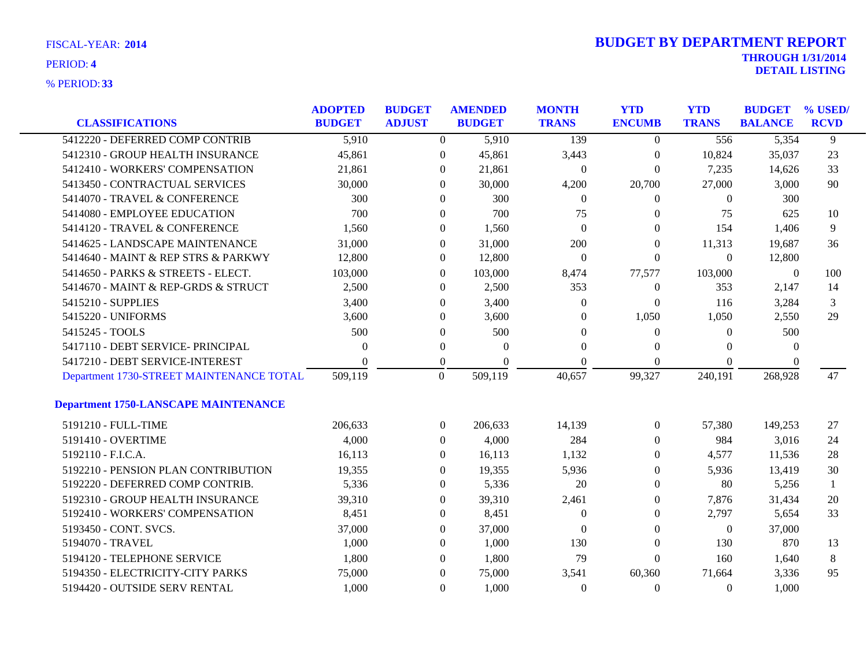| FISCAL-YEAR: 2014 |  |
|-------------------|--|
| PERIOD: 4         |  |

| <b>CLASSIFICATIONS</b>                      | <b>ADOPTED</b><br><b>BUDGET</b> | <b>BUDGET</b><br><b>ADJUST</b> | <b>AMENDED</b><br><b>BUDGET</b> | <b>MONTH</b><br><b>TRANS</b> | <b>YTD</b><br><b>ENCUMB</b> | <b>YTD</b><br><b>TRANS</b> | <b>BUDGET</b><br><b>BALANCE</b> | % USED/<br><b>RCVD</b> |
|---------------------------------------------|---------------------------------|--------------------------------|---------------------------------|------------------------------|-----------------------------|----------------------------|---------------------------------|------------------------|
| 5412220 - DEFERRED COMP CONTRIB             | 5,910                           | $\Omega$                       | 5,910                           | 139                          | $\overline{0}$              | 556                        | 5,354                           | 9                      |
| 5412310 - GROUP HEALTH INSURANCE            | 45,861                          | $\mathbf{0}$                   | 45,861                          | 3,443                        | $\boldsymbol{0}$            | 10,824                     | 35,037                          | 23                     |
| 5412410 - WORKERS' COMPENSATION             | 21,861                          | $\Omega$                       | 21,861                          | $\overline{0}$               | $\theta$                    | 7,235                      | 14,626                          | 33                     |
| 5413450 - CONTRACTUAL SERVICES              | 30,000                          | $\Omega$                       | 30,000                          | 4,200                        | 20,700                      | 27,000                     | 3,000                           | 90                     |
| 5414070 - TRAVEL & CONFERENCE               | 300                             | $\Omega$                       | 300                             | $\overline{0}$               | 0                           | $\theta$                   | 300                             |                        |
| 5414080 - EMPLOYEE EDUCATION                | 700                             | $\overline{0}$                 | 700                             | 75                           | 0                           | 75                         | 625                             | 10                     |
| 5414120 - TRAVEL & CONFERENCE               | 1,560                           | $\overline{0}$                 | 1,560                           | $\Omega$                     | 0                           | 154                        | 1,406                           | 9                      |
| 5414625 - LANDSCAPE MAINTENANCE             | 31,000                          | $\Omega$                       | 31,000                          | 200                          | $\Omega$                    | 11,313                     | 19,687                          | 36                     |
| 5414640 - MAINT & REP STRS & PARKWY         | 12,800                          | $\Omega$                       | 12,800                          | $\overline{0}$               | $\Omega$                    | $\Omega$                   | 12,800                          |                        |
| 5414650 - PARKS & STREETS - ELECT.          | 103,000                         | $\Omega$                       | 103,000                         | 8,474                        | 77,577                      | 103,000                    | $\theta$                        | 100                    |
| 5414670 - MAINT & REP-GRDS & STRUCT         | 2,500                           | $\Omega$                       | 2,500                           | 353                          | $\boldsymbol{0}$            | 353                        | 2,147                           | 14                     |
| 5415210 - SUPPLIES                          | 3,400                           | $\theta$                       | 3,400                           | $\overline{0}$               | $\theta$                    | 116                        | 3,284                           | 3                      |
| 5415220 - UNIFORMS                          | 3,600                           | $\theta$                       | 3,600                           | $\Omega$                     | 1,050                       | 1,050                      | 2,550                           | 29                     |
| 5415245 - TOOLS                             | 500                             | $\overline{0}$                 | 500                             | $\Omega$                     | $\boldsymbol{0}$            | $\theta$                   | 500                             |                        |
| 5417110 - DEBT SERVICE- PRINCIPAL           | $\Omega$                        | $\overline{0}$                 | $\theta$                        | $\Omega$                     | 0                           | $\Omega$                   | $\Omega$                        |                        |
| 5417210 - DEBT SERVICE-INTEREST             |                                 | $\theta$                       | $\Omega$                        | $\Omega$                     | $\Omega$                    | $\Omega$                   | 0                               |                        |
| Department 1730-STREET MAINTENANCE TOTAL    | 509,119                         | $\overline{0}$                 | 509,119                         | 40,657                       | 99,327                      | 240,191                    | 268,928                         | 47                     |
| <b>Department 1750-LANSCAPE MAINTENANCE</b> |                                 |                                |                                 |                              |                             |                            |                                 |                        |
| 5191210 - FULL-TIME                         | 206,633                         | $\overline{0}$                 | 206,633                         | 14,139                       | $\boldsymbol{0}$            | 57,380                     | 149,253                         | 27                     |
| 5191410 - OVERTIME                          | 4,000                           | $\Omega$                       | 4,000                           | 284                          | 0                           | 984                        | 3,016                           | 24                     |
| 5192110 - F.I.C.A.                          | 16,113                          | $\Omega$                       | 16,113                          | 1,132                        | 0                           | 4,577                      | 11,536                          | 28                     |
| 5192210 - PENSION PLAN CONTRIBUTION         | 19,355                          | $\Omega$                       | 19,355                          | 5,936                        | $\boldsymbol{0}$            | 5,936                      | 13,419                          | 30                     |
| 5192220 - DEFERRED COMP CONTRIB.            | 5,336                           | $\overline{0}$                 | 5,336                           | 20                           | $\Omega$                    | 80                         | 5,256                           | $\mathbf{1}$           |
| 5192310 - GROUP HEALTH INSURANCE            | 39,310                          | $\mathbf{0}$                   | 39,310                          | 2,461                        | 0                           | 7,876                      | 31,434                          | 20                     |
| 5192410 - WORKERS' COMPENSATION             | 8,451                           | $\Omega$                       | 8,451                           | $\theta$                     | 0                           | 2,797                      | 5,654                           | 33                     |
| 5193450 - CONT. SVCS.                       | 37,000                          | $\overline{0}$                 | 37,000                          | $\Omega$                     | $\theta$                    | $\overline{0}$             | 37,000                          |                        |
| 5194070 - TRAVEL                            | 1,000                           | $\Omega$                       | 1,000                           | 130                          | $\boldsymbol{0}$            | 130                        | 870                             | 13                     |
| 5194120 - TELEPHONE SERVICE                 | 1,800                           | $\Omega$                       | 1,800                           | 79                           | $\Omega$                    | 160                        | 1,640                           | 8                      |
| 5194350 - ELECTRICITY-CITY PARKS            | 75,000                          | $\Omega$                       | 75,000                          | 3,541                        | 60,360                      | 71,664                     | 3,336                           | 95                     |
| 5194420 - OUTSIDE SERV RENTAL               | 1,000                           | $\Omega$                       | 1,000                           | $\Omega$                     | $\Omega$                    | $\Omega$                   | 1,000                           |                        |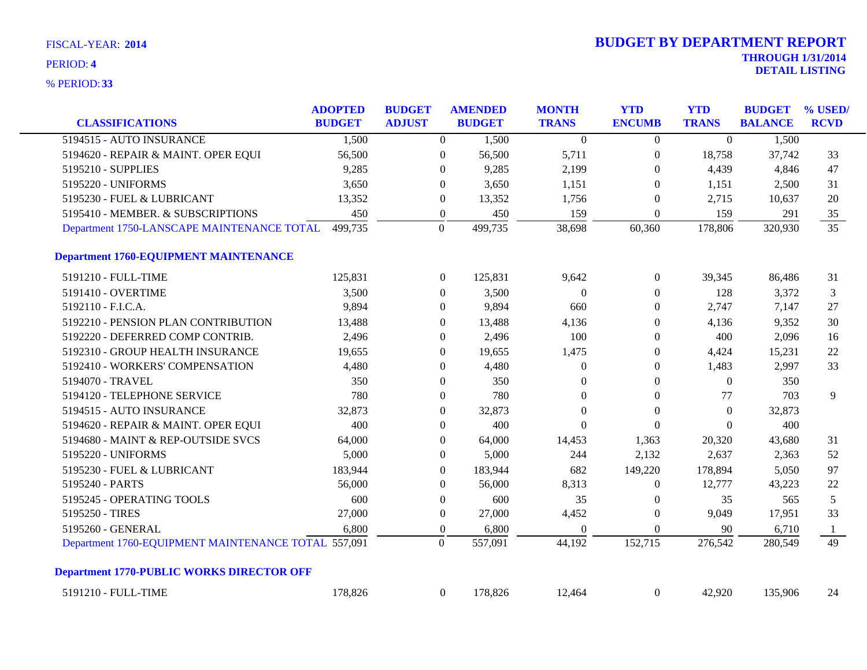| <b>CLASSIFICATIONS</b>                              | <b>ADOPTED</b><br><b>BUDGET</b> | <b>BUDGET</b><br><b>ADJUST</b> |                  | <b>AMENDED</b><br><b>BUDGET</b> | <b>MONTH</b><br><b>TRANS</b> | <b>YTD</b><br><b>ENCUMB</b> | <b>YTD</b><br><b>TRANS</b> | <b>BUDGET</b><br><b>BALANCE</b> | % USED/<br><b>RCVD</b> |
|-----------------------------------------------------|---------------------------------|--------------------------------|------------------|---------------------------------|------------------------------|-----------------------------|----------------------------|---------------------------------|------------------------|
| 5194515 - AUTO INSURANCE                            | 1,500                           |                                | $\overline{0}$   | 1,500                           | $\Omega$                     | $\overline{0}$              | $\Omega$                   | 1,500                           |                        |
| 5194620 - REPAIR & MAINT. OPER EQUI                 | 56,500                          |                                | $\boldsymbol{0}$ | 56,500                          | 5,711                        | $\boldsymbol{0}$            | 18,758                     | 37,742                          | 33                     |
| 5195210 - SUPPLIES                                  | 9,285                           |                                | $\theta$         | 9,285                           | 2,199                        | $\overline{0}$              | 4,439                      | 4,846                           | 47                     |
| 5195220 - UNIFORMS                                  | 3,650                           |                                | $\overline{0}$   | 3,650                           | 1,151                        | $\theta$                    | 1,151                      | 2,500                           | 31                     |
| 5195230 - FUEL & LUBRICANT                          | 13,352                          |                                | $\mathbf{0}$     | 13,352                          | 1,756                        | $\overline{0}$              | 2,715                      | 10,637                          | 20                     |
| 5195410 - MEMBER. & SUBSCRIPTIONS                   | 450                             |                                | $\boldsymbol{0}$ | 450                             | 159                          | $\overline{0}$              | 159                        | 291                             | 35                     |
| Department 1750-LANSCAPE MAINTENANCE TOTAL          | 499,735                         |                                | $\overline{0}$   | 499,735                         | 38,698                       | 60,360                      | 178,806                    | 320,930                         | $\frac{1}{35}$         |
| <b>Department 1760-EQUIPMENT MAINTENANCE</b>        |                                 |                                |                  |                                 |                              |                             |                            |                                 |                        |
| 5191210 - FULL-TIME                                 | 125,831                         |                                | $\overline{0}$   | 125,831                         | 9,642                        | $\boldsymbol{0}$            | 39,345                     | 86,486                          | 31                     |
| 5191410 - OVERTIME                                  | 3,500                           |                                | $\overline{0}$   | 3,500                           | $\overline{0}$               | $\overline{0}$              | 128                        | 3,372                           | 3                      |
| 5192110 - F.I.C.A.                                  | 9,894                           |                                | $\overline{0}$   | 9,894                           | 660                          | $\overline{0}$              | 2,747                      | 7,147                           | 27                     |
| 5192210 - PENSION PLAN CONTRIBUTION                 | 13,488                          |                                | $\mathbf{0}$     | 13,488                          | 4,136                        | $\theta$                    | 4,136                      | 9,352                           | 30                     |
| 5192220 - DEFERRED COMP CONTRIB.                    | 2,496                           |                                | $\mathbf{0}$     | 2,496                           | 100                          | $\theta$                    | 400                        | 2,096                           | 16                     |
| 5192310 - GROUP HEALTH INSURANCE                    | 19,655                          |                                | $\mathbf{0}$     | 19,655                          | 1,475                        | $\theta$                    | 4,424                      | 15,231                          | 22                     |
| 5192410 - WORKERS' COMPENSATION                     | 4,480                           |                                | $\boldsymbol{0}$ | 4,480                           | $\boldsymbol{0}$             | $\boldsymbol{0}$            | 1,483                      | 2,997                           | 33                     |
| 5194070 - TRAVEL                                    | 350                             |                                | $\overline{0}$   | 350                             | $\theta$                     | $\overline{0}$              | $\overline{0}$             | 350                             |                        |
| 5194120 - TELEPHONE SERVICE                         | 780                             |                                | $\boldsymbol{0}$ | 780                             | $\Omega$                     | $\overline{0}$              | 77                         | 703                             | 9                      |
| 5194515 - AUTO INSURANCE                            | 32,873                          |                                | $\Omega$         | 32,873                          | $\Omega$                     | $\theta$                    | $\Omega$                   | 32,873                          |                        |
| 5194620 - REPAIR & MAINT. OPER EQUI                 | 400                             |                                | $\overline{0}$   | 400                             | $\Omega$                     | $\Omega$                    | $\theta$                   | 400                             |                        |
| 5194680 - MAINT & REP-OUTSIDE SVCS                  | 64,000                          |                                | $\boldsymbol{0}$ | 64,000                          | 14,453                       | 1,363                       | 20,320                     | 43,680                          | 31                     |
| 5195220 - UNIFORMS                                  | 5,000                           |                                | $\overline{0}$   | 5,000                           | 244                          | 2,132                       | 2,637                      | 2,363                           | 52                     |
| 5195230 - FUEL & LUBRICANT                          | 183,944                         |                                | $\overline{0}$   | 183,944                         | 682                          | 149,220                     | 178,894                    | 5,050                           | 97                     |
| 5195240 - PARTS                                     | 56,000                          |                                | $\Omega$         | 56,000                          | 8,313                        | $\theta$                    | 12,777                     | 43,223                          | 22                     |
| 5195245 - OPERATING TOOLS                           | 600                             |                                | $\overline{0}$   | 600                             | 35                           | $\overline{0}$              | 35                         | 565                             | 5                      |
| 5195250 - TIRES                                     | 27,000                          |                                | $\boldsymbol{0}$ | 27,000                          | 4,452                        | $\theta$                    | 9,049                      | 17,951                          | 33                     |
| 5195260 - GENERAL                                   | 6,800                           |                                | $\boldsymbol{0}$ | 6,800                           | $\overline{0}$               | $\theta$                    | 90                         | 6,710                           | -1                     |
| Department 1760-EQUIPMENT MAINTENANCE TOTAL 557,091 |                                 |                                | $\Omega$         | 557,091                         | 44,192                       | 152,715                     | 276,542                    | 280,549                         | 49                     |
| <b>Department 1770-PUBLIC WORKS DIRECTOR OFF</b>    |                                 |                                |                  |                                 |                              |                             |                            |                                 |                        |
| 5191210 - FULL-TIME                                 | 178,826                         |                                | $\overline{0}$   | 178,826                         | 12,464                       | $\boldsymbol{0}$            | 42,920                     | 135,906                         | 24                     |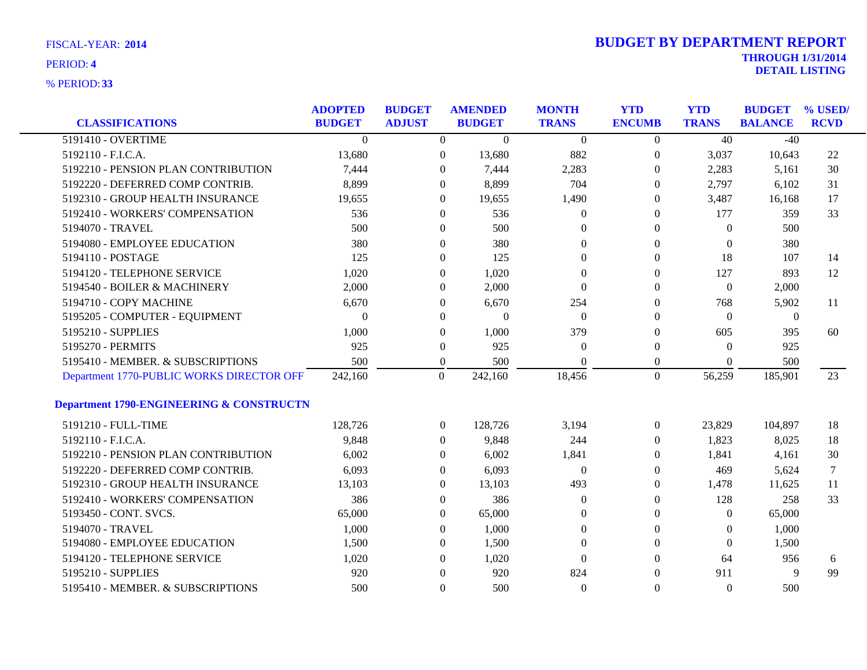| <b>CLASSIFICATIONS</b>                              | <b>ADOPTED</b><br><b>BUDGET</b> | <b>BUDGET</b><br><b>ADJUST</b> |                  | <b>AMENDED</b><br><b>BUDGET</b> | <b>MONTH</b><br><b>TRANS</b> | <b>YTD</b><br><b>ENCUMB</b> | <b>YTD</b><br><b>TRANS</b> | <b>BUDGET</b><br><b>BALANCE</b> | % USED/<br><b>RCVD</b> |
|-----------------------------------------------------|---------------------------------|--------------------------------|------------------|---------------------------------|------------------------------|-----------------------------|----------------------------|---------------------------------|------------------------|
| 5191410 - OVERTIME                                  | $\overline{0}$                  |                                | $\overline{0}$   | $\overline{0}$                  | $\overline{0}$               | $\overline{0}$              | 40                         | $-40$                           |                        |
| 5192110 - F.I.C.A.                                  | 13,680                          |                                | $\boldsymbol{0}$ | 13,680                          | 882                          | $\boldsymbol{0}$            | 3,037                      | 10,643                          | 22                     |
| 5192210 - PENSION PLAN CONTRIBUTION                 | 7,444                           |                                | $\boldsymbol{0}$ | 7,444                           | 2,283                        | $\theta$                    | 2,283                      | 5,161                           | 30                     |
| 5192220 - DEFERRED COMP CONTRIB.                    | 8,899                           |                                | $\theta$         | 8,899                           | 704                          | $\Omega$                    | 2,797                      | 6,102                           | 31                     |
| 5192310 - GROUP HEALTH INSURANCE                    | 19,655                          |                                | $\theta$         | 19,655                          | 1,490                        | $\theta$                    | 3,487                      | 16,168                          | 17                     |
| 5192410 - WORKERS' COMPENSATION                     | 536                             |                                | $\boldsymbol{0}$ | 536                             | $\overline{0}$               | $\theta$                    | 177                        | 359                             | 33                     |
| 5194070 - TRAVEL                                    | 500                             |                                | 0                | 500                             | $\Omega$                     | $\theta$                    | $\theta$                   | 500                             |                        |
| 5194080 - EMPLOYEE EDUCATION                        | 380                             |                                | $\theta$         | 380                             | $\Omega$                     | $\Omega$                    | $\overline{0}$             | 380                             |                        |
| 5194110 - POSTAGE                                   | 125                             |                                | 0                | 125                             | $\Omega$                     | $\theta$                    | 18                         | 107                             | 14                     |
| 5194120 - TELEPHONE SERVICE                         | 1,020                           |                                | 0                | 1,020                           | $\theta$                     | $\theta$                    | 127                        | 893                             | 12                     |
| 5194540 - BOILER & MACHINERY                        | 2,000                           |                                | 0                | 2,000                           | $\theta$                     | $\theta$                    | $\boldsymbol{0}$           | 2,000                           |                        |
| 5194710 - COPY MACHINE                              | 6,670                           |                                | $\theta$         | 6,670                           | 254                          | $\Omega$                    | 768                        | 5,902                           | -11                    |
| 5195205 - COMPUTER - EQUIPMENT                      | 0                               |                                | 0                | $\overline{0}$                  | $\theta$                     | $\Omega$                    | $\theta$                   | $\boldsymbol{0}$                |                        |
| 5195210 - SUPPLIES                                  | 1,000                           |                                | $\boldsymbol{0}$ | 1,000                           | 379                          | $\theta$                    | 605                        | 395                             | 60                     |
| 5195270 - PERMITS                                   | 925                             |                                | $\boldsymbol{0}$ | 925                             | $\theta$                     | $\theta$                    | $\overline{0}$             | 925                             |                        |
| 5195410 - MEMBER. & SUBSCRIPTIONS                   | 500                             |                                | $\boldsymbol{0}$ | 500                             | $\Omega$                     | $\boldsymbol{0}$            | $\theta$                   | 500                             |                        |
| Department 1770-PUBLIC WORKS DIRECTOR OFF           | 242,160                         |                                | $\mathbf{0}$     | 242,160                         | 18,456                       | $\mathbf{0}$                | 56,259                     | 185,901                         | 23                     |
| <b>Department 1790-ENGINEERING &amp; CONSTRUCTN</b> |                                 |                                |                  |                                 |                              |                             |                            |                                 |                        |
| 5191210 - FULL-TIME                                 | 128,726                         |                                | $\boldsymbol{0}$ | 128,726                         | 3,194                        | $\boldsymbol{0}$            | 23,829                     | 104,897                         | 18                     |
| 5192110 - F.I.C.A.                                  | 9,848                           |                                | $\overline{0}$   | 9,848                           | 244                          | $\overline{0}$              | 1,823                      | 8,025                           | 18                     |
| 5192210 - PENSION PLAN CONTRIBUTION                 | 6,002                           |                                | 0                | 6,002                           | 1,841                        | $\theta$                    | 1,841                      | 4,161                           | 30                     |
| 5192220 - DEFERRED COMP CONTRIB.                    | 6,093                           |                                | 0                | 6,093                           | $\boldsymbol{0}$             | $\theta$                    | 469                        | 5,624                           | 7                      |
| 5192310 - GROUP HEALTH INSURANCE                    | 13,103                          |                                | 0                | 13,103                          | 493                          | $\theta$                    | 1,478                      | 11,625                          | 11                     |
| 5192410 - WORKERS' COMPENSATION                     | 386                             |                                | $\overline{0}$   | 386                             | $\theta$                     | $\theta$                    | 128                        | 258                             | 33                     |
| 5193450 - CONT. SVCS.                               | 65,000                          |                                | $\overline{0}$   | 65,000                          | $\Omega$                     | $\Omega$                    | $\overline{0}$             | 65,000                          |                        |
| 5194070 - TRAVEL                                    | 1,000                           |                                | 0                | 1,000                           | $\theta$                     | $\theta$                    | $\theta$                   | 1,000                           |                        |
| 5194080 - EMPLOYEE EDUCATION                        | 1,500                           |                                | 0                | 1,500                           | $\theta$                     | $\theta$                    | $\overline{0}$             | 1,500                           |                        |
| 5194120 - TELEPHONE SERVICE                         | 1,020                           |                                | $\theta$         | 1,020                           | $\Omega$                     | $\Omega$                    | 64                         | 956                             | 6                      |
| 5195210 - SUPPLIES                                  | 920                             |                                | $\theta$         | 920                             | 824                          | $\Omega$                    | 911                        | 9                               | 99                     |
| 5195410 - MEMBER. & SUBSCRIPTIONS                   | 500                             |                                | $\overline{0}$   | 500                             | $\mathbf{0}$                 | $\Omega$                    | $\Omega$                   | 500                             |                        |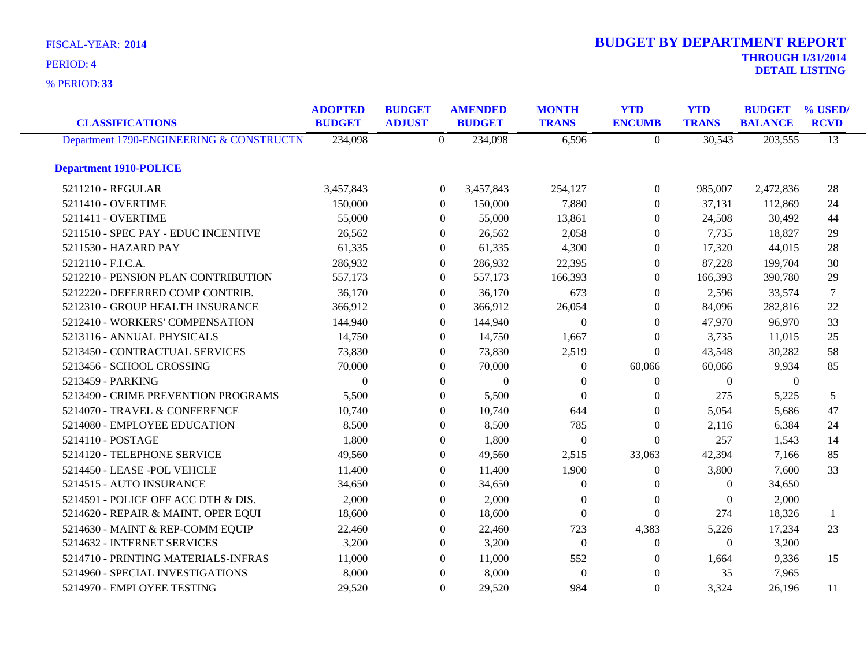**33** % PERIOD:

| <b>CLASSIFICATIONS</b>                   | <b>ADOPTED</b><br><b>BUDGET</b> | <b>BUDGET</b><br><b>ADJUST</b> |                  | <b>AMENDED</b><br><b>BUDGET</b> | <b>MONTH</b><br><b>TRANS</b> | <b>YTD</b><br><b>ENCUMB</b> | <b>YTD</b><br><b>TRANS</b> | <b>BUDGET</b><br><b>BALANCE</b> | % USED/<br><b>RCVD</b> |
|------------------------------------------|---------------------------------|--------------------------------|------------------|---------------------------------|------------------------------|-----------------------------|----------------------------|---------------------------------|------------------------|
| Department 1790-ENGINEERING & CONSTRUCTN | 234,098                         |                                | $\theta$         | 234,098                         | 6,596                        | $\Omega$                    | 30,543                     | 203,555                         | $\overline{13}$        |
| <b>Department 1910-POLICE</b>            |                                 |                                |                  |                                 |                              |                             |                            |                                 |                        |
| 5211210 - REGULAR                        | 3,457,843                       |                                | $\overline{0}$   | 3,457,843                       | 254,127                      | $\overline{0}$              | 985,007                    | 2,472,836                       | 28                     |
| 5211410 - OVERTIME                       | 150,000                         |                                | $\overline{0}$   | 150,000                         | 7,880                        | $\theta$                    | 37,131                     | 112,869                         | 24                     |
| 5211411 - OVERTIME                       | 55,000                          |                                | $\overline{0}$   | 55,000                          | 13,861                       | $\Omega$                    | 24,508                     | 30,492                          | 44                     |
| 5211510 - SPEC PAY - EDUC INCENTIVE      | 26,562                          |                                | $\boldsymbol{0}$ | 26,562                          | 2,058                        | $\boldsymbol{0}$            | 7,735                      | 18,827                          | 29                     |
| 5211530 - HAZARD PAY                     | 61,335                          |                                | $\overline{0}$   | 61,335                          | 4,300                        | $\theta$                    | 17,320                     | 44,015                          | 28                     |
| 5212110 - F.I.C.A.                       | 286,932                         |                                | $\overline{0}$   | 286,932                         | 22,395                       | $\Omega$                    | 87,228                     | 199,704                         | 30                     |
| 5212210 - PENSION PLAN CONTRIBUTION      | 557,173                         |                                | $\overline{0}$   | 557,173                         | 166,393                      | $\Omega$                    | 166,393                    | 390,780                         | 29                     |
| 5212220 - DEFERRED COMP CONTRIB.         | 36,170                          |                                | $\boldsymbol{0}$ | 36,170                          | 673                          | $\overline{0}$              | 2,596                      | 33,574                          | 7                      |
| 5212310 - GROUP HEALTH INSURANCE         | 366,912                         |                                | $\overline{0}$   | 366,912                         | 26,054                       | $\theta$                    | 84,096                     | 282,816                         | 22                     |
| 5212410 - WORKERS' COMPENSATION          | 144,940                         |                                | $\overline{0}$   | 144,940                         | $\Omega$                     | $\Omega$                    | 47,970                     | 96,970                          | 33                     |
| 5213116 - ANNUAL PHYSICALS               | 14,750                          |                                | $\overline{0}$   | 14,750                          | 1,667                        | $\Omega$                    | 3,735                      | 11,015                          | 25                     |
| 5213450 - CONTRACTUAL SERVICES           | 73,830                          |                                | $\overline{0}$   | 73,830                          | 2,519                        | $\mathbf{0}$                | 43,548                     | 30,282                          | 58                     |
| 5213456 - SCHOOL CROSSING                | 70,000                          |                                | $\overline{0}$   | 70,000                          | $\theta$                     | 60,066                      | 60,066                     | 9,934                           | 85                     |
| 5213459 - PARKING                        | $\theta$                        |                                | $\overline{0}$   | $\overline{0}$                  | $\Omega$                     | $\theta$                    | $\mathbf{0}$               | $\theta$                        |                        |
| 5213490 - CRIME PREVENTION PROGRAMS      | 5,500                           |                                | $\Omega$         | 5,500                           | $\Omega$                     | $\Omega$                    | 275                        | 5,225                           | 5                      |
| 5214070 - TRAVEL & CONFERENCE            | 10,740                          |                                | $\overline{0}$   | 10,740                          | 644                          | $\theta$                    | 5,054                      | 5,686                           | 47                     |
| 5214080 - EMPLOYEE EDUCATION             | 8,500                           |                                | $\overline{0}$   | 8,500                           | 785                          | $\overline{0}$              | 2,116                      | 6,384                           | 24                     |
| 5214110 - POSTAGE                        | 1,800                           |                                | $\overline{0}$   | 1,800                           | $\theta$                     | $\theta$                    | 257                        | 1,543                           | 14                     |
| 5214120 - TELEPHONE SERVICE              | 49,560                          |                                | $\Omega$         | 49,560                          | 2,515                        | 33,063                      | 42,394                     | 7,166                           | 85                     |
| 5214450 - LEASE - POL VEHCLE             | 11,400                          |                                | $\overline{0}$   | 11,400                          | 1,900                        | $\theta$                    | 3,800                      | 7,600                           | 33                     |
| 5214515 - AUTO INSURANCE                 | 34,650                          |                                | $\overline{0}$   | 34,650                          | $\overline{0}$               | $\overline{0}$              | $\boldsymbol{0}$           | 34,650                          |                        |
| 5214591 - POLICE OFF ACC DTH & DIS.      | 2,000                           |                                | $\theta$         | 2,000                           | $\Omega$                     | $\theta$                    | $\mathbf{0}$               | 2,000                           |                        |
| 5214620 - REPAIR & MAINT. OPER EQUI      | 18,600                          |                                | $\overline{0}$   | 18,600                          | $\Omega$                     | $\Omega$                    | 274                        | 18,326                          | 1                      |
| 5214630 - MAINT & REP-COMM EQUIP         | 22,460                          |                                | $\overline{0}$   | 22,460                          | 723                          | 4,383                       | 5,226                      | 17,234                          | 23                     |
| 5214632 - INTERNET SERVICES              | 3,200                           |                                | $\overline{0}$   | 3,200                           | $\theta$                     | $\Omega$                    | $\Omega$                   | 3,200                           |                        |
| 5214710 - PRINTING MATERIALS-INFRAS      | 11,000                          |                                | $\overline{0}$   | 11,000                          | 552                          | 0                           | 1,664                      | 9,336                           | 15                     |
| 5214960 - SPECIAL INVESTIGATIONS         | 8,000                           |                                | $\theta$         | 8,000                           | $\theta$                     | $\Omega$                    | 35                         | 7,965                           |                        |
| 5214970 - EMPLOYEE TESTING               | 29,520                          |                                | $\overline{0}$   | 29,520                          | 984                          | $\Omega$                    | 3,324                      | 26,196                          | 11                     |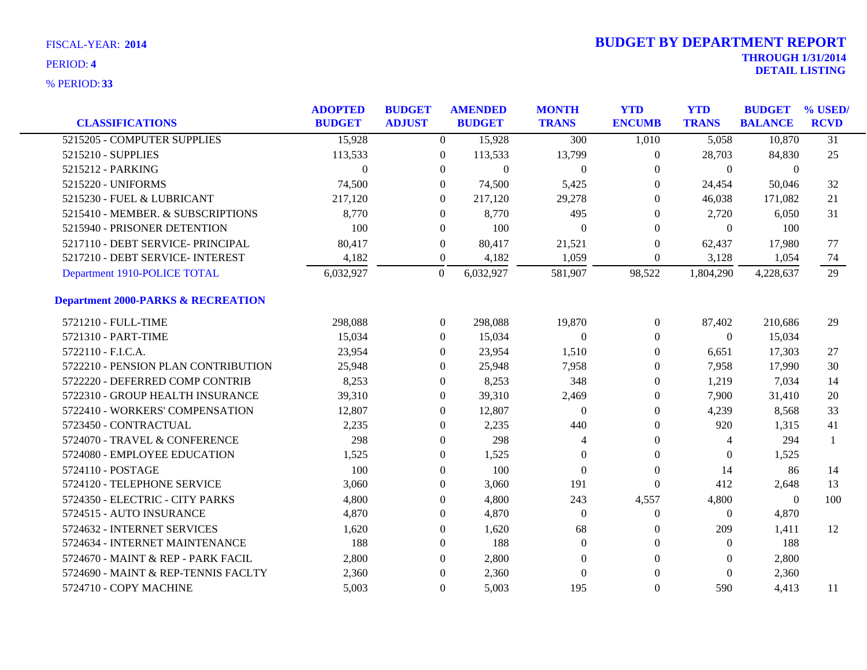| <b>CLASSIFICATIONS</b>                        | <b>ADOPTED</b><br><b>BUDGET</b> | <b>BUDGET</b><br><b>ADJUST</b> | <b>AMENDED</b><br><b>BUDGET</b> | <b>MONTH</b><br><b>TRANS</b> | <b>YTD</b><br><b>ENCUMB</b> | <b>YTD</b><br><b>TRANS</b> | <b>BUDGET</b><br><b>BALANCE</b> | % USED/<br><b>RCVD</b> |
|-----------------------------------------------|---------------------------------|--------------------------------|---------------------------------|------------------------------|-----------------------------|----------------------------|---------------------------------|------------------------|
| 5215205 - COMPUTER SUPPLIES                   | 15,928                          | $\overline{0}$                 | 15,928                          | 300                          | 1,010                       | 5,058                      | 10,870                          | $\overline{31}$        |
| 5215210 - SUPPLIES                            | 113,533                         | $\mathbf{0}$                   | 113,533                         | 13,799                       | $\boldsymbol{0}$            | 28,703                     | 84,830                          | 25                     |
| 5215212 - PARKING                             | $\theta$                        | $\mathbf{0}$                   | $\overline{0}$                  | $\overline{0}$               | 0                           | $\overline{0}$             | $\boldsymbol{0}$                |                        |
| 5215220 - UNIFORMS                            | 74,500                          | $\overline{0}$                 | 74,500                          | 5,425                        | $\Omega$                    | 24,454                     | 50,046                          | 32                     |
| 5215230 - FUEL & LUBRICANT                    | 217,120                         | $\overline{0}$                 | 217,120                         | 29,278                       | $\theta$                    | 46,038                     | 171,082                         | 21                     |
| 5215410 - MEMBER. & SUBSCRIPTIONS             | 8,770                           | $\boldsymbol{0}$               | 8,770                           | 495                          | $\theta$                    | 2,720                      | 6,050                           | 31                     |
| 5215940 - PRISONER DETENTION                  | 100                             | $\mathbf{0}$                   | 100                             | $\overline{0}$               | $\theta$                    | $\overline{0}$             | 100                             |                        |
| 5217110 - DEBT SERVICE- PRINCIPAL             | 80,417                          | $\overline{0}$                 | 80,417                          | 21,521                       | $\theta$                    | 62,437                     | 17,980                          | 77                     |
| 5217210 - DEBT SERVICE- INTEREST              | 4,182                           | $\boldsymbol{0}$               | 4,182                           | 1,059                        | $\boldsymbol{0}$            | 3,128                      | 1,054                           | 74                     |
| Department 1910-POLICE TOTAL                  | 6,032,927                       | $\boldsymbol{0}$               | 6,032,927                       | 581,907                      | 98,522                      | 1,804,290                  | 4,228,637                       | 29                     |
| <b>Department 2000-PARKS &amp; RECREATION</b> |                                 |                                |                                 |                              |                             |                            |                                 |                        |
| 5721210 - FULL-TIME                           | 298,088                         | $\overline{0}$                 | 298,088                         | 19,870                       | $\overline{0}$              | 87,402                     | 210,686                         | 29                     |
| 5721310 - PART-TIME                           | 15,034                          | $\overline{0}$                 | 15,034                          | $\theta$                     | $\boldsymbol{0}$            | $\overline{0}$             | 15,034                          |                        |
| 5722110 - F.I.C.A.                            | 23,954                          | 0                              | 23,954                          | 1,510                        | $\boldsymbol{0}$            | 6,651                      | 17,303                          | 27                     |
| 5722210 - PENSION PLAN CONTRIBUTION           | 25,948                          | $\mathbf{0}$                   | 25,948                          | 7,958                        | $\boldsymbol{0}$            | 7,958                      | 17,990                          | 30                     |
| 5722220 - DEFERRED COMP CONTRIB               | 8,253                           | $\overline{0}$                 | 8,253                           | 348                          | $\theta$                    | 1,219                      | 7,034                           | 14                     |
| 5722310 - GROUP HEALTH INSURANCE              | 39,310                          | 0                              | 39,310                          | 2,469                        | $\boldsymbol{0}$            | 7,900                      | 31,410                          | 20                     |
| 5722410 - WORKERS' COMPENSATION               | 12,807                          | $\boldsymbol{0}$               | 12,807                          | $\overline{0}$               | $\boldsymbol{0}$            | 4,239                      | 8,568                           | 33                     |
| 5723450 - CONTRACTUAL                         | 2,235                           | $\mathbf{0}$                   | 2,235                           | 440                          | $\theta$                    | 920                        | 1,315                           | 41                     |
| 5724070 - TRAVEL & CONFERENCE                 | 298                             | 0                              | 298                             | $\overline{4}$               | $\theta$                    | $\overline{4}$             | 294                             |                        |
| 5724080 - EMPLOYEE EDUCATION                  | 1,525                           | $\mathbf{0}$                   | 1,525                           | 0                            | $\boldsymbol{0}$            | $\theta$                   | 1,525                           |                        |
| 5724110 - POSTAGE                             | 100                             | $\boldsymbol{0}$               | 100                             | $\theta$                     | $\boldsymbol{0}$            | 14                         | 86                              | 14                     |
| 5724120 - TELEPHONE SERVICE                   | 3,060                           | $\boldsymbol{0}$               | 3,060                           | 191                          | $\boldsymbol{0}$            | 412                        | 2,648                           | 13                     |
| 5724350 - ELECTRIC - CITY PARKS               | 4,800                           | 0                              | 4,800                           | 243                          | 4,557                       | 4,800                      | $\overline{0}$                  | 100                    |
| 5724515 - AUTO INSURANCE                      | 4,870                           | 0                              | 4,870                           | $\overline{0}$               | $\boldsymbol{0}$            | $\overline{0}$             | 4,870                           |                        |
| 5724632 - INTERNET SERVICES                   | 1,620                           | $\boldsymbol{0}$               | 1,620                           | 68                           | $\theta$                    | 209                        | 1,411                           | 12                     |
| 5724634 - INTERNET MAINTENANCE                | 188                             | $\mathbf{0}$                   | 188                             | $\overline{0}$               | 0                           | $\theta$                   | 188                             |                        |
| 5724670 - MAINT & REP - PARK FACIL            | 2,800                           | $\overline{0}$                 | 2,800                           | $\Omega$                     | $\theta$                    | $\Omega$                   | 2,800                           |                        |
| 5724690 - MAINT & REP-TENNIS FACLTY           | 2,360                           | $\boldsymbol{0}$               | 2,360                           | $\Omega$                     | $\Omega$                    | $\Omega$                   | 2,360                           |                        |
| 5724710 - COPY MACHINE                        | 5,003                           | $\overline{0}$                 | 5,003                           | 195                          | $\theta$                    | 590                        | 4,413                           | 11                     |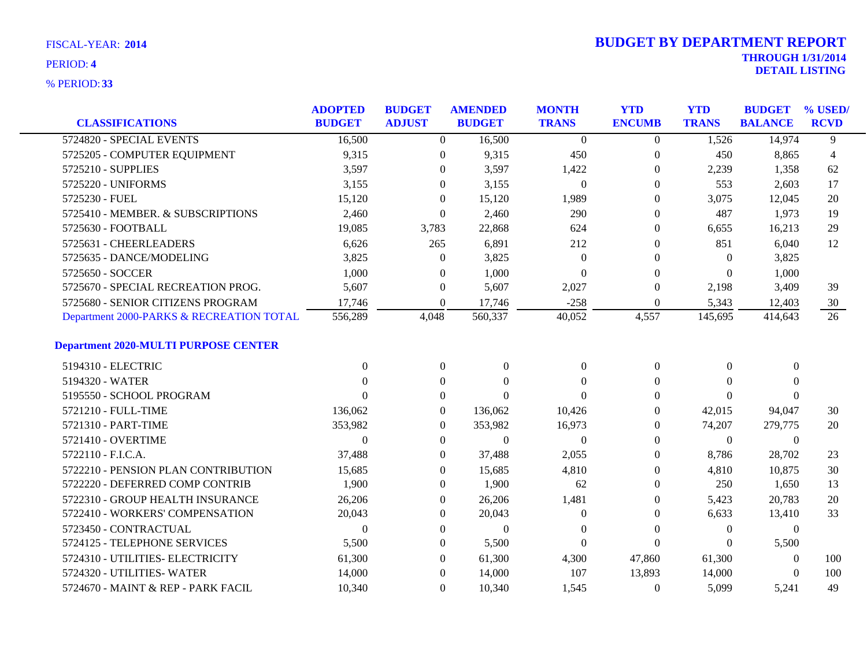|                                             | <b>ADOPTED</b> | <b>BUDGET</b>    | <b>AMENDED</b>   | <b>MONTH</b>   | <b>YTD</b>       | <b>YTD</b>     | <b>BUDGET</b>    | % USED/        |
|---------------------------------------------|----------------|------------------|------------------|----------------|------------------|----------------|------------------|----------------|
| <b>CLASSIFICATIONS</b>                      | <b>BUDGET</b>  | <b>ADJUST</b>    | <b>BUDGET</b>    | <b>TRANS</b>   | <b>ENCUMB</b>    | <b>TRANS</b>   | <b>BALANCE</b>   | <b>RCVD</b>    |
| 5724820 - SPECIAL EVENTS                    | 16,500         | $\overline{0}$   | 16,500           | $\overline{0}$ | $\overline{0}$   | 1,526          | 14,974           | 9              |
| 5725205 - COMPUTER EQUIPMENT                | 9,315          | $\boldsymbol{0}$ | 9,315            | 450            | $\overline{0}$   | 450            | 8,865            | $\overline{4}$ |
| 5725210 - SUPPLIES                          | 3,597          | 0                | 3,597            | 1,422          | $\overline{0}$   | 2,239          | 1,358            | 62             |
| 5725220 - UNIFORMS                          | 3,155          | $\Omega$         | 3,155            | $\theta$       | $\Omega$         | 553            | 2,603            | 17             |
| 5725230 - FUEL                              | 15,120         | $\Omega$         | 15,120           | 1,989          | $\Omega$         | 3,075          | 12,045           | 20             |
| 5725410 - MEMBER. & SUBSCRIPTIONS           | 2,460          | $\overline{0}$   | 2,460            | 290            | $\theta$         | 487            | 1,973            | 19             |
| 5725630 - FOOTBALL                          | 19,085         | 3,783            | 22,868           | 624            | $\theta$         | 6,655          | 16,213           | 29             |
| 5725631 - CHEERLEADERS                      | 6,626          | 265              | 6,891            | 212            | $\Omega$         | 851            | 6,040            | 12             |
| 5725635 - DANCE/MODELING                    | 3,825          | $\overline{0}$   | 3,825            | $\Omega$       | $\theta$         | $\Omega$       | 3,825            |                |
| 5725650 - SOCCER                            | 1,000          | $\overline{0}$   | 1,000            | $\theta$       | $\Omega$         | $\Omega$       | 1,000            |                |
| 5725670 - SPECIAL RECREATION PROG.          | 5,607          | $\boldsymbol{0}$ | 5,607            | 2,027          | $\boldsymbol{0}$ | 2,198          | 3,409            | 39             |
| 5725680 - SENIOR CITIZENS PROGRAM           | 17,746         | $\theta$         | 17,746           | $-258$         | $\theta$         | 5,343          | 12,403           | 30             |
| Department 2000-PARKS & RECREATION TOTAL    | 556,289        | 4,048            | 560,337          | 40,052         | 4,557            | 145,695        | 414,643          | 26             |
| <b>Department 2020-MULTI PURPOSE CENTER</b> |                |                  |                  |                |                  |                |                  |                |
| 5194310 - ELECTRIC                          | $\Omega$       | $\boldsymbol{0}$ | $\boldsymbol{0}$ | $\theta$       | $\boldsymbol{0}$ | $\overline{0}$ | $\boldsymbol{0}$ |                |
| 5194320 - WATER                             | $\Omega$       | $\overline{0}$   | $\theta$         | $\Omega$       | $\theta$         | $\theta$       | $\theta$         |                |
| 5195550 - SCHOOL PROGRAM                    | 0              | $\overline{0}$   | $\Omega$         | $\Omega$       | $\Omega$         | $\Omega$       | $\Omega$         |                |
| 5721210 - FULL-TIME                         | 136,062        | $\boldsymbol{0}$ | 136,062          | 10,426         | $\theta$         | 42,015         | 94,047           | 30             |
| 5721310 - PART-TIME                         | 353,982        | $\overline{0}$   | 353,982          | 16,973         | $\theta$         | 74,207         | 279,775          | 20             |
| 5721410 - OVERTIME                          | $\Omega$       | $\overline{0}$   | $\overline{0}$   | $\theta$       | $\Omega$         | $\overline{0}$ | $\theta$         |                |
| 5722110 - F.I.C.A.                          | 37,488         | $\overline{0}$   | 37,488           | 2,055          | $\Omega$         | 8,786          | 28,702           | 23             |
| 5722210 - PENSION PLAN CONTRIBUTION         | 15,685         | $\theta$         | 15,685           | 4,810          | $\theta$         | 4,810          | 10,875           | 30             |
| 5722220 - DEFERRED COMP CONTRIB             | 1,900          | $\theta$         | 1,900            | 62             | $\Omega$         | 250            | 1,650            | 13             |
| 5722310 - GROUP HEALTH INSURANCE            | 26,206         | $\Omega$         | 26,206           | 1,481          | $\Omega$         | 5,423          | 20,783           | 20             |
| 5722410 - WORKERS' COMPENSATION             | 20,043         | $\Omega$         | 20,043           | $\Omega$       | $\theta$         | 6,633          | 13,410           | 33             |
| 5723450 - CONTRACTUAL                       | $\Omega$       | $\theta$         | $\boldsymbol{0}$ | $\theta$       | $\Omega$         | $\overline{0}$ | $\mathbf{0}$     |                |
| 5724125 - TELEPHONE SERVICES                | 5,500          | $\theta$         | 5,500            | $\theta$       | $\Omega$         | $\theta$       | 5,500            |                |
| 5724310 - UTILITIES- ELECTRICITY            | 61,300         | $\Omega$         | 61,300           | 4,300          | 47,860           | 61,300         | $\theta$         | 100            |
| 5724320 - UTILITIES- WATER                  | 14,000         | $\Omega$         | 14,000           | 107            | 13,893           | 14,000         | $\theta$         | 100            |
| 5724670 - MAINT & REP - PARK FACIL          | 10,340         | $\Omega$         | 10,340           | 1,545          | $\Omega$         | 5,099          | 5,241            | 49             |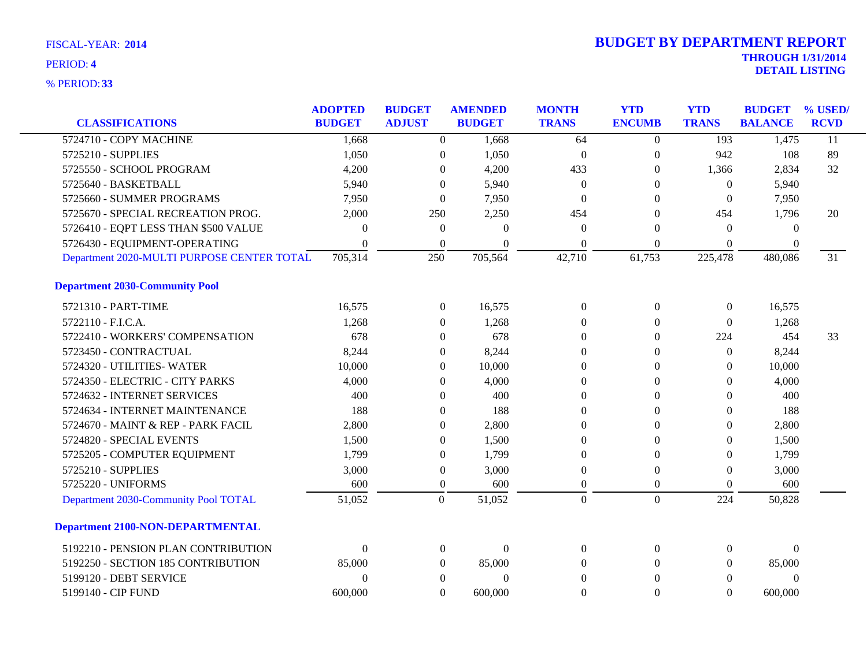| <b>CLASSIFICATIONS</b>                     | <b>ADOPTED</b><br><b>BUDGET</b> | <b>BUDGET</b><br><b>ADJUST</b> | <b>AMENDED</b><br><b>BUDGET</b> | <b>MONTH</b><br><b>TRANS</b> | <b>YTD</b><br><b>ENCUMB</b> | <b>YTD</b><br><b>TRANS</b> | <b>BUDGET</b><br><b>BALANCE</b> | % USED<br><b>RCVD</b> |
|--------------------------------------------|---------------------------------|--------------------------------|---------------------------------|------------------------------|-----------------------------|----------------------------|---------------------------------|-----------------------|
| 5724710 - COPY MACHINE                     | 1,668                           | $\overline{0}$                 | 1,668                           | 64                           | $\overline{0}$              | 193                        | 1,475                           | $\overline{11}$       |
| 5725210 - SUPPLIES                         | 1,050                           | $\boldsymbol{0}$               | 1,050                           | $\boldsymbol{0}$             | $\boldsymbol{0}$            | 942                        | 108                             | 89                    |
| 5725550 - SCHOOL PROGRAM                   | 4,200                           | $\theta$                       | 4,200                           | 433                          | $\theta$                    | 1,366                      | 2,834                           | 32                    |
| 5725640 - BASKETBALL                       | 5,940                           | $\Omega$                       | 5,940                           | $\Omega$                     | $\Omega$                    | $\Omega$                   | 5,940                           |                       |
| 5725660 - SUMMER PROGRAMS                  | 7,950                           | $\theta$                       | 7,950                           | $\theta$                     | $\Omega$                    | $\overline{0}$             | 7,950                           |                       |
| 5725670 - SPECIAL RECREATION PROG.         | 2,000                           | 250                            | 2,250                           | 454                          | $\Omega$                    | 454                        | 1,796                           | 20                    |
| 5726410 - EQPT LESS THAN \$500 VALUE       | $\Omega$                        | $\boldsymbol{0}$               | $\Omega$                        | $\theta$                     | $\Omega$                    | $\theta$                   | $\Omega$                        |                       |
| 5726430 - EQUIPMENT-OPERATING              | $\Omega$                        | $\theta$                       | 0                               | $\theta$                     | $\mathbf{0}$                | $\theta$                   | $\theta$                        |                       |
| Department 2020-MULTI PURPOSE CENTER TOTAL | 705,314                         | 250                            | 705,564                         | 42,710                       | 61,753                      | 225,478                    | 480,086                         | 31                    |
| <b>Department 2030-Community Pool</b>      |                                 |                                |                                 |                              |                             |                            |                                 |                       |
| 5721310 - PART-TIME                        | 16,575                          | $\boldsymbol{0}$               | 16,575                          | $\boldsymbol{0}$             | $\mathbf{0}$                | $\boldsymbol{0}$           | 16,575                          |                       |
| 5722110 - F.I.C.A.                         | 1,268                           | $\theta$                       | 1,268                           | $\theta$                     | $\Omega$                    | $\Omega$                   | 1,268                           |                       |
| 5722410 - WORKERS' COMPENSATION            | 678                             | $\theta$                       | 678                             | $\Omega$                     | $\Omega$                    | 224                        | 454                             | 33                    |
| 5723450 - CONTRACTUAL                      | 8,244                           | $\theta$                       | 8,244                           | $\theta$                     | $\Omega$                    | $\theta$                   | 8,244                           |                       |
| 5724320 - UTILITIES-WATER                  | 10,000                          | $\mathbf{0}$                   | 10,000                          | $\theta$                     | $\Omega$                    | $\Omega$                   | 10,000                          |                       |
| 5724350 - ELECTRIC - CITY PARKS            | 4,000                           | $\theta$                       | 4,000                           | $\theta$                     | $\Omega$                    | $\theta$                   | 4,000                           |                       |
| 5724632 - INTERNET SERVICES                | 400                             | $\theta$                       | 400                             | $\theta$                     | $\Omega$                    | $\Omega$                   | 400                             |                       |
| 5724634 - INTERNET MAINTENANCE             | 188                             | $\theta$                       | 188                             | $\theta$                     | $\Omega$                    | $\Omega$                   | 188                             |                       |
| 5724670 - MAINT & REP - PARK FACIL         | 2,800                           | $\theta$                       | 2,800                           | $\overline{0}$               | $\Omega$                    | $\theta$                   | 2,800                           |                       |
| 5724820 - SPECIAL EVENTS                   | 1,500                           | $\theta$                       | 1,500                           | $\theta$                     | $\mathbf{0}$                | $\theta$                   | 1,500                           |                       |
| 5725205 - COMPUTER EQUIPMENT               | 1,799                           | $\theta$                       | 1,799                           | $\theta$                     | $\Omega$                    | $\Omega$                   | 1,799                           |                       |
| 5725210 - SUPPLIES                         | 3,000                           | $\boldsymbol{0}$               | 3,000                           | $\Omega$                     | $\theta$                    | $\Omega$                   | 3,000                           |                       |
| 5725220 - UNIFORMS                         | 600                             | $\boldsymbol{0}$               | 600                             | $\theta$                     | $\overline{0}$              | $\theta$                   | 600                             |                       |
| Department 2030-Community Pool TOTAL       | 51,052                          | $\overline{0}$                 | 51,052                          | $\overline{0}$               | $\overline{0}$              | 224                        | 50,828                          |                       |
| <b>Department 2100-NON-DEPARTMENTAL</b>    |                                 |                                |                                 |                              |                             |                            |                                 |                       |
| 5192210 - PENSION PLAN CONTRIBUTION        | $\Omega$                        | $\mathbf{0}$                   | $\Omega$                        | $\Omega$                     | $\Omega$                    | $\overline{0}$             | $\Omega$                        |                       |
| 5192250 - SECTION 185 CONTRIBUTION         | 85,000                          | $\overline{0}$                 | 85,000                          | $\Omega$                     | $\Omega$                    | $\overline{0}$             | 85,000                          |                       |
| 5199120 - DEBT SERVICE                     | $\theta$                        | $\theta$                       | $\theta$                        | $\theta$                     | $\Omega$                    | $\theta$                   | $\theta$                        |                       |
| 5199140 - CIP FUND                         | 600,000                         | $\Omega$                       | 600,000                         | $\Omega$                     | $\Omega$                    | $\Omega$                   | 600,000                         |                       |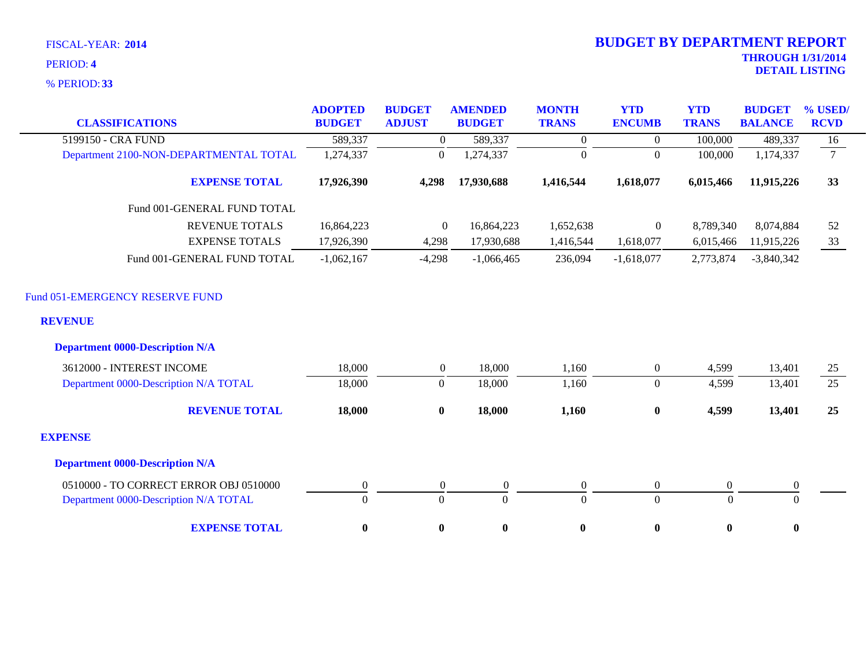**33** % PERIOD:

| <b>CLASSIFICATIONS</b>                            | <b>ADOPTED</b><br><b>BUDGET</b> | <b>BUDGET</b><br><b>ADJUST</b> | <b>AMENDED</b><br><b>BUDGET</b> | <b>MONTH</b><br><b>TRANS</b> | <b>YTD</b><br><b>ENCUMB</b> | <b>YTD</b><br><b>TRANS</b> | <b>BUDGET</b><br><b>BALANCE</b> | % USED/<br><b>RCVD</b> |
|---------------------------------------------------|---------------------------------|--------------------------------|---------------------------------|------------------------------|-----------------------------|----------------------------|---------------------------------|------------------------|
| 5199150 - CRA FUND                                | 589,337                         | $\theta$                       | 589,337                         | $\overline{0}$               | $\overline{0}$              | 100,000                    | 489,337                         | 16                     |
| Department 2100-NON-DEPARTMENTAL TOTAL            | 1,274,337                       | $\boldsymbol{0}$               | 1,274,337                       | $\boldsymbol{0}$             | $\overline{0}$              | 100,000                    | 1,174,337                       | $7\overline{ }$        |
| <b>EXPENSE TOTAL</b>                              | 17,926,390                      | 4,298                          | 17,930,688                      | 1,416,544                    | 1,618,077                   | 6,015,466                  | 11,915,226                      | 33                     |
| Fund 001-GENERAL FUND TOTAL                       |                                 |                                |                                 |                              |                             |                            |                                 |                        |
| <b>REVENUE TOTALS</b>                             | 16,864,223                      | $\overline{0}$                 | 16,864,223                      | 1,652,638                    | $\overline{0}$              | 8,789,340                  | 8,074,884                       | 52                     |
| <b>EXPENSE TOTALS</b>                             | 17,926,390                      | 4,298                          | 17,930,688                      | 1,416,544                    | 1,618,077                   | 6,015,466                  | 11,915,226                      | 33                     |
| Fund 001-GENERAL FUND TOTAL                       | $-1,062,167$                    | $-4,298$                       | $-1,066,465$                    | 236,094                      | $-1,618,077$                | 2,773,874                  | $-3,840,342$                    |                        |
| Fund 051-EMERGENCY RESERVE FUND<br><b>REVENUE</b> |                                 |                                |                                 |                              |                             |                            |                                 |                        |
| <b>Department 0000-Description N/A</b>            |                                 |                                |                                 |                              |                             |                            |                                 |                        |
| 3612000 - INTEREST INCOME                         | 18,000                          | $\overline{0}$                 | 18,000                          | 1,160                        | $\boldsymbol{0}$            | 4,599                      | 13,401                          | 25                     |
| Department 0000-Description N/A TOTAL             | 18,000                          | $\boldsymbol{0}$               | 18,000                          | 1,160                        | $\overline{0}$              | 4,599                      | 13,401                          | 25                     |
| <b>REVENUE TOTAL</b>                              | 18,000                          | $\bf{0}$                       | 18,000                          | 1,160                        | $\bf{0}$                    | 4,599                      | 13,401                          | 25                     |
| <b>EXPENSE</b>                                    |                                 |                                |                                 |                              |                             |                            |                                 |                        |
| <b>Department 0000-Description N/A</b>            |                                 |                                |                                 |                              |                             |                            |                                 |                        |
| 0510000 - TO CORRECT ERROR OBJ 0510000            | $\boldsymbol{0}$                | $\boldsymbol{0}$               | $\boldsymbol{0}$                | $\boldsymbol{0}$             | $\boldsymbol{0}$            | $\boldsymbol{0}$           | $\boldsymbol{0}$                |                        |
| Department 0000-Description N/A TOTAL             | $\overline{0}$                  | $\mathbf{0}$                   | $\Omega$                        | $\mathbf{0}$                 | $\overline{0}$              | $\Omega$                   | $\theta$                        |                        |
| <b>EXPENSE TOTAL</b>                              | $\bf{0}$                        | $\bf{0}$                       | $\bf{0}$                        | $\bf{0}$                     | $\bf{0}$                    | $\bf{0}$                   | $\bf{0}$                        |                        |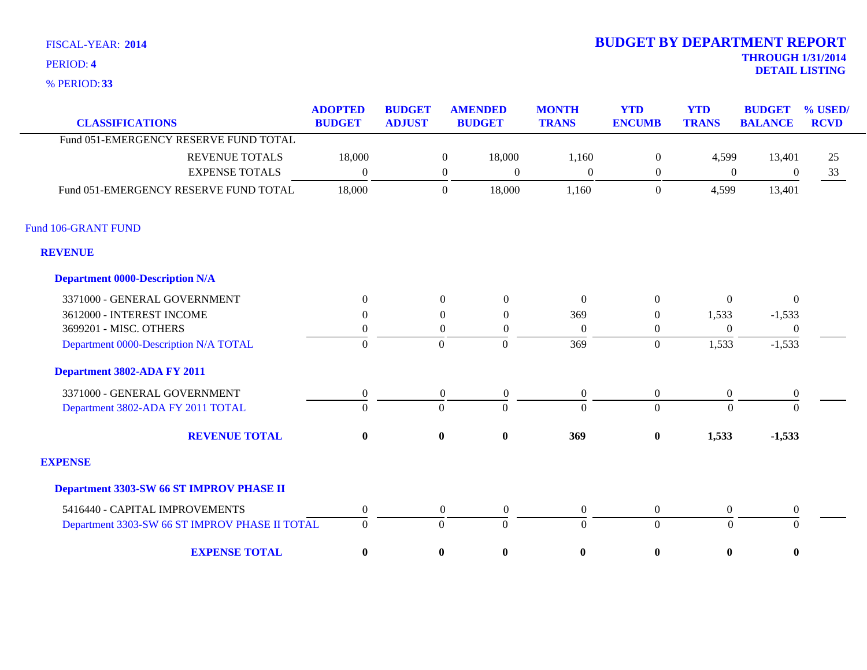**33** % PERIOD:

| <b>CLASSIFICATIONS</b>                         | <b>ADOPTED</b><br><b>BUDGET</b> | <b>BUDGET</b><br><b>ADJUST</b> |                  | <b>AMENDED</b><br><b>BUDGET</b> | <b>MONTH</b><br><b>TRANS</b> | <b>YTD</b><br><b>ENCUMB</b> | <b>YTD</b><br><b>TRANS</b> | <b>BUDGET</b><br><b>BALANCE</b> | % USED/<br><b>RCVD</b> |
|------------------------------------------------|---------------------------------|--------------------------------|------------------|---------------------------------|------------------------------|-----------------------------|----------------------------|---------------------------------|------------------------|
| Fund 051-EMERGENCY RESERVE FUND TOTAL          |                                 |                                |                  |                                 |                              |                             |                            |                                 |                        |
| <b>REVENUE TOTALS</b>                          | 18,000                          |                                | $\mathbf{0}$     | 18,000                          | 1,160                        | $\overline{0}$              | 4,599                      | 13,401                          | 25                     |
| <b>EXPENSE TOTALS</b>                          | $\Omega$                        |                                | $\boldsymbol{0}$ | $\mathbf{0}$                    | $\boldsymbol{0}$             | $\boldsymbol{0}$            | $\mathbf{0}$               | $\mathbf{0}$                    | 33                     |
| Fund 051-EMERGENCY RESERVE FUND TOTAL          | 18,000                          |                                | $\boldsymbol{0}$ | 18,000                          | 1,160                        | $\boldsymbol{0}$            | 4,599                      | 13,401                          |                        |
| Fund 106-GRANT FUND                            |                                 |                                |                  |                                 |                              |                             |                            |                                 |                        |
| <b>REVENUE</b>                                 |                                 |                                |                  |                                 |                              |                             |                            |                                 |                        |
| <b>Department 0000-Description N/A</b>         |                                 |                                |                  |                                 |                              |                             |                            |                                 |                        |
| 3371000 - GENERAL GOVERNMENT                   | $\Omega$                        |                                | $\Omega$         | $\Omega$                        | $\Omega$                     | $\Omega$                    | $\Omega$                   | $\Omega$                        |                        |
| 3612000 - INTEREST INCOME                      | $\Omega$                        |                                | $\theta$         | $\theta$                        | 369                          | $\overline{0}$              | 1,533                      | $-1,533$                        |                        |
| 3699201 - MISC. OTHERS                         | $\theta$                        |                                | $\theta$         | $\Omega$                        | $\Omega$                     | 0                           | $\Omega$                   | $\mathbf{0}$                    |                        |
| Department 0000-Description N/A TOTAL          | $\overline{0}$                  |                                | $\Omega$         | $\overline{0}$                  | 369                          | $\overline{0}$              | 1,533                      | $-1,533$                        |                        |
| Department 3802-ADA FY 2011                    |                                 |                                |                  |                                 |                              |                             |                            |                                 |                        |
| 3371000 - GENERAL GOVERNMENT                   | $\boldsymbol{0}$                |                                | $\overline{0}$   | $\overline{0}$                  | $\overline{0}$               | $\overline{0}$              | $\mathbf{0}$               | $\boldsymbol{0}$                |                        |
| Department 3802-ADA FY 2011 TOTAL              | $\Omega$                        | $\Omega$                       |                  | $\Omega$                        | $\Omega$                     | $\overline{0}$              | $\Omega$                   | $\Omega$                        |                        |
| <b>REVENUE TOTAL</b>                           | $\mathbf{0}$                    |                                | $\bf{0}$         | $\bf{0}$                        | 369                          | $\boldsymbol{0}$            | 1,533                      | $-1,533$                        |                        |
| <b>EXPENSE</b>                                 |                                 |                                |                  |                                 |                              |                             |                            |                                 |                        |
| Department 3303-SW 66 ST IMPROV PHASE II       |                                 |                                |                  |                                 |                              |                             |                            |                                 |                        |
| 5416440 - CAPITAL IMPROVEMENTS                 | $\boldsymbol{0}$                |                                | $\boldsymbol{0}$ | $\boldsymbol{0}$                | $\boldsymbol{0}$             | $\boldsymbol{0}$            | $\boldsymbol{0}$           | $\boldsymbol{0}$                |                        |
| Department 3303-SW 66 ST IMPROV PHASE II TOTAL | $\overline{0}$                  |                                | $\Omega$         | $\Omega$                        | $\theta$                     | $\overline{0}$              | $\Omega$                   | $\Omega$                        |                        |
| <b>EXPENSE TOTAL</b>                           | $\bf{0}$                        |                                | $\bf{0}$         | $\bf{0}$                        | $\bf{0}$                     | $\bf{0}$                    | $\boldsymbol{0}$           | $\bf{0}$                        |                        |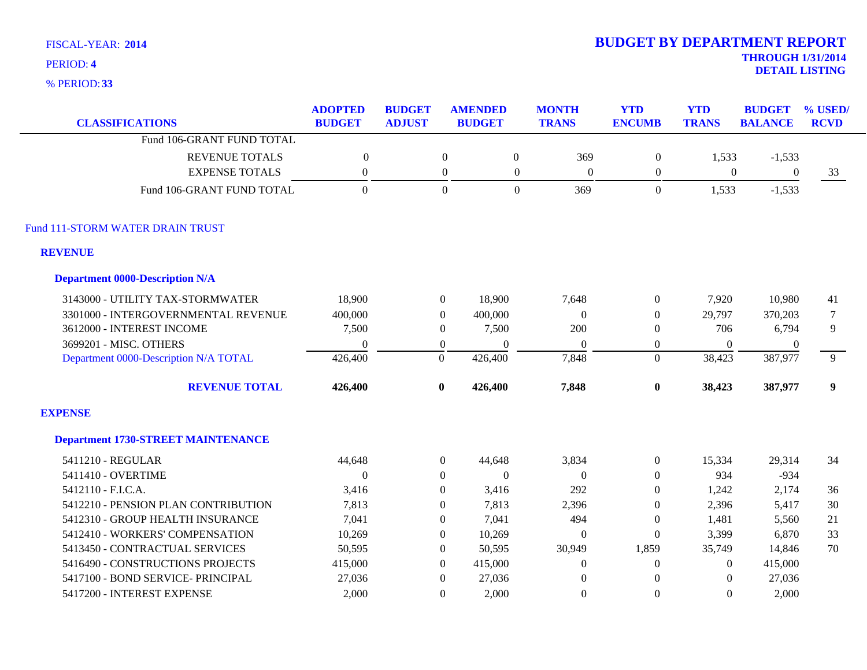**33** % PERIOD:

| <b>CLASSIFICATIONS</b>                    | <b>ADOPTED</b><br><b>BUDGET</b> | <b>BUDGET</b><br><b>ADJUST</b> |                  | <b>AMENDED</b><br><b>BUDGET</b> | <b>MONTH</b><br><b>TRANS</b> | <b>YTD</b><br><b>ENCUMB</b> | <b>YTD</b><br><b>TRANS</b> | <b>BUDGET</b><br><b>BALANCE</b> | % USED/<br><b>RCVD</b> |
|-------------------------------------------|---------------------------------|--------------------------------|------------------|---------------------------------|------------------------------|-----------------------------|----------------------------|---------------------------------|------------------------|
| Fund 106-GRANT FUND TOTAL                 |                                 |                                |                  |                                 |                              |                             |                            |                                 |                        |
| <b>REVENUE TOTALS</b>                     | $\mathbf{0}$                    |                                | $\overline{0}$   | $\boldsymbol{0}$                | 369                          | $\overline{0}$              | 1,533                      | $-1,533$                        |                        |
| <b>EXPENSE TOTALS</b>                     | $\theta$                        |                                | $\overline{0}$   | $\boldsymbol{0}$                | $\overline{0}$               | $\boldsymbol{0}$            | $\boldsymbol{0}$           | $\boldsymbol{0}$                | 33                     |
| Fund 106-GRANT FUND TOTAL                 | $\Omega$                        |                                | $\overline{0}$   | $\Omega$                        | 369                          | $\overline{0}$              | 1,533                      | $-1,533$                        |                        |
| Fund 111-STORM WATER DRAIN TRUST          |                                 |                                |                  |                                 |                              |                             |                            |                                 |                        |
| <b>REVENUE</b>                            |                                 |                                |                  |                                 |                              |                             |                            |                                 |                        |
| <b>Department 0000-Description N/A</b>    |                                 |                                |                  |                                 |                              |                             |                            |                                 |                        |
| 3143000 - UTILITY TAX-STORMWATER          | 18,900                          |                                | $\overline{0}$   | 18,900                          | 7,648                        | $\boldsymbol{0}$            | 7,920                      | 10,980                          | 41                     |
| 3301000 - INTERGOVERNMENTAL REVENUE       | 400,000                         |                                | $\overline{0}$   | 400,000                         | $\theta$                     | $\overline{0}$              | 29,797                     | 370,203                         | $\overline{7}$         |
| 3612000 - INTEREST INCOME                 | 7,500                           |                                | $\overline{0}$   | 7,500                           | 200                          | $\theta$                    | 706                        | 6,794                           | 9                      |
| 3699201 - MISC. OTHERS                    | $\Omega$                        |                                | $\overline{0}$   | $\theta$                        | $\theta$                     | $\overline{0}$              | $\Omega$                   | $\overline{0}$                  |                        |
| Department 0000-Description N/A TOTAL     | 426,400                         |                                | $\boldsymbol{0}$ | 426,400                         | 7,848                        | $\overline{0}$              | 38,423                     | 387,977                         | $\overline{9}$         |
| <b>REVENUE TOTAL</b>                      | 426,400                         |                                | $\bf{0}$         | 426,400                         | 7,848                        | $\bf{0}$                    | 38,423                     | 387,977                         | $\boldsymbol{9}$       |
| <b>EXPENSE</b>                            |                                 |                                |                  |                                 |                              |                             |                            |                                 |                        |
| <b>Department 1730-STREET MAINTENANCE</b> |                                 |                                |                  |                                 |                              |                             |                            |                                 |                        |
| 5411210 - REGULAR                         | 44,648                          |                                | $\overline{0}$   | 44,648                          | 3,834                        | $\overline{0}$              | 15,334                     | 29,314                          | 34                     |
| 5411410 - OVERTIME                        | $\theta$                        |                                | $\overline{0}$   | $\boldsymbol{0}$                | $\mathbf{0}$                 | $\overline{0}$              | 934                        | $-934$                          |                        |
| 5412110 - F.I.C.A.                        | 3,416                           |                                | $\Omega$         | 3,416                           | 292                          | $\overline{0}$              | 1,242                      | 2,174                           | 36                     |
| 5412210 - PENSION PLAN CONTRIBUTION       | 7,813                           |                                | $\overline{0}$   | 7,813                           | 2,396                        | $\boldsymbol{0}$            | 2,396                      | 5,417                           | 30                     |
| 5412310 - GROUP HEALTH INSURANCE          | 7,041                           |                                | $\overline{0}$   | 7,041                           | 494                          | $\boldsymbol{0}$            | 1,481                      | 5,560                           | 21                     |
| 5412410 - WORKERS' COMPENSATION           | 10,269                          |                                | $\overline{0}$   | 10,269                          | $\theta$                     | $\boldsymbol{0}$            | 3,399                      | 6,870                           | 33                     |
| 5413450 - CONTRACTUAL SERVICES            | 50,595                          |                                | $\Omega$         | 50,595                          | 30,949                       | 1,859                       | 35,749                     | 14,846                          | 70                     |
| 5416490 - CONSTRUCTIONS PROJECTS          | 415,000                         |                                | $\Omega$         | 415,000                         | $\Omega$                     | $\boldsymbol{0}$            | $\Omega$                   | 415,000                         |                        |
| 5417100 - BOND SERVICE- PRINCIPAL         | 27,036                          |                                | $\Omega$         | 27,036                          | $\Omega$                     | $\theta$                    | $\Omega$                   | 27,036                          |                        |
| 5417200 - INTEREST EXPENSE                | 2,000                           |                                | $\Omega$         | 2.000                           | $\Omega$                     | $\Omega$                    | $\Omega$                   | 2,000                           |                        |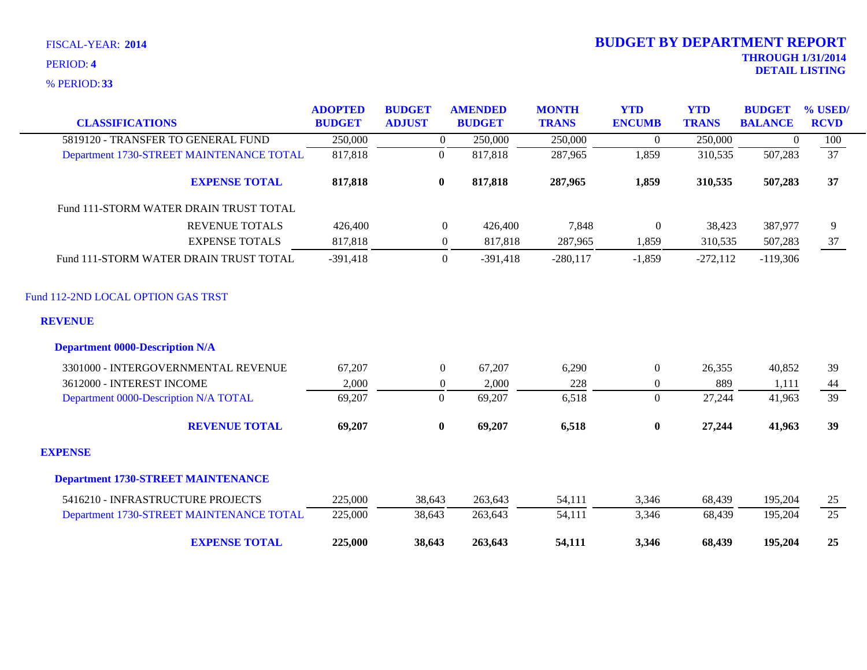**33** % PERIOD:

| <b>CLASSIFICATIONS</b>                    | <b>ADOPTED</b><br><b>BUDGET</b> | <b>BUDGET</b><br><b>ADJUST</b> | <b>AMENDED</b><br><b>BUDGET</b> | <b>MONTH</b><br><b>TRANS</b> | <b>YTD</b><br><b>ENCUMB</b> | <b>YTD</b><br><b>TRANS</b> | <b>BUDGET</b><br><b>BALANCE</b> | % USED/<br><b>RCVD</b> |
|-------------------------------------------|---------------------------------|--------------------------------|---------------------------------|------------------------------|-----------------------------|----------------------------|---------------------------------|------------------------|
| 5819120 - TRANSFER TO GENERAL FUND        | 250,000                         | $\overline{0}$                 | 250,000                         | 250,000                      | $\overline{0}$              | 250,000                    | $\overline{0}$                  | 100                    |
| Department 1730-STREET MAINTENANCE TOTAL  | 817,818                         | $\mathbf{0}$                   | 817,818                         | 287,965                      | 1,859                       | 310,535                    | 507,283                         | $\overline{37}$        |
| <b>EXPENSE TOTAL</b>                      | 817,818                         | $\bf{0}$                       | 817,818                         | 287,965                      | 1,859                       | 310,535                    | 507,283                         | 37                     |
| Fund 111-STORM WATER DRAIN TRUST TOTAL    |                                 |                                |                                 |                              |                             |                            |                                 |                        |
| <b>REVENUE TOTALS</b>                     | 426,400                         |                                | $\boldsymbol{0}$<br>426,400     | 7,848                        | $\boldsymbol{0}$            | 38,423                     | 387,977                         | 9                      |
| <b>EXPENSE TOTALS</b>                     | 817,818                         |                                | 817,818<br>$\overline{0}$       | 287,965                      | 1,859                       | 310,535                    | 507,283                         | 37                     |
| Fund 111-STORM WATER DRAIN TRUST TOTAL    | $-391,418$                      |                                | $\overline{0}$<br>$-391,418$    | $-280,117$                   | $-1,859$                    | $-272,112$                 | $-119,306$                      |                        |
| Fund 112-2ND LOCAL OPTION GAS TRST        |                                 |                                |                                 |                              |                             |                            |                                 |                        |
| <b>REVENUE</b>                            |                                 |                                |                                 |                              |                             |                            |                                 |                        |
| <b>Department 0000-Description N/A</b>    |                                 |                                |                                 |                              |                             |                            |                                 |                        |
| 3301000 - INTERGOVERNMENTAL REVENUE       | 67,207                          | $\overline{0}$                 | 67,207                          | 6,290                        | $\boldsymbol{0}$            | 26,355                     | 40,852                          | 39                     |
| 3612000 - INTEREST INCOME                 | 2,000                           | $\boldsymbol{0}$               | 2,000                           | 228                          | $\overline{0}$              | 889                        | 1,111                           | 44                     |
| Department 0000-Description N/A TOTAL     | 69,207                          | $\boldsymbol{0}$               | 69,207                          | 6,518                        | $\overline{0}$              | 27,244                     | 41,963                          | 39                     |
| <b>REVENUE TOTAL</b>                      | 69,207                          | $\boldsymbol{0}$               | 69,207                          | 6,518                        | $\bf{0}$                    | 27,244                     | 41,963                          | 39                     |
| <b>EXPENSE</b>                            |                                 |                                |                                 |                              |                             |                            |                                 |                        |
| <b>Department 1730-STREET MAINTENANCE</b> |                                 |                                |                                 |                              |                             |                            |                                 |                        |
| 5416210 - INFRASTRUCTURE PROJECTS         | 225,000                         | 38,643                         | 263,643                         | 54,111                       | 3,346                       | 68,439                     | 195,204                         | 25                     |
| Department 1730-STREET MAINTENANCE TOTAL  | 225,000                         | 38,643                         | 263,643                         | 54,111                       | 3,346                       | 68,439                     | 195,204                         | $\overline{25}$        |
| <b>EXPENSE TOTAL</b>                      | 225,000                         | 38,643                         | 263,643                         | 54,111                       | 3,346                       | 68,439                     | 195,204                         | 25                     |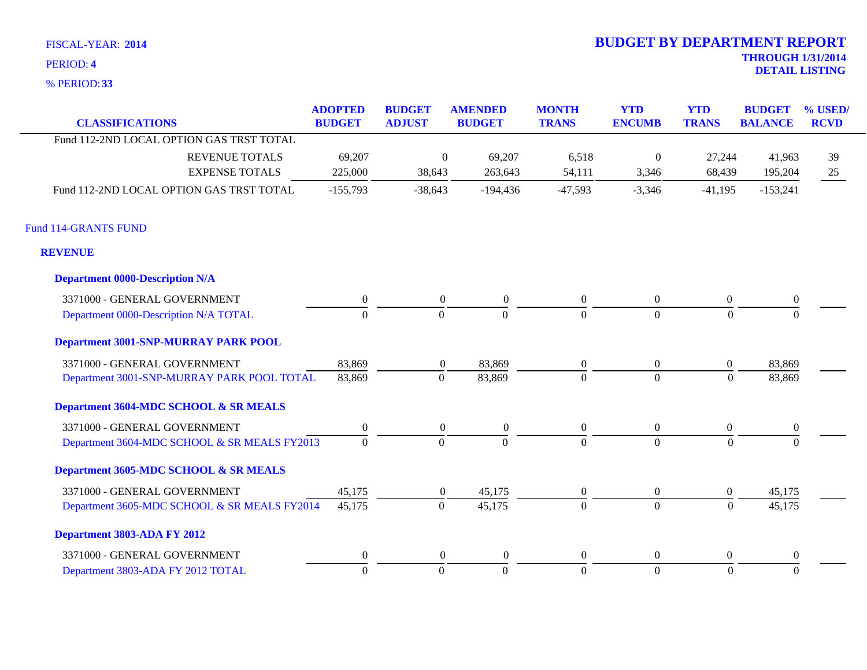**33** % PERIOD:

| <b>CLASSIFICATIONS</b>                       | <b>ADOPTED</b><br><b>BUDGET</b> | <b>BUDGET</b><br><b>ADJUST</b> | <b>AMENDED</b><br><b>BUDGET</b> | <b>MONTH</b><br><b>TRANS</b> | <b>YTD</b><br><b>ENCUMB</b> | <b>YTD</b><br><b>TRANS</b> | <b>BUDGET</b><br><b>BALANCE</b> | % USED/<br><b>RCVD</b> |
|----------------------------------------------|---------------------------------|--------------------------------|---------------------------------|------------------------------|-----------------------------|----------------------------|---------------------------------|------------------------|
| Fund 112-2ND LOCAL OPTION GAS TRST TOTAL     |                                 |                                |                                 |                              |                             |                            |                                 |                        |
| <b>REVENUE TOTALS</b>                        | 69,207                          | $\boldsymbol{0}$               | 69,207                          | 6,518                        | $\boldsymbol{0}$            | 27,244                     | 41,963                          | 39                     |
| <b>EXPENSE TOTALS</b>                        | 225,000                         | 38,643                         | 263,643                         | 54,111                       | 3,346                       | 68,439                     | 195,204                         | 25                     |
| Fund 112-2ND LOCAL OPTION GAS TRST TOTAL     | $-155,793$                      | $-38,643$                      | $-194,436$                      | $-47,593$                    | $-3,346$                    | $-41,195$                  | $-153,241$                      |                        |
| <b>Fund 114-GRANTS FUND</b>                  |                                 |                                |                                 |                              |                             |                            |                                 |                        |
| <b>REVENUE</b>                               |                                 |                                |                                 |                              |                             |                            |                                 |                        |
| <b>Department 0000-Description N/A</b>       |                                 |                                |                                 |                              |                             |                            |                                 |                        |
| 3371000 - GENERAL GOVERNMENT                 | $\boldsymbol{0}$                | $\overline{0}$                 | $\boldsymbol{0}$                | $\boldsymbol{0}$             | $\overline{0}$              | $\overline{0}$             | $\mathbf{0}$                    |                        |
| Department 0000-Description N/A TOTAL        | $\overline{0}$                  | $\Omega$                       | $\Omega$                        | $\Omega$                     | $\Omega$                    | $\Omega$                   | $\Omega$                        |                        |
| <b>Department 3001-SNP-MURRAY PARK POOL</b>  |                                 |                                |                                 |                              |                             |                            |                                 |                        |
| 3371000 - GENERAL GOVERNMENT                 | 83,869                          | $\overline{0}$                 | 83,869                          | $\boldsymbol{0}$             | $\boldsymbol{0}$            | $\overline{0}$             | 83,869                          |                        |
| Department 3001-SNP-MURRAY PARK POOL TOTAL   | 83,869                          | $\overline{0}$                 | 83,869                          | $\Omega$                     | $\Omega$                    | $\Omega$                   | 83,869                          |                        |
| Department 3604-MDC SCHOOL & SR MEALS        |                                 |                                |                                 |                              |                             |                            |                                 |                        |
| 3371000 - GENERAL GOVERNMENT                 | $\boldsymbol{0}$                | $\overline{0}$                 | $\boldsymbol{0}$                | $\boldsymbol{0}$             | $\overline{0}$              | $\overline{0}$             | $\overline{0}$                  |                        |
| Department 3604-MDC SCHOOL & SR MEALS FY2013 | $\mathbf{0}$                    | $\mathbf{0}$                   | $\overline{0}$                  | $\Omega$                     | $\theta$                    | $\mathbf{0}$               |                                 |                        |
| Department 3605-MDC SCHOOL & SR MEALS        |                                 |                                |                                 |                              |                             |                            |                                 |                        |
| 3371000 - GENERAL GOVERNMENT                 | 45,175                          | $\overline{0}$                 | 45,175                          | $\boldsymbol{0}$             | $\overline{0}$              | $\overline{0}$             | 45,175                          |                        |
| Department 3605-MDC SCHOOL & SR MEALS FY2014 | 45,175                          | $\mathbf{0}$                   | 45,175                          | $\Omega$                     | $\overline{0}$              | $\boldsymbol{0}$           | 45,175                          |                        |
| Department 3803-ADA FY 2012                  |                                 |                                |                                 |                              |                             |                            |                                 |                        |
| 3371000 - GENERAL GOVERNMENT                 | $\boldsymbol{0}$                | $\overline{0}$                 | $\boldsymbol{0}$                | $\theta$                     | $\overline{0}$              | $\overline{0}$             | $\overline{0}$                  |                        |
| Department 3803-ADA FY 2012 TOTAL            | $\overline{0}$                  | $\overline{0}$                 | $\mathbf{0}$                    | $\overline{0}$               | $\overline{0}$              | $\Omega$                   | $\Omega$                        |                        |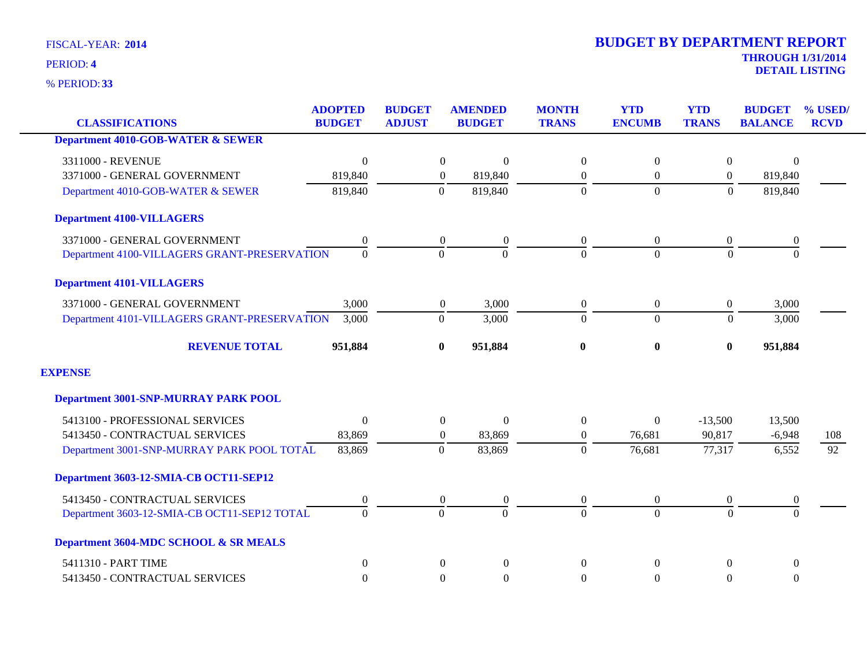**33** % PERIOD:

| <b>CLASSIFICATIONS</b>                       | <b>ADOPTED</b><br><b>BUDGET</b> | <b>BUDGET</b><br><b>ADJUST</b> | <b>AMENDED</b><br><b>BUDGET</b> | <b>MONTH</b><br><b>TRANS</b> | <b>YTD</b><br><b>ENCUMB</b> | <b>YTD</b><br><b>TRANS</b> | <b>BUDGET</b><br><b>BALANCE</b> | % USED/<br><b>RCVD</b> |
|----------------------------------------------|---------------------------------|--------------------------------|---------------------------------|------------------------------|-----------------------------|----------------------------|---------------------------------|------------------------|
| <b>Department 4010-GOB-WATER &amp; SEWER</b> |                                 |                                |                                 |                              |                             |                            |                                 |                        |
| 3311000 - REVENUE                            | $\mathbf{0}$                    | $\boldsymbol{0}$               | $\boldsymbol{0}$                | $\boldsymbol{0}$             | $\boldsymbol{0}$            | $\overline{0}$             | $\Omega$                        |                        |
| 3371000 - GENERAL GOVERNMENT                 | 819,840                         | $\overline{0}$                 | 819,840                         | $\overline{0}$               | $\overline{0}$              | $\theta$                   | 819,840                         |                        |
| Department 4010-GOB-WATER & SEWER            | 819,840                         | $\overline{0}$                 | 819,840                         | $\Omega$                     | $\overline{0}$              | $\theta$                   | 819,840                         |                        |
| <b>Department 4100-VILLAGERS</b>             |                                 |                                |                                 |                              |                             |                            |                                 |                        |
| 3371000 - GENERAL GOVERNMENT                 | $\boldsymbol{0}$                | $\boldsymbol{0}$               | $\boldsymbol{0}$                | $\boldsymbol{0}$             | $\overline{0}$              | $\overline{0}$             | $\boldsymbol{0}$                |                        |
| Department 4100-VILLAGERS GRANT-PRESERVATION | $\overline{0}$                  | $\Omega$                       | $\Omega$                        | $\Omega$                     | $\Omega$                    | $\Omega$                   | $\Omega$                        |                        |
| <b>Department 4101-VILLAGERS</b>             |                                 |                                |                                 |                              |                             |                            |                                 |                        |
| 3371000 - GENERAL GOVERNMENT                 | 3,000                           | $\overline{0}$                 | 3,000                           | $\boldsymbol{0}$             | $\overline{0}$              | $\overline{0}$             | 3,000                           |                        |
| Department 4101-VILLAGERS GRANT-PRESERVATION | 3,000                           | $\boldsymbol{0}$               | 3,000                           | $\overline{0}$               | $\overline{0}$              | $\Omega$                   | 3,000                           |                        |
| <b>REVENUE TOTAL</b>                         | 951,884                         | $\bf{0}$                       | 951,884                         | $\bf{0}$                     | $\bf{0}$                    | $\bf{0}$                   | 951,884                         |                        |
| <b>EXPENSE</b>                               |                                 |                                |                                 |                              |                             |                            |                                 |                        |
| <b>Department 3001-SNP-MURRAY PARK POOL</b>  |                                 |                                |                                 |                              |                             |                            |                                 |                        |
| 5413100 - PROFESSIONAL SERVICES              | $\Omega$                        | $\overline{0}$                 | $\mathbf{0}$                    | $\overline{0}$               | $\overline{0}$              | $-13,500$                  | 13,500                          |                        |
| 5413450 - CONTRACTUAL SERVICES               | 83,869                          | $\overline{0}$                 | 83,869                          | $\overline{0}$               | 76,681                      | 90,817                     | $-6,948$                        | 108                    |
| Department 3001-SNP-MURRAY PARK POOL TOTAL   | 83,869                          | $\mathbf{0}$                   | 83,869                          | $\mathbf{0}$                 | 76,681                      | 77,317                     | 6,552                           | 92                     |
| Department 3603-12-SMIA-CB OCT11-SEP12       |                                 |                                |                                 |                              |                             |                            |                                 |                        |
| 5413450 - CONTRACTUAL SERVICES               | $\boldsymbol{0}$                | $\boldsymbol{0}$               | $\boldsymbol{0}$                | $\boldsymbol{0}$             | $\overline{0}$              | $\overline{0}$             | $\boldsymbol{0}$                |                        |
| Department 3603-12-SMIA-CB OCT11-SEP12 TOTAL | $\Omega$                        | $\Omega$                       | $\Omega$                        | $\Omega$                     | $\Omega$                    | $\Omega$                   | $\Omega$                        |                        |
| Department 3604-MDC SCHOOL & SR MEALS        |                                 |                                |                                 |                              |                             |                            |                                 |                        |
| 5411310 - PART TIME                          | $\overline{0}$                  | $\overline{0}$                 | $\mathbf{0}$                    | $\theta$                     | $\Omega$                    | $\theta$                   | $\overline{0}$                  |                        |
| 5413450 - CONTRACTUAL SERVICES               | $\boldsymbol{0}$                | $\overline{0}$                 | $\boldsymbol{0}$                | $\mathbf{0}$                 | $\overline{0}$              | $\overline{0}$             | $\boldsymbol{0}$                |                        |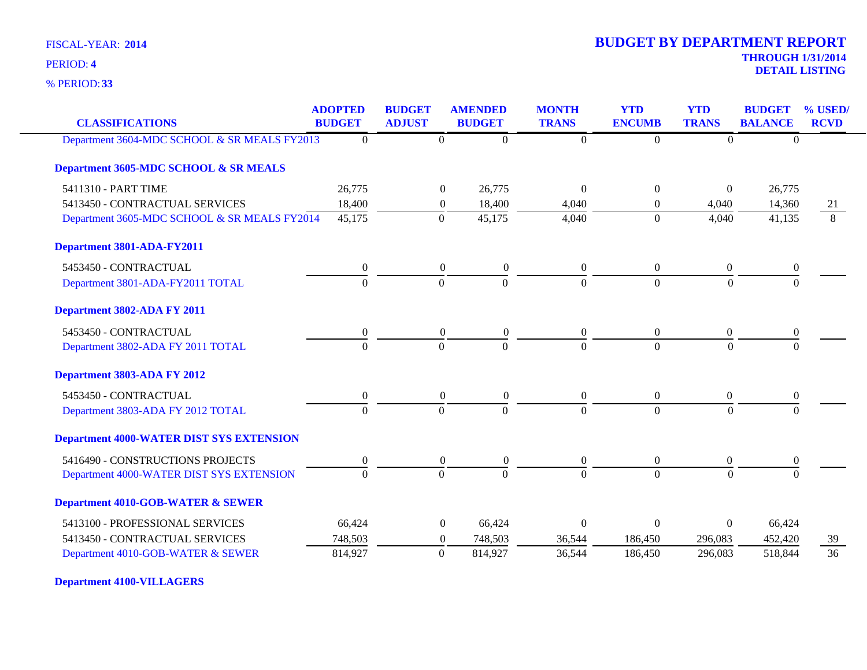**33** % PERIOD:

# **THROUGH 1/31/2014 DETAIL LISTING** PERIOD: **<sup>4</sup> 2014 BUDGET BY DEPARTMENT REPORT**

| <b>CLASSIFICATIONS</b>                          | <b>ADOPTED</b><br><b>BUDGET</b> | <b>BUDGET</b><br><b>ADJUST</b> | <b>AMENDED</b><br><b>BUDGET</b>      | <b>MONTH</b><br><b>TRANS</b> | <b>YTD</b><br><b>ENCUMB</b> | <b>YTD</b><br><b>TRANS</b> | <b>BUDGET</b><br><b>BALANCE</b> | % USED/<br><b>RCVD</b> |
|-------------------------------------------------|---------------------------------|--------------------------------|--------------------------------------|------------------------------|-----------------------------|----------------------------|---------------------------------|------------------------|
| Department 3604-MDC SCHOOL & SR MEALS FY2013    | $\Omega$                        |                                | $\mathbf{0}$<br>$\Omega$             | $\boldsymbol{0}$             | $\theta$                    | $\Omega$                   | $\theta$                        |                        |
| Department 3605-MDC SCHOOL & SR MEALS           |                                 |                                |                                      |                              |                             |                            |                                 |                        |
| 5411310 - PART TIME                             | 26,775                          |                                | $\theta$<br>26,775                   | $\Omega$                     | $\overline{0}$              | $\overline{0}$             | 26,775                          |                        |
| 5413450 - CONTRACTUAL SERVICES                  | 18,400                          |                                | 18,400<br>$\boldsymbol{0}$           | 4,040                        | $\theta$                    | 4,040                      | 14,360                          | 21                     |
| Department 3605-MDC SCHOOL & SR MEALS FY2014    | 45,175                          |                                | 45,175<br>$\theta$                   | 4,040                        | $\theta$                    | 4,040                      | 41,135                          | $\overline{8}$         |
| Department 3801-ADA-FY2011                      |                                 |                                |                                      |                              |                             |                            |                                 |                        |
| 5453450 - CONTRACTUAL                           | $\boldsymbol{0}$                |                                | $\boldsymbol{0}$<br>$\boldsymbol{0}$ | $\overline{0}$               | $\boldsymbol{0}$            | $\overline{0}$             | $\boldsymbol{0}$                |                        |
| Department 3801-ADA-FY2011 TOTAL                | $\overline{0}$                  |                                | $\mathbf{0}$<br>$\overline{0}$       | $\Omega$                     | $\Omega$                    | $\Omega$                   | $\mathbf{0}$                    |                        |
| Department 3802-ADA FY 2011                     |                                 |                                |                                      |                              |                             |                            |                                 |                        |
| 5453450 - CONTRACTUAL                           | $\boldsymbol{0}$                |                                | $\boldsymbol{0}$<br>$\boldsymbol{0}$ | $\boldsymbol{0}$             | $\overline{0}$              | $\boldsymbol{0}$           | $\boldsymbol{0}$                |                        |
| Department 3802-ADA FY 2011 TOTAL               | $\overline{0}$                  |                                | $\mathbf{0}$<br>$\mathbf{0}$         | $\overline{0}$               | $\overline{0}$              | $\overline{0}$             | $\Omega$                        |                        |
| Department 3803-ADA FY 2012                     |                                 |                                |                                      |                              |                             |                            |                                 |                        |
| 5453450 - CONTRACTUAL                           | $\mathbf{0}$                    |                                | $\boldsymbol{0}$<br>$\boldsymbol{0}$ | $\boldsymbol{0}$             | $\boldsymbol{0}$            | $\boldsymbol{0}$           | $\boldsymbol{0}$                |                        |
| Department 3803-ADA FY 2012 TOTAL               | $\Omega$                        |                                | $\Omega$<br>$\Omega$                 | $\Omega$                     | $\Omega$                    | $\Omega$                   | $\Omega$                        |                        |
| <b>Department 4000-WATER DIST SYS EXTENSION</b> |                                 |                                |                                      |                              |                             |                            |                                 |                        |
| 5416490 - CONSTRUCTIONS PROJECTS                | $\boldsymbol{0}$                |                                | $\boldsymbol{0}$<br>$\boldsymbol{0}$ | $\boldsymbol{0}$             | $\boldsymbol{0}$            | $\boldsymbol{0}$           | $\boldsymbol{0}$                |                        |
| Department 4000-WATER DIST SYS EXTENSION        | $\Omega$                        |                                | $\mathbf{0}$<br>$\Omega$             | $\Omega$                     | $\Omega$                    | $\Omega$                   | $\Omega$                        |                        |
| <b>Department 4010-GOB-WATER &amp; SEWER</b>    |                                 |                                |                                      |                              |                             |                            |                                 |                        |
| 5413100 - PROFESSIONAL SERVICES                 | 66,424                          |                                | $\boldsymbol{0}$<br>66,424           | $\Omega$                     | $\Omega$                    | $\mathbf{0}$               | 66,424                          |                        |
| 5413450 - CONTRACTUAL SERVICES                  | 748,503                         |                                | 748,503<br>$\theta$                  | 36,544                       | 186,450                     | 296,083                    | 452,420                         | 39                     |
| Department 4010-GOB-WATER & SEWER               | 814,927                         |                                | $\overline{0}$<br>814,927            | 36,544                       | 186,450                     | 296,083                    | 518,844                         | 36                     |

**Department 4100-VILLAGERS**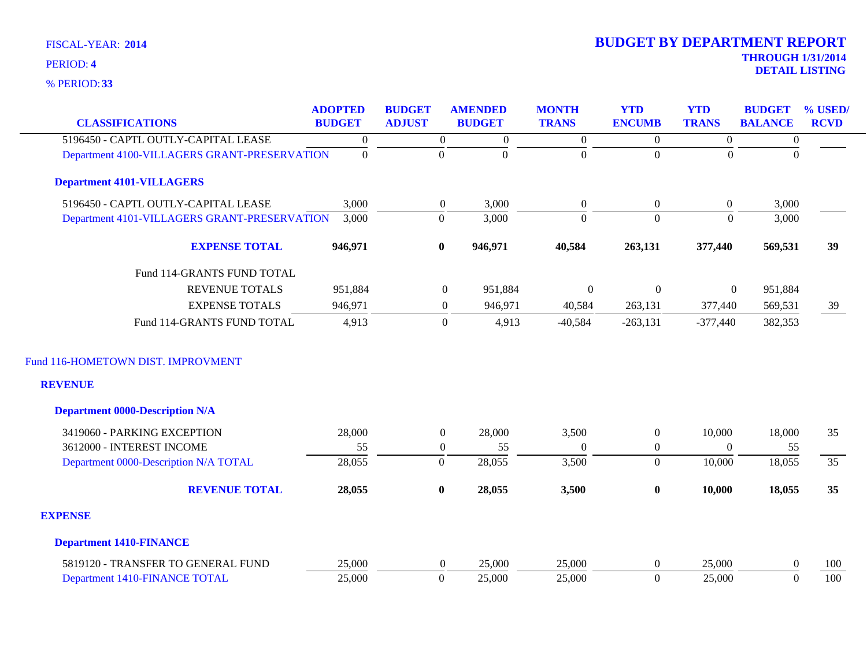| <b>CLASSIFICATIONS</b>                       | <b>ADOPTED</b><br><b>BUDGET</b> | <b>BUDGET</b><br><b>ADJUST</b> | <b>AMENDED</b><br><b>BUDGET</b> | <b>MONTH</b><br><b>TRANS</b> | <b>YTD</b><br><b>ENCUMB</b> | <b>YTD</b><br><b>TRANS</b> | <b>BUDGET</b><br><b>BALANCE</b> | % USED/<br><b>RCVD</b> |
|----------------------------------------------|---------------------------------|--------------------------------|---------------------------------|------------------------------|-----------------------------|----------------------------|---------------------------------|------------------------|
|                                              |                                 |                                |                                 |                              |                             |                            |                                 |                        |
| 5196450 - CAPTL OUTLY-CAPITAL LEASE          | $\boldsymbol{0}$                | $\overline{0}$                 | $\boldsymbol{0}$                | $\overline{0}$               | $\overline{0}$              | $\boldsymbol{0}$           | $\boldsymbol{0}$                |                        |
| Department 4100-VILLAGERS GRANT-PRESERVATION | $\mathbf{0}$                    | $\boldsymbol{0}$               | $\mathbf{0}$                    | $\overline{0}$               | $\overline{0}$              | $\Omega$                   | $\Omega$                        |                        |
| <b>Department 4101-VILLAGERS</b>             |                                 |                                |                                 |                              |                             |                            |                                 |                        |
| 5196450 - CAPTL OUTLY-CAPITAL LEASE          | 3,000                           | $\overline{0}$                 | 3,000                           | $\boldsymbol{0}$             | $\overline{0}$              | $\overline{0}$             | 3,000                           |                        |
| Department 4101-VILLAGERS GRANT-PRESERVATION | 3,000                           | $\boldsymbol{0}$               | 3,000                           | $\overline{0}$               | $\overline{0}$              | $\theta$                   | 3,000                           |                        |
| <b>EXPENSE TOTAL</b>                         | 946,971                         | $\bf{0}$                       | 946,971                         | 40,584                       | 263,131                     | 377,440                    | 569,531                         | 39                     |
| Fund 114-GRANTS FUND TOTAL                   |                                 |                                |                                 |                              |                             |                            |                                 |                        |
| <b>REVENUE TOTALS</b>                        | 951,884                         |                                | $\mathbf{0}$<br>951,884         | $\boldsymbol{0}$             | $\boldsymbol{0}$            | $\boldsymbol{0}$           | 951,884                         |                        |
| <b>EXPENSE TOTALS</b>                        | 946,971                         |                                | 946,971<br>$\mathbf{0}$         | 40,584                       | 263,131                     | 377,440                    | 569,531                         | 39                     |
| Fund 114-GRANTS FUND TOTAL                   | 4,913                           |                                | $\overline{0}$<br>4,913         | $-40,584$                    | $-263,131$                  | $-377,440$                 | 382,353                         |                        |
| Fund 116-HOMETOWN DIST. IMPROVMENT           |                                 |                                |                                 |                              |                             |                            |                                 |                        |
| <b>REVENUE</b>                               |                                 |                                |                                 |                              |                             |                            |                                 |                        |
| <b>Department 0000-Description N/A</b>       |                                 |                                |                                 |                              |                             |                            |                                 |                        |
| 3419060 - PARKING EXCEPTION                  | 28,000                          | $\overline{0}$                 | 28,000                          | 3,500                        | $\boldsymbol{0}$            | 10,000                     | 18,000                          | 35                     |
| 3612000 - INTEREST INCOME                    | 55                              | $\overline{0}$                 | 55                              | $\theta$                     | $\boldsymbol{0}$            | $\Omega$                   | 55                              |                        |
| Department 0000-Description N/A TOTAL        | 28,055                          | $\boldsymbol{0}$               | 28,055                          | 3,500                        | $\overline{0}$              | 10,000                     | 18,055                          | 35                     |
| <b>REVENUE TOTAL</b>                         | 28,055                          | $\bf{0}$                       | 28,055                          | 3,500                        | $\bf{0}$                    | 10,000                     | 18,055                          | 35                     |
| <b>EXPENSE</b>                               |                                 |                                |                                 |                              |                             |                            |                                 |                        |
| <b>Department 1410-FINANCE</b>               |                                 |                                |                                 |                              |                             |                            |                                 |                        |
| 5819120 - TRANSFER TO GENERAL FUND           | 25,000                          | $\overline{0}$                 | 25,000                          | 25,000                       | $\overline{0}$              | 25,000                     | $\boldsymbol{0}$                | 100                    |
| Department 1410-FINANCE TOTAL                | 25,000                          | $\boldsymbol{0}$               | 25,000                          | 25,000                       | $\overline{0}$              | 25,000                     | $\mathbf{0}$                    | 100                    |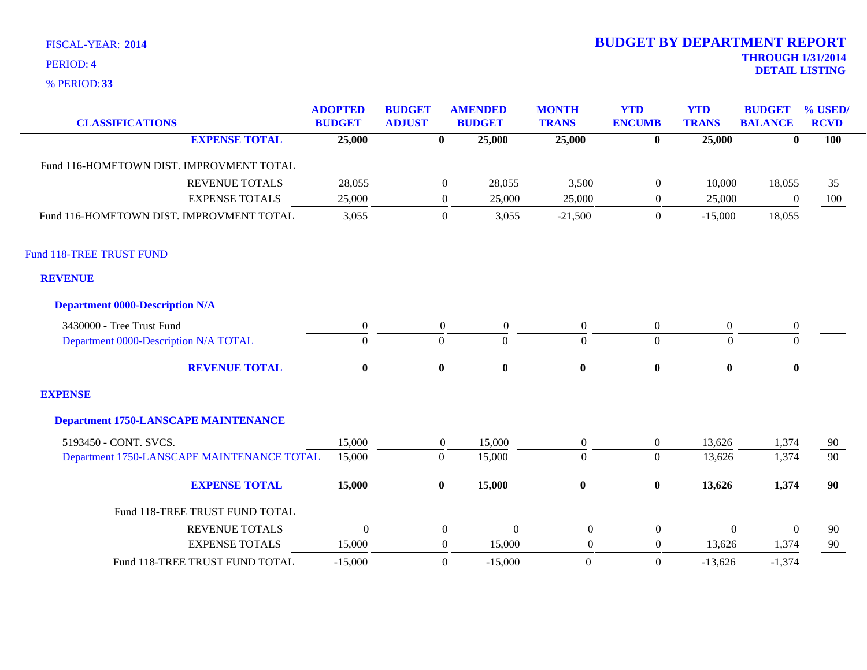**33** % PERIOD:

| <b>CLASSIFICATIONS</b>                      | <b>ADOPTED</b><br><b>BUDGET</b> | <b>BUDGET</b><br><b>ADJUST</b> |                  | <b>AMENDED</b><br><b>BUDGET</b> | <b>MONTH</b><br><b>TRANS</b> | <b>YTD</b><br><b>ENCUMB</b> | <b>YTD</b><br><b>TRANS</b> | <b>BUDGET</b><br><b>BALANCE</b> | % USED/<br><b>RCVD</b> |
|---------------------------------------------|---------------------------------|--------------------------------|------------------|---------------------------------|------------------------------|-----------------------------|----------------------------|---------------------------------|------------------------|
| <b>EXPENSE TOTAL</b>                        | 25,000                          |                                | $\bf{0}$         | 25,000                          | 25,000                       | $\bf{0}$                    | 25,000                     | $\bf{0}$                        | 100                    |
| Fund 116-HOMETOWN DIST. IMPROVMENT TOTAL    |                                 |                                |                  |                                 |                              |                             |                            |                                 |                        |
| <b>REVENUE TOTALS</b>                       | 28,055                          |                                | $\overline{0}$   | 28,055                          | 3,500                        | $\boldsymbol{0}$            | 10,000                     | 18,055                          | 35                     |
| <b>EXPENSE TOTALS</b>                       | 25,000                          |                                | $\overline{0}$   | 25,000                          | 25,000                       | $\boldsymbol{0}$            | 25,000                     | $\boldsymbol{0}$                | 100                    |
| Fund 116-HOMETOWN DIST. IMPROVMENT TOTAL    | 3,055                           |                                | $\boldsymbol{0}$ | 3,055                           | $-21,500$                    | $\overline{0}$              | $-15,000$                  | 18,055                          |                        |
| Fund 118-TREE TRUST FUND                    |                                 |                                |                  |                                 |                              |                             |                            |                                 |                        |
| <b>REVENUE</b>                              |                                 |                                |                  |                                 |                              |                             |                            |                                 |                        |
| <b>Department 0000-Description N/A</b>      |                                 |                                |                  |                                 |                              |                             |                            |                                 |                        |
| 3430000 - Tree Trust Fund                   | $\boldsymbol{0}$                |                                | $\boldsymbol{0}$ | $\mathbf{0}$                    | $\boldsymbol{0}$             | $\boldsymbol{0}$            | $\boldsymbol{0}$           | $\boldsymbol{0}$                |                        |
| Department 0000-Description N/A TOTAL       | $\boldsymbol{0}$                |                                | $\Omega$         | $\Omega$                        | $\overline{0}$               | $\overline{0}$              | $\Omega$                   | $\Omega$                        |                        |
| <b>REVENUE TOTAL</b>                        | $\boldsymbol{0}$                |                                | $\bf{0}$         | $\bf{0}$                        | $\bf{0}$                     | $\bf{0}$                    | $\bf{0}$                   | $\bf{0}$                        |                        |
| <b>EXPENSE</b>                              |                                 |                                |                  |                                 |                              |                             |                            |                                 |                        |
| <b>Department 1750-LANSCAPE MAINTENANCE</b> |                                 |                                |                  |                                 |                              |                             |                            |                                 |                        |
| 5193450 - CONT. SVCS.                       | 15,000                          |                                | $\overline{0}$   | 15,000                          | $\boldsymbol{0}$             | $\overline{0}$              | 13,626                     | 1,374                           | 90                     |
| Department 1750-LANSCAPE MAINTENANCE TOTAL  | 15,000                          |                                | $\overline{0}$   | 15,000                          | $\mathbf{0}$                 | $\overline{0}$              | 13,626                     | 1,374                           | 90                     |
| <b>EXPENSE TOTAL</b>                        | 15,000                          |                                | $\bf{0}$         | 15,000                          | $\bf{0}$                     | $\bf{0}$                    | 13,626                     | 1,374                           | 90                     |
| Fund 118-TREE TRUST FUND TOTAL              |                                 |                                |                  |                                 |                              |                             |                            |                                 |                        |
| <b>REVENUE TOTALS</b>                       | $\boldsymbol{0}$                |                                | $\boldsymbol{0}$ | $\theta$                        | $\boldsymbol{0}$             | $\boldsymbol{0}$            | $\boldsymbol{0}$           | $\mathbf{0}$                    | 90                     |
| <b>EXPENSE TOTALS</b>                       | 15,000                          |                                | $\boldsymbol{0}$ | 15,000                          | $\overline{0}$               | $\boldsymbol{0}$            | 13,626                     | 1,374                           | 90                     |
| Fund 118-TREE TRUST FUND TOTAL              | $-15,000$                       |                                | $\overline{0}$   | $-15,000$                       | $\overline{0}$               | $\boldsymbol{0}$            | $-13,626$                  | $-1,374$                        |                        |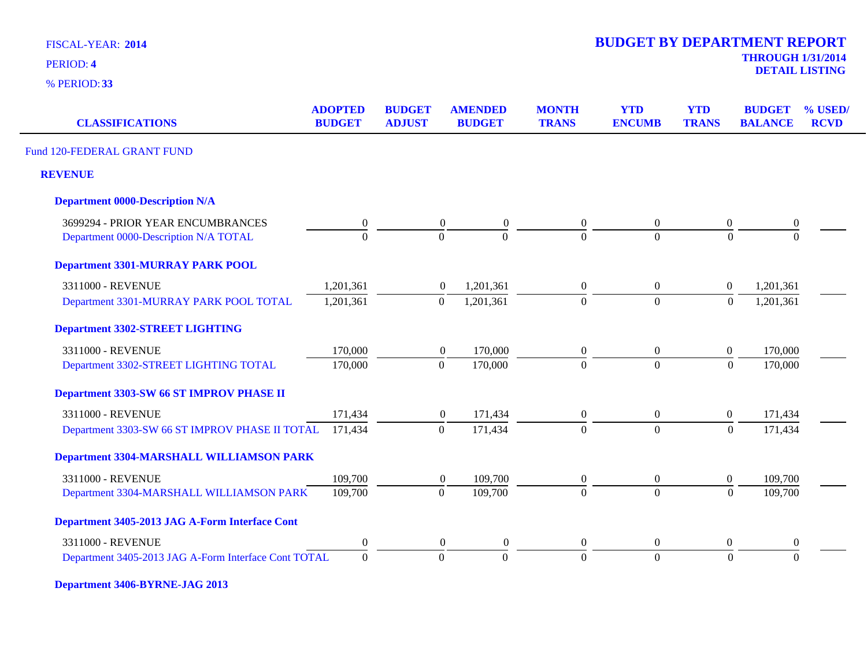**33** % PERIOD:

| <b>CLASSIFICATIONS</b>                               | <b>ADOPTED</b><br><b>BUDGET</b> | <b>BUDGET</b><br><b>ADJUST</b> | <b>AMENDED</b><br><b>BUDGET</b>    | <b>MONTH</b><br><b>TRANS</b> | <b>YTD</b><br><b>ENCUMB</b> | <b>YTD</b><br><b>TRANS</b> | <b>BUDGET</b><br><b>BALANCE</b> | % USED/<br><b>RCVD</b> |
|------------------------------------------------------|---------------------------------|--------------------------------|------------------------------------|------------------------------|-----------------------------|----------------------------|---------------------------------|------------------------|
| Fund 120-FEDERAL GRANT FUND                          |                                 |                                |                                    |                              |                             |                            |                                 |                        |
| <b>REVENUE</b>                                       |                                 |                                |                                    |                              |                             |                            |                                 |                        |
| <b>Department 0000-Description N/A</b>               |                                 |                                |                                    |                              |                             |                            |                                 |                        |
| 3699294 - PRIOR YEAR ENCUMBRANCES                    | $\overline{0}$                  |                                | $\boldsymbol{0}$<br>$\overline{0}$ | $\boldsymbol{0}$             | $\boldsymbol{0}$            | $\boldsymbol{0}$           | $\boldsymbol{0}$                |                        |
| Department 0000-Description N/A TOTAL                | $\Omega$                        |                                | $\Omega$<br>$\overline{0}$         | $\Omega$                     | $\Omega$                    | $\Omega$                   | $\Omega$                        |                        |
| <b>Department 3301-MURRAY PARK POOL</b>              |                                 |                                |                                    |                              |                             |                            |                                 |                        |
| 3311000 - REVENUE                                    | 1,201,361                       |                                | 1,201,361<br>$\overline{0}$        | $\boldsymbol{0}$             | $\overline{0}$              | $\boldsymbol{0}$           | 1,201,361                       |                        |
| Department 3301-MURRAY PARK POOL TOTAL               | 1,201,361                       |                                | 1,201,361<br>$\mathbf{0}$          | $\Omega$                     | $\Omega$                    | $\Omega$                   | 1,201,361                       |                        |
| <b>Department 3302-STREET LIGHTING</b>               |                                 |                                |                                    |                              |                             |                            |                                 |                        |
| 3311000 - REVENUE                                    | 170,000                         |                                | 170,000<br>$\boldsymbol{0}$        | $\boldsymbol{0}$             | $\boldsymbol{0}$            | $\boldsymbol{0}$           | 170,000                         |                        |
| Department 3302-STREET LIGHTING TOTAL                | 170,000                         |                                | 170,000<br>$\overline{0}$          | $\theta$                     | $\Omega$                    | $\Omega$                   | 170,000                         |                        |
| Department 3303-SW 66 ST IMPROV PHASE II             |                                 |                                |                                    |                              |                             |                            |                                 |                        |
| 3311000 - REVENUE                                    | 171,434                         |                                | 171,434<br>$\boldsymbol{0}$        | $\boldsymbol{0}$             | $\overline{0}$              | $\overline{0}$             | 171,434                         |                        |
| Department 3303-SW 66 ST IMPROV PHASE II TOTAL       | 171,434                         |                                | 171,434<br>$\overline{0}$          | $\theta$                     | $\overline{0}$              | $\overline{0}$             | 171,434                         |                        |
| <b>Department 3304-MARSHALL WILLIAMSON PARK</b>      |                                 |                                |                                    |                              |                             |                            |                                 |                        |
| 3311000 - REVENUE                                    | 109,700                         |                                | 109,700<br>$\boldsymbol{0}$        | $\boldsymbol{0}$             | $\overline{0}$              | $\boldsymbol{0}$           | 109,700                         |                        |
| Department 3304-MARSHALL WILLIAMSON PARK             | 109,700                         |                                | $\boldsymbol{0}$<br>109,700        | $\overline{0}$               | $\overline{0}$              | $\overline{0}$             | 109,700                         |                        |
| Department 3405-2013 JAG A-Form Interface Cont       |                                 |                                |                                    |                              |                             |                            |                                 |                        |
| 3311000 - REVENUE                                    | $\overline{0}$                  |                                | $\overline{0}$<br>$\theta$         | $\overline{0}$               | $\overline{0}$              | $\boldsymbol{0}$           | $\mathbf{0}$                    |                        |
| Department 3405-2013 JAG A-Form Interface Cont TOTAL | $\overline{0}$                  |                                | $\theta$<br>$\overline{0}$         | $\Omega$                     | $\overline{0}$              | $\Omega$                   | $\Omega$                        |                        |
|                                                      |                                 |                                |                                    |                              |                             |                            |                                 |                        |

**Department 3406-BYRNE-JAG 2013**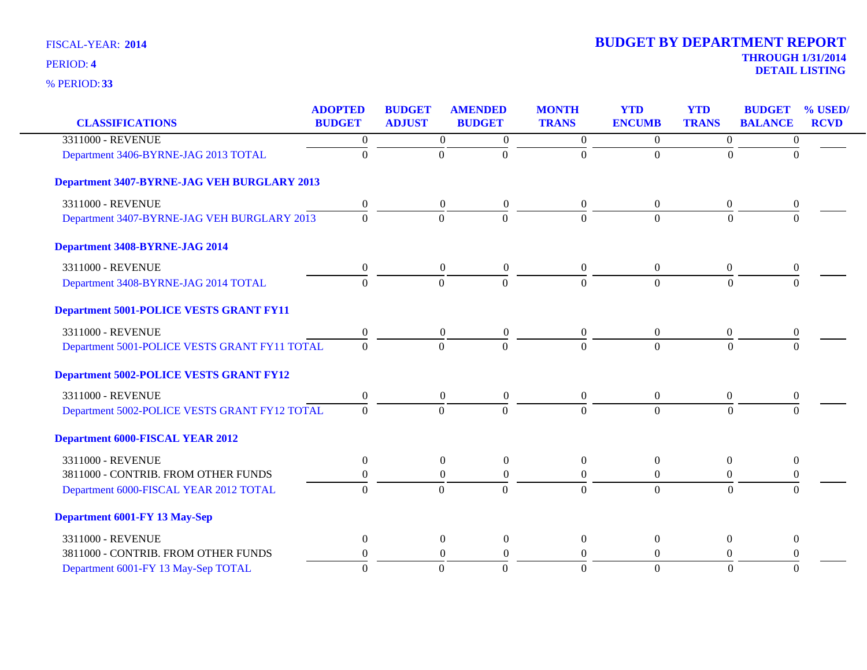| <b>CLASSIFICATIONS</b>                             | <b>ADOPTED</b><br><b>BUDGET</b> | <b>BUDGET</b><br><b>ADJUST</b> | <b>AMENDED</b><br><b>BUDGET</b>      | <b>MONTH</b><br><b>TRANS</b> | <b>YTD</b><br><b>ENCUMB</b> | <b>YTD</b><br><b>TRANS</b> | <b>BUDGET</b><br><b>BALANCE</b> | % USED/<br><b>RCVD</b> |
|----------------------------------------------------|---------------------------------|--------------------------------|--------------------------------------|------------------------------|-----------------------------|----------------------------|---------------------------------|------------------------|
| 3311000 - REVENUE                                  |                                 |                                |                                      |                              |                             |                            |                                 |                        |
|                                                    | $\boldsymbol{0}$                |                                | $\boldsymbol{0}$<br>$\overline{0}$   | $\overline{0}$               | $\overline{0}$              | $\overline{0}$             | $\boldsymbol{0}$                |                        |
| Department 3406-BYRNE-JAG 2013 TOTAL               | $\theta$                        |                                | $\Omega$<br>$\Omega$                 | $\Omega$                     | $\Omega$                    | $\theta$                   | $\Omega$                        |                        |
| <b>Department 3407-BYRNE-JAG VEH BURGLARY 2013</b> |                                 |                                |                                      |                              |                             |                            |                                 |                        |
| 3311000 - REVENUE                                  | $\boldsymbol{0}$                |                                | $\overline{0}$<br>$\boldsymbol{0}$   | $\overline{0}$               | $\theta$                    | $\overline{0}$             | $\theta$                        |                        |
| Department 3407-BYRNE-JAG VEH BURGLARY 2013        | $\Omega$                        |                                | $\mathbf{0}$<br>$\Omega$             | $\Omega$                     | $\Omega$                    | $\Omega$                   | $\Omega$                        |                        |
| Department 3408-BYRNE-JAG 2014                     |                                 |                                |                                      |                              |                             |                            |                                 |                        |
| 3311000 - REVENUE                                  | $\boldsymbol{0}$                |                                | $\boldsymbol{0}$<br>$\boldsymbol{0}$ | $\theta$                     | $\overline{0}$              | $\overline{0}$             | $\Omega$                        |                        |
| Department 3408-BYRNE-JAG 2014 TOTAL               | $\Omega$                        |                                | $\Omega$<br>$\Omega$                 | $\Omega$                     | $\Omega$                    | $\Omega$                   | $\Omega$                        |                        |
| <b>Department 5001-POLICE VESTS GRANT FY11</b>     |                                 |                                |                                      |                              |                             |                            |                                 |                        |
| 3311000 - REVENUE                                  | $\boldsymbol{0}$                |                                | $\boldsymbol{0}$<br>$\boldsymbol{0}$ | $\overline{0}$               | $\overline{0}$              | $\boldsymbol{0}$           | $\theta$                        |                        |
| Department 5001-POLICE VESTS GRANT FY11 TOTAL      | $\Omega$                        |                                | $\Omega$<br>$\Omega$                 | $\Omega$                     | $\Omega$                    | $\Omega$                   | $\Omega$                        |                        |
| <b>Department 5002-POLICE VESTS GRANT FY12</b>     |                                 |                                |                                      |                              |                             |                            |                                 |                        |
| 3311000 - REVENUE                                  | $\overline{0}$                  |                                | $\boldsymbol{0}$<br>$\boldsymbol{0}$ | $\overline{0}$               | $\overline{0}$              | $\overline{0}$             | $\theta$                        |                        |
| Department 5002-POLICE VESTS GRANT FY12 TOTAL      | $\Omega$                        |                                | $\Omega$<br>$\overline{0}$           | $\Omega$                     | $\Omega$                    | $\Omega$                   | $\Omega$                        |                        |
| <b>Department 6000-FISCAL YEAR 2012</b>            |                                 |                                |                                      |                              |                             |                            |                                 |                        |
| 3311000 - REVENUE                                  | $\overline{0}$                  |                                | $\overline{0}$<br>$\boldsymbol{0}$   | $\theta$                     | $\Omega$                    | $\overline{0}$             | $\theta$                        |                        |
| 3811000 - CONTRIB. FROM OTHER FUNDS                | $\boldsymbol{0}$                |                                | $\boldsymbol{0}$<br>$\boldsymbol{0}$ | $\overline{0}$               | $\overline{0}$              | $\overline{0}$             | $\boldsymbol{0}$                |                        |
| Department 6000-FISCAL YEAR 2012 TOTAL             | $\Omega$                        |                                | $\Omega$<br>$\Omega$                 | $\Omega$                     | $\Omega$                    | $\Omega$                   | $\Omega$                        |                        |
| Department 6001-FY 13 May-Sep                      |                                 |                                |                                      |                              |                             |                            |                                 |                        |
| 3311000 - REVENUE                                  | $\overline{0}$                  |                                | $\overline{0}$<br>$\boldsymbol{0}$   | $\theta$                     | $\mathbf{0}$                | $\overline{0}$             | $\overline{0}$                  |                        |
| 3811000 - CONTRIB. FROM OTHER FUNDS                | $\Omega$                        |                                | $\boldsymbol{0}$<br>$\overline{0}$   | $\Omega$                     | $\Omega$                    | $\overline{0}$             | 0                               |                        |
| Department 6001-FY 13 May-Sep TOTAL                | $\Omega$                        |                                | $\Omega$<br>$\Omega$                 | $\Omega$                     | $\Omega$                    | $\Omega$                   | $\Omega$                        |                        |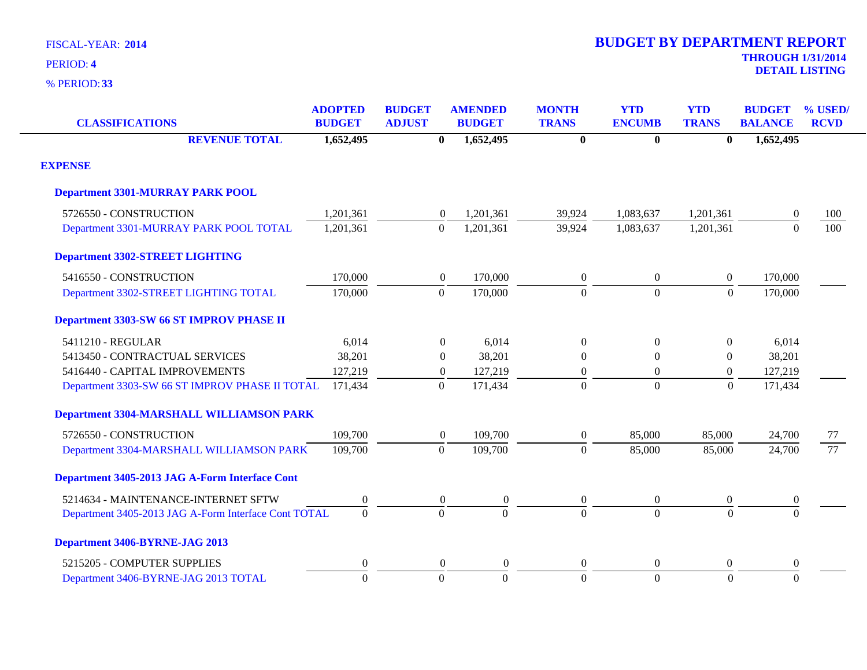| <b>CLASSIFICATIONS</b>                               | <b>ADOPTED</b><br><b>BUDGET</b> | <b>BUDGET</b><br><b>ADJUST</b> | <b>AMENDED</b><br><b>BUDGET</b> | <b>MONTH</b><br><b>TRANS</b> | <b>YTD</b><br><b>ENCUMB</b> | <b>YTD</b><br><b>TRANS</b> | <b>BUDGET</b><br><b>BALANCE</b> | % USED/<br><b>RCVD</b> |
|------------------------------------------------------|---------------------------------|--------------------------------|---------------------------------|------------------------------|-----------------------------|----------------------------|---------------------------------|------------------------|
| <b>REVENUE TOTAL</b>                                 | 1,652,495                       | $\mathbf{0}$                   | 1,652,495                       | $\mathbf{0}$                 | $\bf{0}$                    | $\mathbf{0}$               | 1,652,495                       |                        |
| <b>EXPENSE</b>                                       |                                 |                                |                                 |                              |                             |                            |                                 |                        |
| <b>Department 3301-MURRAY PARK POOL</b>              |                                 |                                |                                 |                              |                             |                            |                                 |                        |
| 5726550 - CONSTRUCTION                               | 1,201,361                       | $\boldsymbol{0}$               | 1,201,361                       | 39,924                       | 1,083,637                   | 1,201,361                  | $\boldsymbol{0}$                | 100                    |
| Department 3301-MURRAY PARK POOL TOTAL               | 1,201,361                       | $\mathbf{0}$                   | 1,201,361                       | 39,924                       | 1,083,637                   | 1,201,361                  | $\Omega$                        | 100                    |
| <b>Department 3302-STREET LIGHTING</b>               |                                 |                                |                                 |                              |                             |                            |                                 |                        |
| 5416550 - CONSTRUCTION                               | 170,000                         | $\boldsymbol{0}$               | 170,000                         | $\boldsymbol{0}$             | $\boldsymbol{0}$            | $\boldsymbol{0}$           | 170,000                         |                        |
| Department 3302-STREET LIGHTING TOTAL                | 170,000                         | $\boldsymbol{0}$               | 170,000                         | $\boldsymbol{0}$             | $\overline{0}$              | $\mathbf{0}$               | 170,000                         |                        |
| Department 3303-SW 66 ST IMPROV PHASE II             |                                 |                                |                                 |                              |                             |                            |                                 |                        |
| 5411210 - REGULAR                                    | 6,014                           | $\theta$                       | 6,014                           | $\overline{0}$               | $\mathbf{0}$                | $\Omega$                   | 6,014                           |                        |
| 5413450 - CONTRACTUAL SERVICES                       | 38,201                          | $\overline{0}$                 | 38,201                          | $\theta$                     | $\mathbf{0}$                | $\overline{0}$             | 38,201                          |                        |
| 5416440 - CAPITAL IMPROVEMENTS                       | 127,219                         | $\boldsymbol{0}$               | 127,219                         | $\mathbf{0}$                 | $\boldsymbol{0}$            | $\overline{0}$             | 127,219                         |                        |
| Department 3303-SW 66 ST IMPROV PHASE II TOTAL       | 171,434                         | $\overline{0}$                 | 171,434                         | $\Omega$                     | $\overline{0}$              | $\boldsymbol{0}$           | 171,434                         |                        |
| <b>Department 3304-MARSHALL WILLIAMSON PARK</b>      |                                 |                                |                                 |                              |                             |                            |                                 |                        |
| 5726550 - CONSTRUCTION                               | 109,700                         | $\boldsymbol{0}$               | 109,700                         | $\boldsymbol{0}$             | 85,000                      | 85,000                     | 24,700                          | 77                     |
| Department 3304-MARSHALL WILLIAMSON PARK             | 109,700                         | $\mathbf{0}$                   | 109,700                         | $\boldsymbol{0}$             | 85,000                      | 85,000                     | 24,700                          | 77                     |
| Department 3405-2013 JAG A-Form Interface Cont       |                                 |                                |                                 |                              |                             |                            |                                 |                        |
| 5214634 - MAINTENANCE-INTERNET SFTW                  | 0                               | $\boldsymbol{0}$               | $\boldsymbol{0}$                | $\boldsymbol{0}$             | $\boldsymbol{0}$            | $\boldsymbol{0}$           | $\boldsymbol{0}$                |                        |
| Department 3405-2013 JAG A-Form Interface Cont TOTAL | $\overline{0}$                  | $\overline{0}$                 | $\overline{0}$                  | $\Omega$                     | $\theta$                    | $\theta$                   | $\theta$                        |                        |
| Department 3406-BYRNE-JAG 2013                       |                                 |                                |                                 |                              |                             |                            |                                 |                        |
| 5215205 - COMPUTER SUPPLIES                          | 0                               | $\Omega$                       | $\theta$                        | $\boldsymbol{0}$             | $\overline{0}$              | $\Omega$                   | $\theta$                        |                        |
| Department 3406-BYRNE-JAG 2013 TOTAL                 | $\theta$                        | $\overline{0}$                 | $\overline{0}$                  | $\mathbf{0}$                 | $\overline{0}$              | $\mathbf{0}$               | $\theta$                        |                        |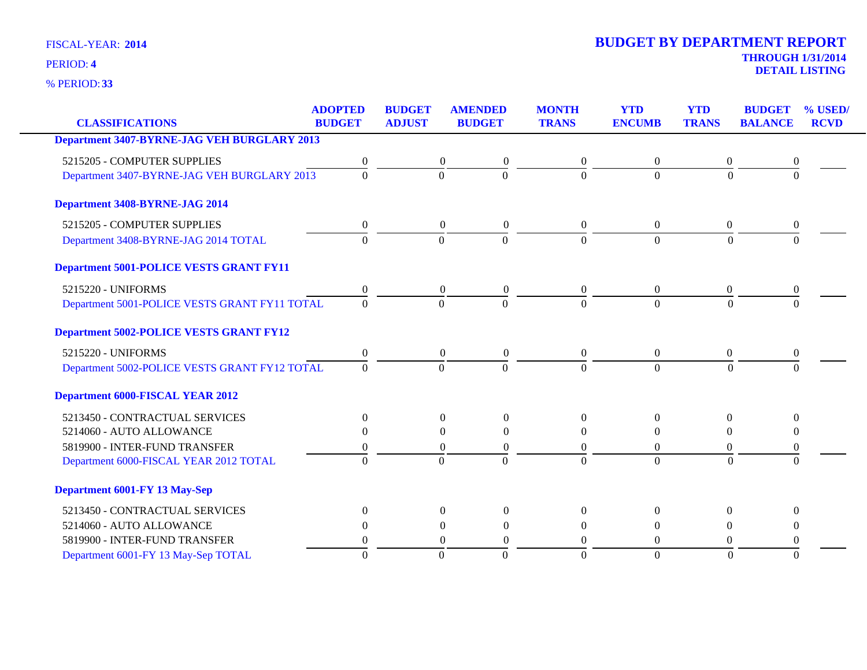**33** % PERIOD:

|                                                    | <b>ADOPTED</b>   | <b>BUDGET</b>    | <b>AMENDED</b>   | <b>MONTH</b>   | <b>YTD</b>     | <b>YTD</b>       | <b>BUDGET</b>    | % USED/     |
|----------------------------------------------------|------------------|------------------|------------------|----------------|----------------|------------------|------------------|-------------|
| <b>CLASSIFICATIONS</b>                             | <b>BUDGET</b>    | <b>ADJUST</b>    | <b>BUDGET</b>    | <b>TRANS</b>   | <b>ENCUMB</b>  | <b>TRANS</b>     | <b>BALANCE</b>   | <b>RCVD</b> |
| <b>Department 3407-BYRNE-JAG VEH BURGLARY 2013</b> |                  |                  |                  |                |                |                  |                  |             |
| 5215205 - COMPUTER SUPPLIES                        | 0                | $\theta$         | $\theta$         | $\overline{0}$ | $\theta$       | 0                |                  |             |
| Department 3407-BYRNE-JAG VEH BURGLARY 2013        | $\theta$         | $\Omega$         | $\theta$         | $\Omega$       | $\Omega$       | $\Omega$         | $\Omega$         |             |
| Department 3408-BYRNE-JAG 2014                     |                  |                  |                  |                |                |                  |                  |             |
| 5215205 - COMPUTER SUPPLIES                        | $\boldsymbol{0}$ | $\overline{0}$   | $\overline{0}$   | $\overline{0}$ | $\overline{0}$ | $\boldsymbol{0}$ | $\mathbf{0}$     |             |
| Department 3408-BYRNE-JAG 2014 TOTAL               | $\overline{0}$   | $\overline{0}$   | $\Omega$         | $\Omega$       | $\Omega$       | $\Omega$         | $\Omega$         |             |
| <b>Department 5001-POLICE VESTS GRANT FY11</b>     |                  |                  |                  |                |                |                  |                  |             |
| 5215220 - UNIFORMS                                 | 0                | $\theta$         | $\boldsymbol{0}$ | $\overline{0}$ | $\overline{0}$ | $\overline{0}$   | $\theta$         |             |
| Department 5001-POLICE VESTS GRANT FY11 TOTAL      | $\Omega$         | $\theta$         | $\Omega$         | $\Omega$       | $\Omega$       | $\Omega$         | $\Omega$         |             |
| <b>Department 5002-POLICE VESTS GRANT FY12</b>     |                  |                  |                  |                |                |                  |                  |             |
| 5215220 - UNIFORMS                                 | $\boldsymbol{0}$ | $\boldsymbol{0}$ | $\boldsymbol{0}$ | $\overline{0}$ | $\overline{0}$ | $\boldsymbol{0}$ | $\boldsymbol{0}$ |             |
| Department 5002-POLICE VESTS GRANT FY12 TOTAL      | $\Omega$         | $\theta$         | $\Omega$         | $\Omega$       | $\Omega$       | $\Omega$         | $\Omega$         |             |
| <b>Department 6000-FISCAL YEAR 2012</b>            |                  |                  |                  |                |                |                  |                  |             |
| 5213450 - CONTRACTUAL SERVICES                     | $\Omega$         | $\Omega$         | $\Omega$         | $\Omega$       | $\Omega$       | $\Omega$         | $\Omega$         |             |
| 5214060 - AUTO ALLOWANCE                           | $\theta$         | $\Omega$         | $\theta$         | $\Omega$       | $\Omega$       | 0                | $\theta$         |             |
| 5819900 - INTER-FUND TRANSFER                      | 0                | $\overline{0}$   | $\theta$         | $\Omega$       | $\mathbf{0}$   | 0                | $\theta$         |             |
| Department 6000-FISCAL YEAR 2012 TOTAL             | $\theta$         | $\Omega$         | $\Omega$         | $\Omega$       | $\Omega$       | $\Omega$         | $\Omega$         |             |
| Department 6001-FY 13 May-Sep                      |                  |                  |                  |                |                |                  |                  |             |
| 5213450 - CONTRACTUAL SERVICES                     | $\theta$         | $\Omega$         | $\Omega$         | $\Omega$       | $\Omega$       | $\mathbf{0}$     | $\Omega$         |             |
| 5214060 - AUTO ALLOWANCE                           | 0                | $\Omega$         | 0                | $\Omega$       | $\Omega$       | $\theta$         | $\theta$         |             |
| 5819900 - INTER-FUND TRANSFER                      | 0                | $\Omega$         | $\Omega$         | $\Omega$       | $\Omega$       | $\Omega$         | $\theta$         |             |
| Department 6001-FY 13 May-Sep TOTAL                | $\theta$         | $\overline{0}$   | $\overline{0}$   | $\Omega$       | $\overline{0}$ | $\overline{0}$   | $\Omega$         |             |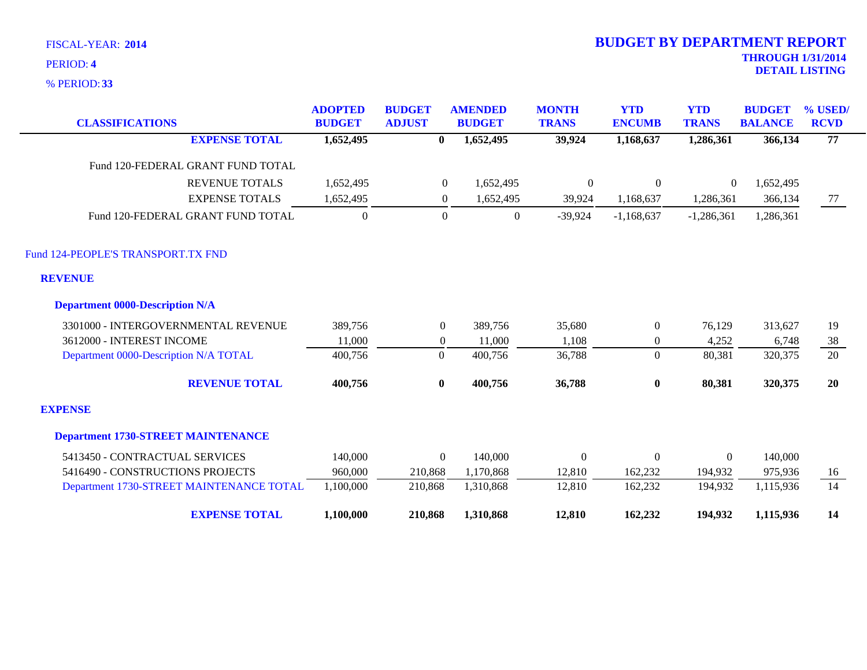**33** % PERIOD:

| <b>CLASSIFICATIONS</b>                    | <b>ADOPTED</b><br><b>BUDGET</b> | <b>BUDGET</b><br><b>ADJUST</b> | <b>AMENDED</b><br><b>BUDGET</b> | <b>MONTH</b><br><b>TRANS</b> | <b>YTD</b><br><b>ENCUMB</b> | <b>YTD</b><br><b>TRANS</b> | <b>BUDGET</b><br><b>BALANCE</b> | % USED/<br><b>RCVD</b> |
|-------------------------------------------|---------------------------------|--------------------------------|---------------------------------|------------------------------|-----------------------------|----------------------------|---------------------------------|------------------------|
| <b>EXPENSE TOTAL</b>                      | 1,652,495                       | $\mathbf{0}$                   | 1,652,495                       | 39,924                       | 1,168,637                   | 1,286,361                  | 366,134                         | 77                     |
| Fund 120-FEDERAL GRANT FUND TOTAL         |                                 |                                |                                 |                              |                             |                            |                                 |                        |
| <b>REVENUE TOTALS</b>                     | 1,652,495                       | $\mathbf{0}$                   | 1,652,495                       | $\boldsymbol{0}$             | $\boldsymbol{0}$            | $\boldsymbol{0}$           | 1,652,495                       |                        |
| <b>EXPENSE TOTALS</b>                     | 1,652,495                       | $\overline{0}$                 | 1,652,495                       | 39,924                       | 1,168,637                   | 1,286,361                  | 366,134                         | 77                     |
| Fund 120-FEDERAL GRANT FUND TOTAL         | $\Omega$                        | $\overline{0}$                 | $\mathbf{0}$                    | $-39,924$                    | $-1,168,637$                | $-1,286,361$               | 1,286,361                       |                        |
| Fund 124-PEOPLE'S TRANSPORT.TX FND        |                                 |                                |                                 |                              |                             |                            |                                 |                        |
| <b>REVENUE</b>                            |                                 |                                |                                 |                              |                             |                            |                                 |                        |
| <b>Department 0000-Description N/A</b>    |                                 |                                |                                 |                              |                             |                            |                                 |                        |
| 3301000 - INTERGOVERNMENTAL REVENUE       | 389,756                         | $\overline{0}$                 | 389,756                         | 35,680                       | $\overline{0}$              | 76,129                     | 313,627                         | 19                     |
| 3612000 - INTEREST INCOME                 | 11,000                          | $\overline{0}$                 | 11,000                          | 1,108                        | $\boldsymbol{0}$            | 4,252                      | 6,748                           | 38                     |
| Department 0000-Description N/A TOTAL     | 400,756                         | $\overline{0}$                 | 400,756                         | 36,788                       | $\overline{0}$              | 80,381                     | 320,375                         | 20                     |
| <b>REVENUE TOTAL</b>                      | 400,756                         | $\bf{0}$                       | 400,756                         | 36,788                       | $\bf{0}$                    | 80,381                     | 320,375                         | 20                     |
| <b>EXPENSE</b>                            |                                 |                                |                                 |                              |                             |                            |                                 |                        |
| <b>Department 1730-STREET MAINTENANCE</b> |                                 |                                |                                 |                              |                             |                            |                                 |                        |
| 5413450 - CONTRACTUAL SERVICES            | 140,000                         | $\overline{0}$                 | 140,000                         | $\theta$                     | $\boldsymbol{0}$            | $\overline{0}$             | 140,000                         |                        |
| 5416490 - CONSTRUCTIONS PROJECTS          | 960,000                         | 210,868                        | 1,170,868                       | 12,810                       | 162,232                     | 194,932                    | 975,936                         | 16                     |
| Department 1730-STREET MAINTENANCE TOTAL  | 1,100,000                       | 210,868                        | 1,310,868                       | 12,810                       | 162,232                     | 194,932                    | 1,115,936                       | 14                     |
| <b>EXPENSE TOTAL</b>                      | 1,100,000                       | 210,868                        | 1,310,868                       | 12,810                       | 162,232                     | 194,932                    | 1,115,936                       | 14                     |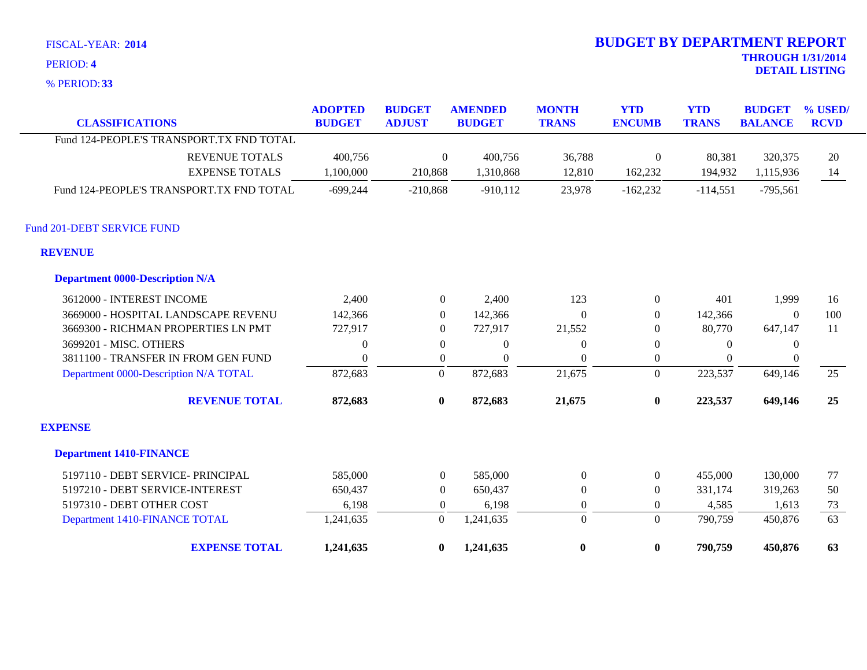**33** % PERIOD:

| <b>CLASSIFICATIONS</b>                   | <b>ADOPTED</b><br><b>BUDGET</b> | <b>BUDGET</b><br><b>ADJUST</b> | <b>AMENDED</b><br><b>BUDGET</b> | <b>MONTH</b><br><b>TRANS</b> | <b>YTD</b><br><b>ENCUMB</b> | <b>YTD</b><br><b>TRANS</b> | <b>BUDGET</b><br><b>BALANCE</b> | % USED/<br><b>RCVD</b> |
|------------------------------------------|---------------------------------|--------------------------------|---------------------------------|------------------------------|-----------------------------|----------------------------|---------------------------------|------------------------|
| Fund 124-PEOPLE'S TRANSPORT.TX FND TOTAL |                                 |                                |                                 |                              |                             |                            |                                 |                        |
| <b>REVENUE TOTALS</b>                    | 400,756                         | $\Omega$                       | 400,756                         | 36,788                       | $\boldsymbol{0}$            | 80,381                     | 320,375                         | 20                     |
| <b>EXPENSE TOTALS</b>                    | 1,100,000                       | 210,868                        | 1,310,868                       | 12,810                       | 162,232                     | 194,932                    | 1,115,936                       | 14                     |
| Fund 124-PEOPLE'S TRANSPORT.TX FND TOTAL | $-699,244$                      | $-210,868$                     | $-910,112$                      | 23,978                       | $-162,232$                  | $-114,551$                 | $-795,561$                      |                        |
| Fund 201-DEBT SERVICE FUND               |                                 |                                |                                 |                              |                             |                            |                                 |                        |
| <b>REVENUE</b>                           |                                 |                                |                                 |                              |                             |                            |                                 |                        |
| <b>Department 0000-Description N/A</b>   |                                 |                                |                                 |                              |                             |                            |                                 |                        |
| 3612000 - INTEREST INCOME                | 2,400                           | $\overline{0}$                 | 2,400                           | 123                          | $\boldsymbol{0}$            | 401                        | 1,999                           | 16                     |
| 3669000 - HOSPITAL LANDSCAPE REVENU      | 142,366                         | $\theta$                       | 142,366                         | $\Omega$                     | $\overline{0}$              | 142,366                    | $\Omega$                        | 100                    |
| 3669300 - RICHMAN PROPERTIES LN PMT      | 727,917                         | $\overline{0}$                 | 727,917                         | 21,552                       | $\theta$                    | 80,770                     | 647,147                         | 11                     |
| 3699201 - MISC. OTHERS                   | $\overline{0}$                  | $\overline{0}$                 | $\overline{0}$                  | $\overline{0}$               | $\theta$                    | $\Omega$                   | $\mathbf{0}$                    |                        |
| 3811100 - TRANSFER IN FROM GEN FUND      | $\theta$                        | $\overline{0}$                 | $\Omega$                        | $\Omega$                     | $\boldsymbol{0}$            | $\Omega$                   | $\mathbf{0}$                    |                        |
| Department 0000-Description N/A TOTAL    | 872,683                         | $\mathbf{0}$                   | 872,683                         | 21,675                       | $\mathbf{0}$                | 223,537                    | 649,146                         | 25                     |
| <b>REVENUE TOTAL</b>                     | 872,683                         | $\bf{0}$                       | 872,683                         | 21,675                       | $\bf{0}$                    | 223,537                    | 649,146                         | 25                     |
| <b>EXPENSE</b>                           |                                 |                                |                                 |                              |                             |                            |                                 |                        |
| <b>Department 1410-FINANCE</b>           |                                 |                                |                                 |                              |                             |                            |                                 |                        |
| 5197110 - DEBT SERVICE- PRINCIPAL        | 585,000                         | $\boldsymbol{0}$               | 585,000                         | $\overline{0}$               | $\boldsymbol{0}$            | 455,000                    | 130,000                         | 77                     |
| 5197210 - DEBT SERVICE-INTEREST          | 650,437                         | $\overline{0}$                 | 650,437                         | $\mathbf{0}$                 | $\boldsymbol{0}$            | 331,174                    | 319,263                         | 50                     |
| 5197310 - DEBT OTHER COST                | 6,198                           | $\boldsymbol{0}$               | 6,198                           | $\boldsymbol{0}$             | $\boldsymbol{0}$            | 4,585                      | 1,613                           | 73                     |
| Department 1410-FINANCE TOTAL            | 1,241,635                       | $\boldsymbol{0}$               | 1,241,635                       | $\boldsymbol{0}$             | $\mathbf{0}$                | 790,759                    | 450,876                         | 63                     |
| <b>EXPENSE TOTAL</b>                     | 1,241,635                       | $\bf{0}$                       | 1,241,635                       | $\bf{0}$                     | $\mathbf{0}$                | 790,759                    | 450,876                         | 63                     |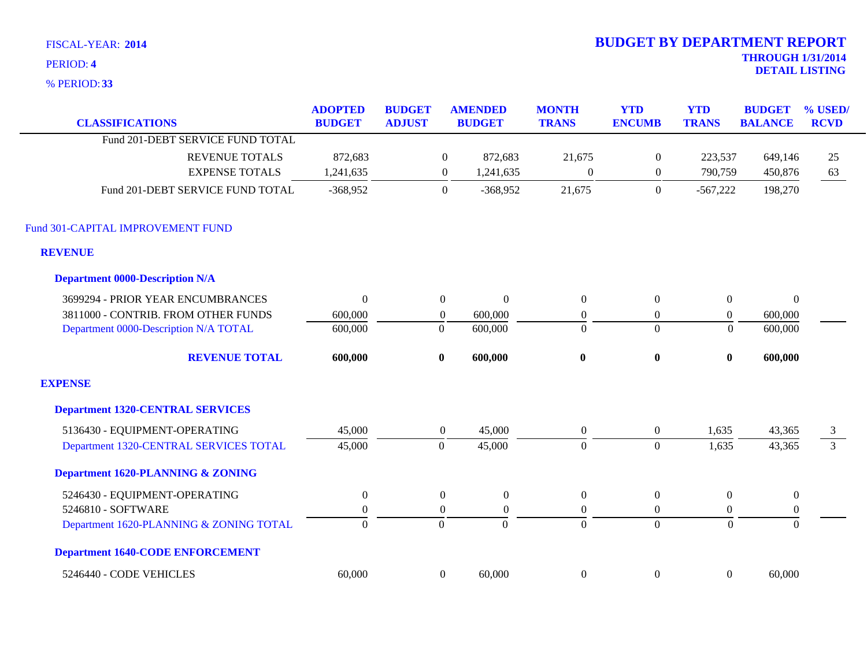**33** % PERIOD:

| <b>CLASSIFICATIONS</b>                       | <b>ADOPTED</b><br><b>BUDGET</b> | <b>BUDGET</b><br><b>ADJUST</b> |                  | <b>AMENDED</b><br><b>BUDGET</b> | <b>MONTH</b><br><b>TRANS</b> | <b>YTD</b><br><b>ENCUMB</b> | <b>YTD</b><br><b>TRANS</b> | <b>BUDGET</b><br><b>BALANCE</b> | % USED/<br><b>RCVD</b> |
|----------------------------------------------|---------------------------------|--------------------------------|------------------|---------------------------------|------------------------------|-----------------------------|----------------------------|---------------------------------|------------------------|
| Fund 201-DEBT SERVICE FUND TOTAL             |                                 |                                |                  |                                 |                              |                             |                            |                                 |                        |
| <b>REVENUE TOTALS</b>                        | 872,683                         |                                | $\bf{0}$         | 872,683                         | 21,675                       | $\boldsymbol{0}$            | 223,537                    | 649,146                         | 25                     |
| <b>EXPENSE TOTALS</b>                        | 1,241,635                       |                                | $\overline{0}$   | 1,241,635                       | $\overline{0}$               | $\mathbf{0}$                | 790,759                    | 450,876                         | 63                     |
| Fund 201-DEBT SERVICE FUND TOTAL             | $-368,952$                      |                                | $\theta$         | $-368,952$                      | 21,675                       | $\overline{0}$              | $-567,222$                 | 198,270                         |                        |
| Fund 301-CAPITAL IMPROVEMENT FUND            |                                 |                                |                  |                                 |                              |                             |                            |                                 |                        |
| <b>REVENUE</b>                               |                                 |                                |                  |                                 |                              |                             |                            |                                 |                        |
| <b>Department 0000-Description N/A</b>       |                                 |                                |                  |                                 |                              |                             |                            |                                 |                        |
| 3699294 - PRIOR YEAR ENCUMBRANCES            | $\theta$                        |                                | $\boldsymbol{0}$ | $\mathbf{0}$                    | $\boldsymbol{0}$             | $\boldsymbol{0}$            | $\mathbf{0}$               | $\boldsymbol{0}$                |                        |
| 3811000 - CONTRIB. FROM OTHER FUNDS          | 600,000                         |                                | $\boldsymbol{0}$ | 600,000                         | $\boldsymbol{0}$             | $\boldsymbol{0}$            | $\boldsymbol{0}$           | 600,000                         |                        |
| Department 0000-Description N/A TOTAL        | 600,000                         |                                | $\boldsymbol{0}$ | 600,000                         | $\mathbf{0}$                 | $\mathbf{0}$                | $\Omega$                   | 600,000                         |                        |
| <b>REVENUE TOTAL</b>                         | 600,000                         |                                | $\bf{0}$         | 600,000                         | $\boldsymbol{0}$             | $\boldsymbol{0}$            | $\bf{0}$                   | 600,000                         |                        |
| <b>EXPENSE</b>                               |                                 |                                |                  |                                 |                              |                             |                            |                                 |                        |
| <b>Department 1320-CENTRAL SERVICES</b>      |                                 |                                |                  |                                 |                              |                             |                            |                                 |                        |
| 5136430 - EQUIPMENT-OPERATING                | 45,000                          |                                | $\overline{0}$   | 45,000                          | $\overline{0}$               | $\overline{0}$              | 1,635                      | 43,365                          | 3                      |
| Department 1320-CENTRAL SERVICES TOTAL       | 45,000                          |                                | $\mathbf{0}$     | 45,000                          | $\overline{0}$               | $\mathbf{0}$                | 1,635                      | 43,365                          | $\overline{3}$         |
| <b>Department 1620-PLANNING &amp; ZONING</b> |                                 |                                |                  |                                 |                              |                             |                            |                                 |                        |
| 5246430 - EQUIPMENT-OPERATING                | $\boldsymbol{0}$                |                                | $\boldsymbol{0}$ | $\boldsymbol{0}$                | $\overline{0}$               | $\mathbf{0}$                | $\boldsymbol{0}$           | $\boldsymbol{0}$                |                        |
| 5246810 - SOFTWARE                           | $\boldsymbol{0}$                |                                | $\boldsymbol{0}$ | $\overline{0}$                  | $\Omega$                     | $\overline{0}$              | $\overline{0}$             | $\boldsymbol{0}$                |                        |
| Department 1620-PLANNING & ZONING TOTAL      | $\mathbf{0}$                    |                                | $\overline{0}$   | $\overline{0}$                  | $\overline{0}$               | $\Omega$                    | $\Omega$                   | $\Omega$                        |                        |
| <b>Department 1640-CODE ENFORCEMENT</b>      |                                 |                                |                  |                                 |                              |                             |                            |                                 |                        |
| 5246440 - CODE VEHICLES                      | 60,000                          |                                | $\boldsymbol{0}$ | 60,000                          | $\boldsymbol{0}$             | $\boldsymbol{0}$            | $\boldsymbol{0}$           | 60,000                          |                        |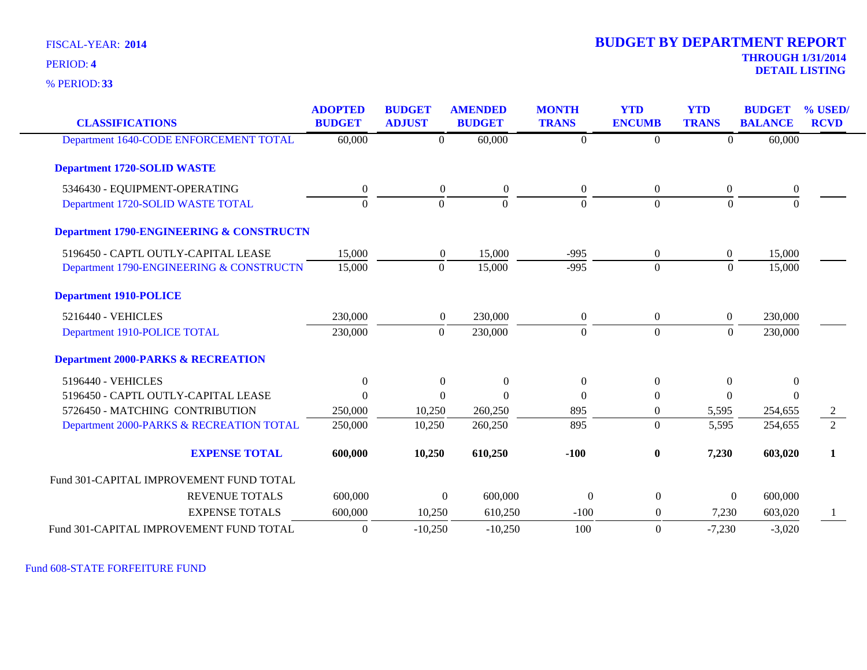**33** % PERIOD:

# **THROUGH 1/31/2014 DETAIL LISTING** PERIOD: **<sup>4</sup> 2014 BUDGET BY DEPARTMENT REPORT**

| <b>CLASSIFICATIONS</b>                              | <b>ADOPTED</b><br><b>BUDGET</b> | <b>BUDGET</b><br><b>ADJUST</b> | <b>AMENDED</b><br><b>BUDGET</b> | <b>MONTH</b><br><b>TRANS</b> | <b>YTD</b><br><b>ENCUMB</b> | <b>YTD</b><br><b>TRANS</b> | <b>BUDGET</b><br><b>BALANCE</b> | % USED/<br><b>RCVD</b> |
|-----------------------------------------------------|---------------------------------|--------------------------------|---------------------------------|------------------------------|-----------------------------|----------------------------|---------------------------------|------------------------|
|                                                     |                                 |                                |                                 |                              |                             |                            |                                 |                        |
| Department 1640-CODE ENFORCEMENT TOTAL              | 60,000                          | $\overline{0}$                 | 60,000                          | $\overline{0}$               | $\theta$                    | $\overline{0}$             | 60,000                          |                        |
| <b>Department 1720-SOLID WASTE</b>                  |                                 |                                |                                 |                              |                             |                            |                                 |                        |
| 5346430 - EQUIPMENT-OPERATING                       | $\boldsymbol{0}$                | $\overline{0}$                 | $\boldsymbol{0}$                | $\boldsymbol{0}$             | $\overline{0}$              | $\boldsymbol{0}$           | $\boldsymbol{0}$                |                        |
| Department 1720-SOLID WASTE TOTAL                   | $\Omega$                        | $\Omega$                       | $\Omega$                        | $\Omega$                     | $\Omega$                    | $\Omega$                   |                                 |                        |
| <b>Department 1790-ENGINEERING &amp; CONSTRUCTN</b> |                                 |                                |                                 |                              |                             |                            |                                 |                        |
| 5196450 - CAPTL OUTLY-CAPITAL LEASE                 | 15,000                          | $\overline{0}$                 | 15,000                          | $-995$                       | $\boldsymbol{0}$            | $\overline{0}$             | 15,000                          |                        |
| Department 1790-ENGINEERING & CONSTRUCTN            | 15,000                          | $\Omega$                       | 15,000                          | $-995$                       | $\Omega$                    | $\mathbf{0}$               | 15,000                          |                        |
| <b>Department 1910-POLICE</b>                       |                                 |                                |                                 |                              |                             |                            |                                 |                        |
| 5216440 - VEHICLES                                  | 230,000                         | $\overline{0}$                 | 230,000                         | $\overline{0}$               | $\overline{0}$              | $\overline{0}$             | 230,000                         |                        |
| Department 1910-POLICE TOTAL                        | 230,000                         | $\Omega$                       | 230,000                         | $\theta$                     | $\overline{0}$              | $\mathbf{0}$               | 230,000                         |                        |
| <b>Department 2000-PARKS &amp; RECREATION</b>       |                                 |                                |                                 |                              |                             |                            |                                 |                        |
| 5196440 - VEHICLES                                  | $\theta$                        | $\theta$                       | $\theta$                        | $\overline{0}$               | $\theta$                    | $\Omega$                   | $\Omega$                        |                        |
| 5196450 - CAPTL OUTLY-CAPITAL LEASE                 | $\Omega$                        | $\Omega$                       | $\Omega$                        | $\Omega$                     | $\Omega$                    | $\Omega$                   | $\Omega$                        |                        |
| 5726450 - MATCHING CONTRIBUTION                     | 250,000                         | 10,250                         | 260,250                         | 895                          | $\theta$                    | 5,595                      | 254,655                         |                        |
| Department 2000-PARKS & RECREATION TOTAL            | 250,000                         | 10,250                         | 260,250                         | 895                          | $\overline{0}$              | 5,595                      | 254,655                         | $\overline{2}$         |
| <b>EXPENSE TOTAL</b>                                | 600,000                         | 10,250                         | 610,250                         | $-100$                       | $\bf{0}$                    | 7,230                      | 603,020                         | $\mathbf{1}$           |
| Fund 301-CAPITAL IMPROVEMENT FUND TOTAL             |                                 |                                |                                 |                              |                             |                            |                                 |                        |
| <b>REVENUE TOTALS</b>                               | 600,000                         |                                | 600,000<br>$\theta$             | $\theta$                     | $\overline{0}$              | $\overline{0}$             | 600,000                         |                        |
| <b>EXPENSE TOTALS</b>                               | 600,000                         | 10,250                         | 610,250                         | $-100$                       | 0                           | 7,230                      | 603,020                         | $\mathbf{1}$           |
| Fund 301-CAPITAL IMPROVEMENT FUND TOTAL             | $\overline{0}$                  | $-10,250$                      | $-10,250$                       | 100                          | $\theta$                    | $-7,230$                   | $-3,020$                        |                        |

Fund 608-STATE FORFEITURE FUND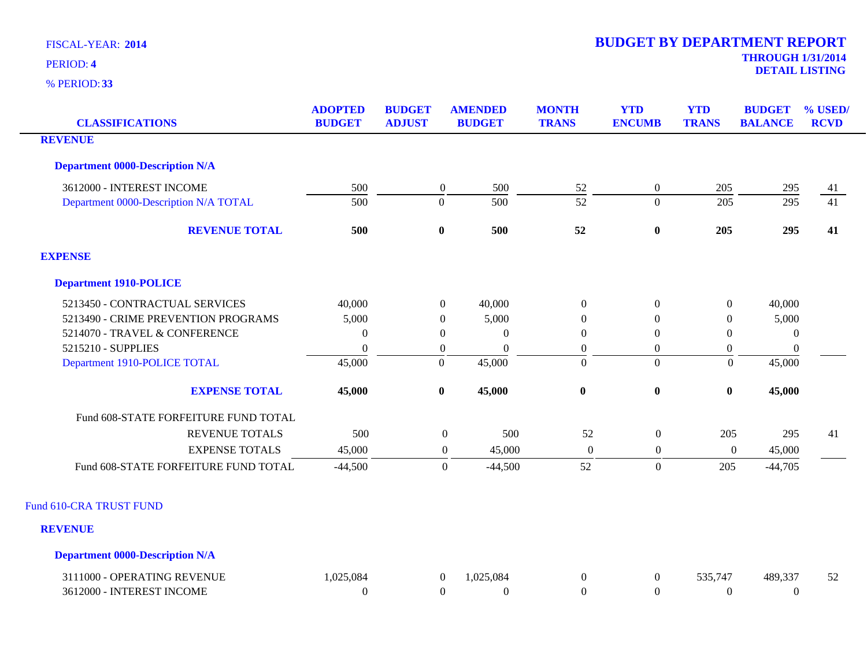**33** % PERIOD:

| <b>CLASSIFICATIONS</b>                    | <b>BUDGET</b> | <b>ADJUST</b>    |                  | <b>BUDGET</b> | <b>MONTH</b><br><b>TRANS</b> | <b>YTD</b><br><b>ENCUMB</b> | <b>YTD</b><br><b>TRANS</b> | <b>BUDGET</b><br><b>BALANCE</b> | % USED/<br><b>RCVD</b> |
|-------------------------------------------|---------------|------------------|------------------|---------------|------------------------------|-----------------------------|----------------------------|---------------------------------|------------------------|
| <b>REVENUE</b>                            |               |                  |                  |               |                              |                             |                            |                                 |                        |
| <b>Department 0000-Description N/A</b>    |               |                  |                  |               |                              |                             |                            |                                 |                        |
| 3612000 - INTEREST INCOME                 | 500           |                  | $\boldsymbol{0}$ | 500           | $52$                         | $\overline{0}$              | 205                        | 295                             | 41                     |
| Department 0000-Description N/A TOTAL     | 500           | $\boldsymbol{0}$ |                  | 500           | $\overline{52}$              | $\Omega$                    | 205                        | 295                             | $\overline{41}$        |
| <b>REVENUE TOTAL</b>                      | 500           | $\boldsymbol{0}$ |                  | 500           | 52                           | $\bf{0}$                    | 205                        | 295                             | 41                     |
| <b>EXPENSE</b>                            |               |                  |                  |               |                              |                             |                            |                                 |                        |
| <b>Department 1910-POLICE</b>             |               |                  |                  |               |                              |                             |                            |                                 |                        |
| 5213450 - CONTRACTUAL SERVICES            | 40,000        |                  | $\overline{0}$   | 40,000        | $\boldsymbol{0}$             | $\overline{0}$              | $\boldsymbol{0}$           | 40,000                          |                        |
| 5213490 - CRIME PREVENTION PROGRAMS       | 5,000         |                  | $\boldsymbol{0}$ | 5,000         | $\overline{0}$               | $\overline{0}$              | $\boldsymbol{0}$           | 5,000                           |                        |
| 5214070 - TRAVEL & CONFERENCE             | $\theta$      |                  | $\overline{0}$   | $\theta$      | $\overline{0}$               | $\overline{0}$              | $\mathbf{0}$               | $\mathbf{0}$                    |                        |
| 5215210 - SUPPLIES                        | $\Omega$      |                  | $\boldsymbol{0}$ | $\Omega$      | $\boldsymbol{0}$             | $\overline{0}$              | $\boldsymbol{0}$           | $\boldsymbol{0}$                |                        |
| Department 1910-POLICE TOTAL              | 45,000        | $\boldsymbol{0}$ |                  | 45,000        | $\boldsymbol{0}$             | $\overline{0}$              | $\mathbf{0}$               | 45,000                          |                        |
| <b>EXPENSE TOTAL</b>                      | 45,000        | $\bf{0}$         |                  | 45,000        | $\pmb{0}$                    | $\bf{0}$                    | $\boldsymbol{0}$           | 45,000                          |                        |
| Fund 608-STATE FORFEITURE FUND TOTAL      |               |                  |                  |               |                              |                             |                            |                                 |                        |
| <b>REVENUE TOTALS</b>                     | 500           |                  | $\boldsymbol{0}$ | 500           | 52                           | $\boldsymbol{0}$            | 205                        | 295                             | 41                     |
| <b>EXPENSE TOTALS</b>                     | 45,000        |                  | $\boldsymbol{0}$ | 45,000        | $\overline{0}$               | $\boldsymbol{0}$            | $\overline{0}$             | 45,000                          |                        |
| Fund 608-STATE FORFEITURE FUND TOTAL      | $-44,500$     |                  | $\boldsymbol{0}$ | $-44,500$     | 52                           | $\boldsymbol{0}$            | 205                        | $-44,705$                       |                        |
| Fund 610-CRA TRUST FUND<br><b>REVENUE</b> |               |                  |                  |               |                              |                             |                            |                                 |                        |

**Department 0000-Description N/A**

| - OPER ATING REVENUE<br>1000   | .084<br>025 | .084 |  | 14 | 489.327 | $\epsilon$<br>52 |
|--------------------------------|-------------|------|--|----|---------|------------------|
| 12000 - INTEREST INCOME<br>361 |             |      |  |    |         |                  |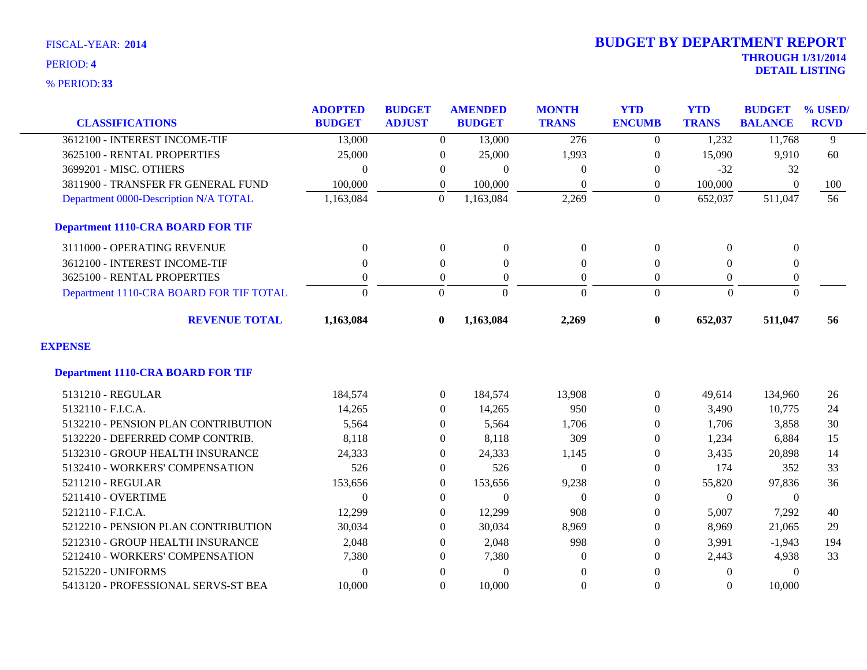**33** % PERIOD:

| <b>CLASSIFICATIONS</b>                   | <b>ADOPTED</b><br><b>BUDGET</b> | <b>BUDGET</b><br><b>ADJUST</b> | <b>AMENDED</b><br><b>BUDGET</b> | <b>MONTH</b><br><b>TRANS</b> | <b>YTD</b><br><b>ENCUMB</b> | <b>YTD</b><br><b>TRANS</b> | <b>BUDGET</b><br><b>BALANCE</b> | % USED/<br><b>RCVD</b> |
|------------------------------------------|---------------------------------|--------------------------------|---------------------------------|------------------------------|-----------------------------|----------------------------|---------------------------------|------------------------|
| 3612100 - INTEREST INCOME-TIF            | 13,000                          | $\Omega$                       | 13,000                          | $\overline{276}$             | $\Omega$                    | 1,232                      | 11,768                          | 9                      |
| 3625100 - RENTAL PROPERTIES              | 25,000                          | $\overline{0}$                 | 25,000                          | 1,993                        | 0                           | 15,090                     | 9,910                           | 60                     |
| 3699201 - MISC. OTHERS                   | $\Omega$                        | $\overline{0}$                 | $\Omega$                        | $\mathbf{0}$                 | $\Omega$                    | $-32$                      | 32                              |                        |
| 3811900 - TRANSFER FR GENERAL FUND       | 100,000                         | $\mathbf{0}$                   | 100,000                         | $\mathbf{0}$                 | 0                           | 100,000                    | $\overline{0}$                  | 100                    |
| Department 0000-Description N/A TOTAL    | 1,163,084                       | $\Omega$                       | 1,163,084                       | 2,269                        | $\Omega$                    | 652,037                    | 511,047                         | 56                     |
| <b>Department 1110-CRA BOARD FOR TIF</b> |                                 |                                |                                 |                              |                             |                            |                                 |                        |
| 3111000 - OPERATING REVENUE              | $\mathbf{0}$                    | $\mathbf{0}$                   | $\mathbf{0}$                    | $\boldsymbol{0}$             | $\theta$                    | $\Omega$                   | $\mathbf{0}$                    |                        |
| 3612100 - INTEREST INCOME-TIF            | $\Omega$                        | $\Omega$                       | $\Omega$                        | $\mathbf{0}$                 | $\Omega$                    | $\Omega$                   | $\mathbf{0}$                    |                        |
| 3625100 - RENTAL PROPERTIES              | $\mathbf{0}$                    | $\boldsymbol{0}$               | $\mathbf{0}$                    | $\boldsymbol{0}$             | $\overline{0}$              | $\overline{0}$             | $\boldsymbol{0}$                |                        |
| Department 1110-CRA BOARD FOR TIF TOTAL  | $\Omega$                        | $\Omega$                       | $\Omega$                        | $\Omega$                     | $\Omega$                    | $\Omega$                   | $\Omega$                        |                        |
| <b>REVENUE TOTAL</b>                     | 1,163,084                       | $\mathbf{0}$                   | 1,163,084                       | 2,269                        | $\mathbf{0}$                | 652,037                    | 511,047                         | 56                     |
| <b>EXPENSE</b>                           |                                 |                                |                                 |                              |                             |                            |                                 |                        |
| <b>Department 1110-CRA BOARD FOR TIF</b> |                                 |                                |                                 |                              |                             |                            |                                 |                        |
| 5131210 - REGULAR                        | 184,574                         | $\overline{0}$                 | 184,574                         | 13,908                       | $\Omega$                    | 49,614                     | 134,960                         | 26                     |
| 5132110 - F.I.C.A.                       | 14,265                          | $\overline{0}$                 | 14,265                          | 950                          | $\Omega$                    | 3,490                      | 10,775                          | 24                     |
| 5132210 - PENSION PLAN CONTRIBUTION      | 5,564                           | $\Omega$                       | 5,564                           | 1,706                        | $\Omega$                    | 1,706                      | 3,858                           | 30                     |
| 5132220 - DEFERRED COMP CONTRIB.         | 8,118                           | $\overline{0}$                 | 8,118                           | 309                          | $\Omega$                    | 1,234                      | 6,884                           | 15                     |
| 5132310 - GROUP HEALTH INSURANCE         | 24,333                          | $\overline{0}$                 | 24,333                          | 1,145                        | $\Omega$                    | 3,435                      | 20,898                          | 14                     |
| 5132410 - WORKERS' COMPENSATION          | 526                             | $\overline{0}$                 | 526                             | $\boldsymbol{0}$             | $\overline{0}$              | 174                        | 352                             | 33                     |
| 5211210 - REGULAR                        | 153,656                         | $\overline{0}$                 | 153,656                         | 9,238                        | $\overline{0}$              | 55,820                     | 97,836                          | 36                     |
| 5211410 - OVERTIME                       | $\Omega$                        | $\Omega$                       | $\Omega$                        | $\Omega$                     | $\Omega$                    | $\Omega$                   | $\theta$                        |                        |
| 5212110 - F.I.C.A.                       | 12,299                          | $\overline{0}$                 | 12,299                          | 908                          | $\Omega$                    | 5,007                      | 7,292                           | 40                     |
| 5212210 - PENSION PLAN CONTRIBUTION      | 30,034                          | $\Omega$                       | 30,034                          | 8,969                        | $\Omega$                    | 8,969                      | 21,065                          | 29                     |
| 5212310 - GROUP HEALTH INSURANCE         | 2,048                           | $\Omega$                       | 2,048                           | 998                          | $\Omega$                    | 3,991                      | $-1,943$                        | 194                    |
| 5212410 - WORKERS' COMPENSATION          | 7,380                           | $\Omega$                       | 7,380                           | $\mathbf{0}$                 | $\Omega$                    | 2,443                      | 4,938                           | 33                     |
| 5215220 - UNIFORMS                       | $\mathbf{0}$                    | $\overline{0}$                 | $\boldsymbol{0}$                | $\mathbf{0}$                 | $\Omega$                    | $\theta$                   | $\Omega$                        |                        |
| 5413120 - PROFESSIONAL SERVS-ST BEA      | 10,000                          | $\Omega$                       | 10,000                          | $\boldsymbol{0}$             | $\Omega$                    | $\Omega$                   | 10,000                          |                        |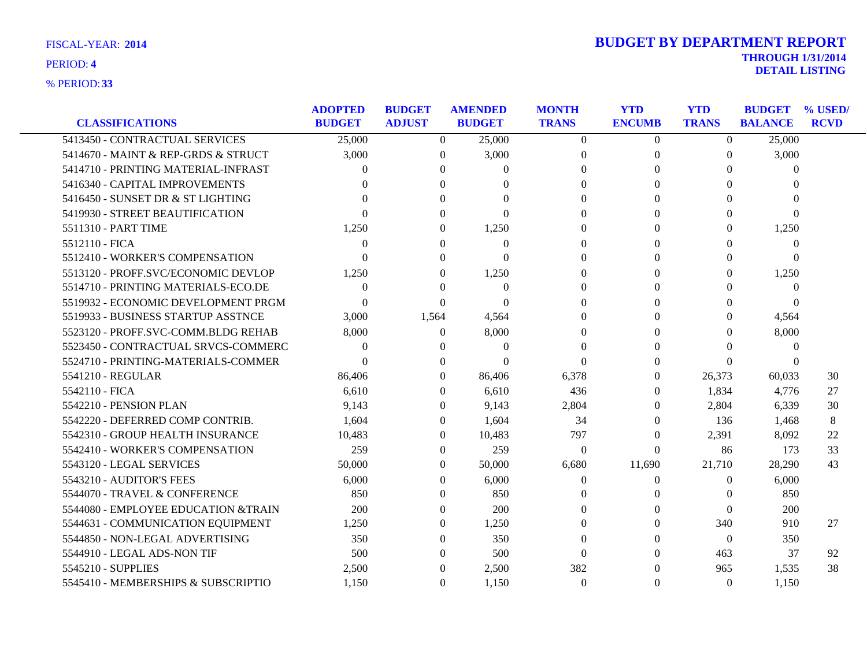| <b>CLASSIFICATIONS</b>                                              | <b>ADOPTED</b><br><b>BUDGET</b> | <b>BUDGET</b><br><b>ADJUST</b> | <b>AMENDED</b><br><b>BUDGET</b> | <b>MONTH</b><br><b>TRANS</b> | <b>YTD</b><br><b>ENCUMB</b> | <b>YTD</b><br><b>TRANS</b> | <b>BUDGET</b><br><b>BALANCE</b> | % USED/<br><b>RCVD</b> |
|---------------------------------------------------------------------|---------------------------------|--------------------------------|---------------------------------|------------------------------|-----------------------------|----------------------------|---------------------------------|------------------------|
| 5413450 - CONTRACTUAL SERVICES                                      | 25,000                          | $\overline{0}$                 | 25,000                          | $\overline{0}$               | $\overline{0}$              | $\overline{0}$             | 25,000                          |                        |
| 5414670 - MAINT & REP-GRDS & STRUCT                                 | 3,000                           | $\Omega$                       | 3,000                           | $\overline{0}$               | $\Omega$                    | 0                          | 3,000                           |                        |
| 5414710 - PRINTING MATERIAL-INFRAST                                 | 0                               | 0                              | $\Omega$                        | $\Omega$                     | 0                           | $\Omega$                   | $\Omega$                        |                        |
|                                                                     |                                 | ∩                              |                                 | $\Omega$                     |                             | $\Omega$                   |                                 |                        |
| 5416340 - CAPITAL IMPROVEMENTS<br>5416450 - SUNSET DR & ST LIGHTING |                                 |                                | $\Omega$<br>$\Omega$            | $\Omega$                     |                             | $\Omega$                   | 0<br>$\Omega$                   |                        |
|                                                                     |                                 |                                |                                 |                              |                             |                            |                                 |                        |
| 5419930 - STREET BEAUTIFICATION                                     |                                 | ∩                              | $\Omega$                        | 0                            |                             | $\Omega$                   | $\theta$                        |                        |
| 5511310 - PART TIME                                                 | 1,250                           | $\theta$                       | 1,250                           | $\Omega$                     | 0                           | 0                          | 1,250                           |                        |
| 5512110 - FICA                                                      | $\Omega$                        | $\Omega$                       | $\theta$                        | $\theta$                     |                             | $\Omega$                   | $\theta$                        |                        |
| 5512410 - WORKER'S COMPENSATION                                     | $\Omega$                        | 0                              | $\Omega$                        | $\theta$                     |                             | $\Omega$                   | $\Omega$                        |                        |
| 5513120 - PROFF.SVC/ECONOMIC DEVLOP                                 | 1,250                           | $\theta$                       | 1,250                           | 0                            |                             | 0                          | 1,250                           |                        |
| 5514710 - PRINTING MATERIALS-ECO.DE                                 | $\Omega$                        | $\Omega$                       | $\Omega$                        | 0                            |                             | $\Omega$                   | $\Omega$                        |                        |
| 5519932 - ECONOMIC DEVELOPMENT PRGM                                 | $\Omega$                        | $\Omega$                       | $\Omega$                        | 0                            |                             | $\Omega$                   | $\Omega$                        |                        |
| 5519933 - BUSINESS STARTUP ASSTNCE                                  | 3,000                           | 1,564                          | 4,564                           | $\Omega$                     |                             | 0                          | 4,564                           |                        |
| 5523120 - PROFF.SVC-COMM.BLDG REHAB                                 | 8,000                           | $\Omega$                       | 8,000                           | 0                            |                             | 0                          | 8,000                           |                        |
| 5523450 - CONTRACTUAL SRVCS-COMMERC                                 | $\Omega$                        | 0                              | $\Omega$                        | $\Omega$                     | 0                           | 0                          | $\Omega$                        |                        |
| 5524710 - PRINTING-MATERIALS-COMMER                                 | $\Omega$                        |                                | $\Omega$                        | $\Omega$                     |                             | $\Omega$                   |                                 |                        |
| 5541210 - REGULAR                                                   | 86,406                          | $\Omega$                       | 86,406                          | 6,378                        | $\theta$                    | 26,373                     | 60,033                          | 30                     |
| 5542110 - FICA                                                      | 6,610                           | 0                              | 6,610                           | 436                          | 0                           | 1,834                      | 4,776                           | 27                     |
| 5542210 - PENSION PLAN                                              | 9,143                           | 0                              | 9,143                           | 2,804                        | $\Omega$                    | 2,804                      | 6,339                           | 30                     |
| 5542220 - DEFERRED COMP CONTRIB.                                    | 1,604                           | $\Omega$                       | 1,604                           | 34                           | $\Omega$                    | 136                        | 1,468                           | 8                      |
| 5542310 - GROUP HEALTH INSURANCE                                    | 10,483                          | $\Omega$                       | 10,483                          | 797                          | 0                           | 2,391                      | 8,092                           | 22                     |
| 5542410 - WORKER'S COMPENSATION                                     | 259                             | 0                              | 259                             | $\boldsymbol{0}$             | $\Omega$                    | 86                         | 173                             | 33                     |
| 5543120 - LEGAL SERVICES                                            | 50,000                          | $\Omega$                       | 50,000                          | 6,680                        | 11,690                      | 21,710                     | 28,290                          | 43                     |
| 5543210 - AUDITOR'S FEES                                            | 6,000                           | 0                              | 6,000                           | $\theta$                     | $\theta$                    | 0                          | 6,000                           |                        |
| 5544070 - TRAVEL & CONFERENCE                                       | 850                             | $\theta$                       | 850                             | $\Omega$                     |                             | 0                          | 850                             |                        |
| 5544080 - EMPLOYEE EDUCATION &TRAIN                                 | 200                             | $\Omega$                       | 200                             | $\Omega$                     | 0                           | $\Omega$                   | 200                             |                        |
| 5544631 - COMMUNICATION EQUIPMENT                                   | 1,250                           | $\theta$                       | 1,250                           | $\theta$                     | 0                           | 340                        | 910                             | 27                     |
| 5544850 - NON-LEGAL ADVERTISING                                     | 350                             | $\Omega$                       | 350                             | 0                            |                             | $\Omega$                   | 350                             |                        |
| 5544910 - LEGAL ADS-NON TIF                                         | 500                             | 0                              | 500                             | $\theta$                     | 0                           | 463                        | 37                              | 92                     |
| 5545210 - SUPPLIES                                                  | 2,500                           | $\Omega$                       | 2,500                           | 382                          |                             | 965                        | 1,535                           | 38                     |
| 5545410 - MEMBERSHIPS & SUBSCRIPTIO                                 | 1,150                           | $\Omega$                       | 1,150                           | $\Omega$                     | $\Omega$                    | $\Omega$                   | 1,150                           |                        |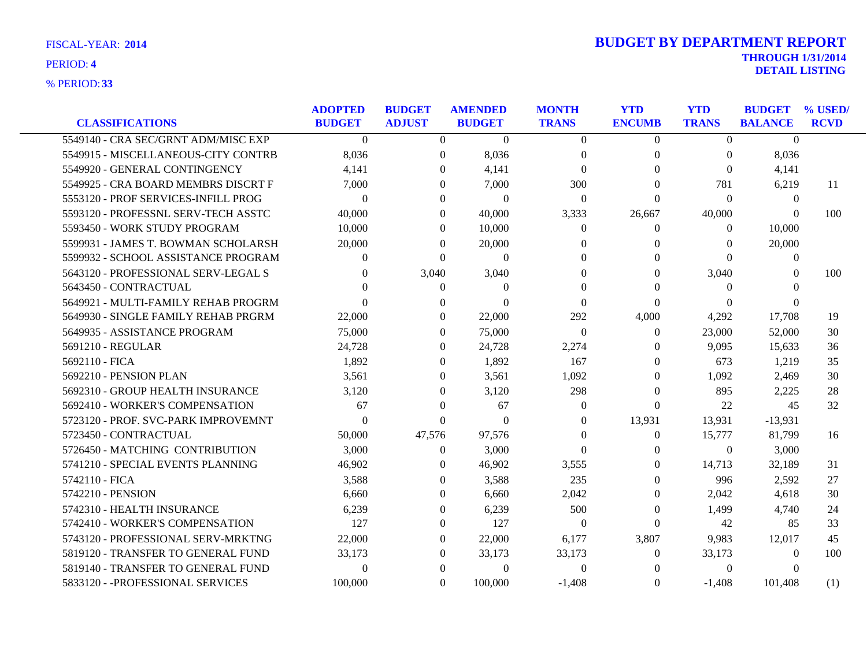| <b>CLASSIFICATIONS</b>                                                     | <b>ADOPTED</b><br><b>BUDGET</b> | <b>BUDGET</b><br><b>ADJUST</b> | <b>AMENDED</b><br><b>BUDGET</b> | <b>MONTH</b><br><b>TRANS</b> | <b>YTD</b><br><b>ENCUMB</b> | <b>YTD</b><br><b>TRANS</b> | <b>BUDGET % USED/</b><br><b>BALANCE</b> | <b>RCVD</b> |
|----------------------------------------------------------------------------|---------------------------------|--------------------------------|---------------------------------|------------------------------|-----------------------------|----------------------------|-----------------------------------------|-------------|
| 5549140 - CRA SEC/GRNT ADM/MISC EXP                                        | $\Omega$                        | $\Omega$                       | $\Omega$                        | $\theta$                     | $\Omega$                    | $\Omega$                   | $\Omega$                                |             |
| 5549915 - MISCELLANEOUS-CITY CONTRB                                        | 8,036                           | 0                              | 8,036                           | $\theta$                     | $\bf{0}$                    | $\theta$                   | 8,036                                   |             |
| 5549920 - GENERAL CONTINGENCY                                              | 4,141                           | $\Omega$                       | 4,141                           | $\Omega$                     | $\Omega$                    | $\Omega$                   | 4,141                                   |             |
| 5549925 - CRA BOARD MEMBRS DISCRT F                                        | 7,000                           | 0                              | 7,000                           | 300                          | $\Omega$                    | 781                        | 6,219                                   | 11          |
| 5553120 - PROF SERVICES-INFILL PROG                                        | $\Omega$                        | $\Omega$                       | $\Omega$                        | $\Omega$                     | $\Omega$                    | $\Omega$                   | $\theta$                                |             |
| 5593120 - PROFESSNL SERV-TECH ASSTC                                        |                                 | $\Omega$                       |                                 |                              |                             |                            | $\Omega$                                | 100         |
| 5593450 - WORK STUDY PROGRAM                                               | 40,000<br>10,000                | 0                              | 40,000<br>10,000                | 3,333<br>$\Omega$            | 26,667<br>$\Omega$          | 40,000<br>$\Omega$         | 10,000                                  |             |
|                                                                            |                                 |                                |                                 |                              |                             |                            |                                         |             |
| 5599931 - JAMES T. BOWMAN SCHOLARSH<br>5599932 - SCHOOL ASSISTANCE PROGRAM | 20,000<br>$\Omega$              | 0                              | 20,000<br>$\Omega$              | $\Omega$<br>$\Omega$         | $\theta$<br>0               | $\Omega$<br>$\Omega$       | 20,000                                  |             |
|                                                                            |                                 | $\theta$                       |                                 |                              |                             |                            | $\overline{0}$                          |             |
| 5643120 - PROFESSIONAL SERV-LEGAL S                                        | $\Omega$                        | 3,040                          | 3,040                           | $\Omega$<br>$\Omega$         | $\theta$<br>$\Omega$        | 3,040                      | 0<br>$\Omega$                           | 100         |
| 5643450 - CONTRACTUAL                                                      |                                 | $\Omega$                       | $\Omega$                        |                              |                             | $\Omega$                   |                                         |             |
| 5649921 - MULTI-FAMILY REHAB PROGRM                                        |                                 | 0                              | $\Omega$                        | $\Omega$                     | $\Omega$                    | $\Omega$                   | $\Omega$                                |             |
| 5649930 - SINGLE FAMILY REHAB PRGRM                                        | 22,000                          | $\Omega$                       | 22,000                          | 292                          | 4,000                       | 4,292                      | 17,708                                  | 19          |
| 5649935 - ASSISTANCE PROGRAM                                               | 75,000                          | 0                              | 75,000                          | $\theta$                     | $\Omega$                    | 23,000                     | 52,000                                  | 30          |
| 5691210 - REGULAR                                                          | 24.728                          | $\theta$                       | 24,728                          | 2,274                        | $\theta$                    | 9.095                      | 15,633                                  | 36          |
| 5692110 - FICA                                                             | 1,892                           | $\Omega$                       | 1,892                           | 167                          | $\Omega$                    | 673                        | 1,219                                   | 35          |
| 5692210 - PENSION PLAN                                                     | 3,561                           | $\Omega$                       | 3,561                           | 1,092                        | $\Omega$                    | 1,092                      | 2,469                                   | 30          |
| 5692310 - GROUP HEALTH INSURANCE                                           | 3,120                           | $\Omega$                       | 3,120                           | 298                          | $\Omega$                    | 895                        | 2,225                                   | 28          |
| 5692410 - WORKER'S COMPENSATION                                            | 67                              | 0                              | 67                              | $\left($                     | $\Omega$                    | 22                         | 45                                      | 32          |
| 5723120 - PROF. SVC-PARK IMPROVEMNT                                        | $\Omega$                        | $\theta$                       | $\Omega$                        | $\theta$                     | 13,931                      | 13,931                     | $-13,931$                               |             |
| 5723450 - CONTRACTUAL                                                      | 50,000                          | 47,576                         | 97,576                          | $\Omega$                     | $\Omega$                    | 15,777                     | 81,799                                  | 16          |
| 5726450 - MATCHING CONTRIBUTION                                            | 3,000                           | $\Omega$                       | 3,000                           | $\theta$                     | $\Omega$                    | $\overline{0}$             | 3,000                                   |             |
| 5741210 - SPECIAL EVENTS PLANNING                                          | 46,902                          | 0                              | 46,902                          | 3,555                        | $\Omega$                    | 14,713                     | 32,189                                  | 31          |
| 5742110 - FICA                                                             | 3,588                           | $\Omega$                       | 3,588                           | 235                          | $\Omega$                    | 996                        | 2,592                                   | 27          |
| 5742210 - PENSION                                                          | 6.660                           | $\Omega$                       | 6,660                           | 2,042                        | $\theta$                    | 2,042                      | 4,618                                   | 30          |
| 5742310 - HEALTH INSURANCE                                                 | 6,239                           | $\Omega$                       | 6,239                           | 500                          | $\Omega$                    | 1,499                      | 4,740                                   | 24          |
| 5742410 - WORKER'S COMPENSATION                                            | 127                             | $\theta$                       | 127                             | $\theta$                     | $\Omega$                    | 42                         | 85                                      | 33          |
| 5743120 - PROFESSIONAL SERV-MRKTNG                                         | 22,000                          | $\Omega$                       | 22,000                          | 6,177                        | 3,807                       | 9,983                      | 12,017                                  | 45          |
| 5819120 - TRANSFER TO GENERAL FUND                                         | 33,173                          | 0                              | 33,173                          | 33,173                       | $\theta$                    | 33,173                     | $\theta$                                | 100         |
| 5819140 - TRANSFER TO GENERAL FUND                                         | $\Omega$                        | $\Omega$                       | $\Omega$                        | $\theta$                     |                             | $\mathbf{0}$               | $\Omega$                                |             |
| 5833120 - - PROFESSIONAL SERVICES                                          | 100,000                         | $\theta$                       | 100,000                         | $-1.408$                     | $\Omega$                    | $-1,408$                   | 101.408                                 | (1)         |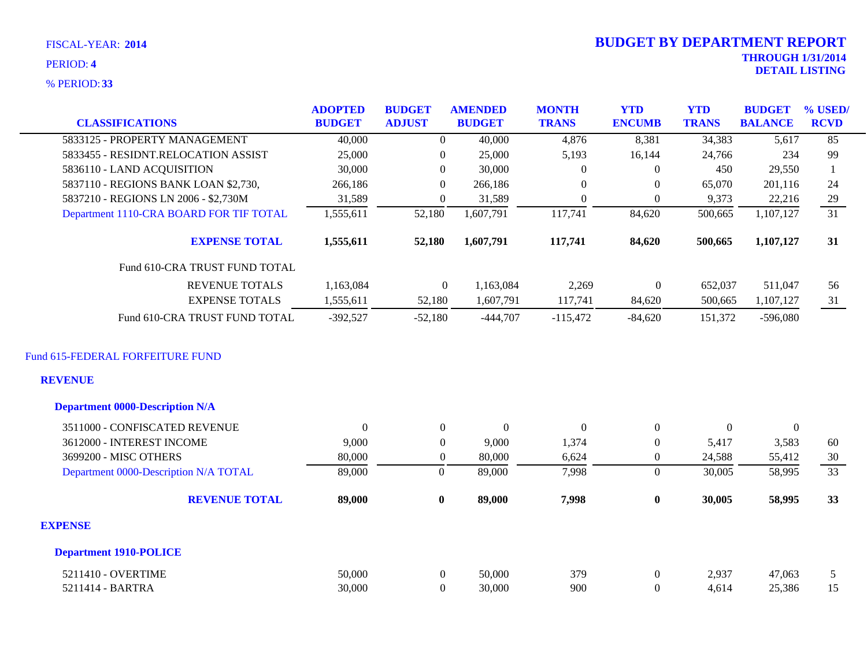| FISCAL-YEAR: 2014<br>PERIOD: 4<br><b>% PERIOD: 33</b> |                                 |                                |   |                                 |                              | <b>BUDGET BY DEPARTMENT REPORT</b> |                            | <b>THROUGH 1/31/2014</b>        | <b>DETAIL LISTING</b>     |
|-------------------------------------------------------|---------------------------------|--------------------------------|---|---------------------------------|------------------------------|------------------------------------|----------------------------|---------------------------------|---------------------------|
| <b>CLASSIFICATIONS</b>                                | <b>ADOPTED</b><br><b>BUDGET</b> | <b>BUDGET</b><br><b>ADJUST</b> |   | <b>AMENDED</b><br><b>BUDGET</b> | <b>MONTH</b><br><b>TRANS</b> | <b>YTD</b><br><b>ENCUMB</b>        | <b>YTD</b><br><b>TRANS</b> | <b>BUDGET</b><br><b>BALANCE</b> | $\%$ USED/<br><b>RCVD</b> |
| 5833125 - PROPERTY MANAGEMENT                         | 40,000                          |                                | 0 | 40,000                          | 4.876                        | 8,381                              | 34,383                     | 5.617                           | 85                        |
| 5833455 - RESIDNT.RELOCATION ASSIST                   | 25,000                          |                                | 0 | 25,000                          | 5,193                        | 16,144                             | 24,766                     | 234                             | 99                        |

| 5836110 - LAND ACQUISITION              | 30,000     |                | 30,000    |            | 0                | 450     | 29.550     |    |
|-----------------------------------------|------------|----------------|-----------|------------|------------------|---------|------------|----|
| 5837110 - REGIONS BANK LOAN \$2,730,    | 266,186    |                | 266,186   | $\theta$   | $\theta$         | 65,070  | 201,116    | 24 |
| 5837210 - REGIONS LN 2006 - \$2,730M    | 31,589     |                | 31,589    |            | $\boldsymbol{0}$ | 9,373   | 22,216     | 29 |
| Department 1110-CRA BOARD FOR TIF TOTAL | 1,555,611  | 52,180         | 1,607,791 | 117,741    | 84,620           | 500,665 | 1,107,127  | 31 |
| <b>EXPENSE TOTAL</b>                    | 1,555,611  | 52,180         | 1,607,791 | 117,741    | 84.620           | 500,665 | 1,107,127  | 31 |
| Fund 610-CRA TRUST FUND TOTAL           |            |                |           |            |                  |         |            |    |
| <b>REVENUE TOTALS</b>                   | 1.163.084  | $\overline{0}$ | 1.163.084 | 2,269      | $\Omega$         | 652.037 | 511.047    | 56 |
| <b>EXPENSE TOTALS</b>                   | 1,555,611  | 52,180         | 1,607,791 | 117,741    | 84,620           | 500.665 | 1,107,127  | 31 |
| Fund 610-CRA TRUST FUND TOTAL           | $-392.527$ | $-52.180$      | -444.707  | $-115.472$ | $-84.620$        | 151.372 | $-596,080$ |    |

### Fund 615-FEDERAL FORFEITURE FUND

### **REVENUE**

| <b>Department 0000-Description N/A</b> |                |                |                  |          |              |          |          |                |
|----------------------------------------|----------------|----------------|------------------|----------|--------------|----------|----------|----------------|
| 3511000 - CONFISCATED REVENUE          | $\overline{0}$ | $\overline{0}$ | $\boldsymbol{0}$ | $\Omega$ | $\mathbf{0}$ | $\theta$ | $\theta$ |                |
| 3612000 - INTEREST INCOME              | 9,000          | 0              | 9,000            | 1,374    | $\theta$     | 5,417    | 3,583    | 60             |
| 3699200 - MISC OTHERS                  | 80,000         | $\theta$       | 80,000           | 6,624    | $\theta$     | 24,588   | 55,412   | 30             |
| Department 0000-Description N/A TOTAL  | 89,000         | 0              | 89,000           | 7,998    | $\Omega$     | 30,005   | 58,995   | 33             |
| <b>REVENUE TOTAL</b>                   | 89,000         | $\bf{0}$       | 89,000           | 7,998    | $\bf{0}$     | 30,005   | 58,995   | 33             |
| <b>EXPENSE</b>                         |                |                |                  |          |              |          |          |                |
| <b>Department 1910-POLICE</b>          |                |                |                  |          |              |          |          |                |
| 5211410 - OVERTIME                     | 50,000         | $\overline{0}$ | 50,000           | 379      | $\mathbf{0}$ | 2,937    | 47,063   | 5 <sup>5</sup> |
| 5211414 - BARTRA                       | 30,000         | 0              | 30,000           | 900      | $\theta$     | 4,614    | 25,386   | 15             |